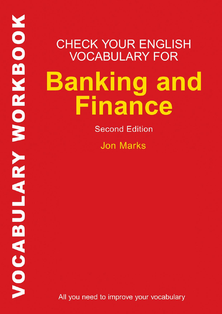MORKBOOK **VARUBULARY** 

# **CHECK YOUR ENGLISH VOCABULARY FOR Banking and** Finance

**Second Edition** 

**Jon Marks** 

All you need to improve your vocabulary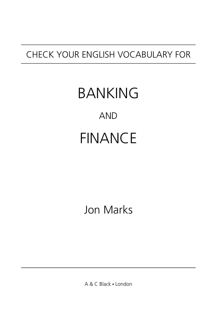## CHECK YOUR ENGLISH VOCABULARY FOR

# BANKING FINANCE AND

## Jon Marks

A & C Black . London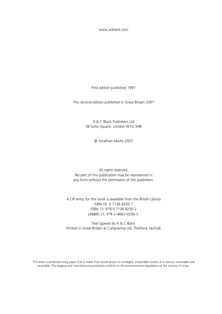[www.acblack.com](http://www.acblack.com)

First edition published 1997

This second edition published in Great Britain 2007

A & C Black Publishers Ltd 38 Soho Square, London W1D 3HB

© Jonathan Marks 2007

All rights reserved. No part of this publication may be reproduced in any form without the permission of the publishers.

A CIP entry for this book is available from the British Library ISBN-10: 0 7136 8250 7 ISBN-13: 978 0 7136 8250 2 eISBN-13: 978-1-4081-0250-3

Text typeset by A & C Black Printed in Great Britain at Caligraving Ltd, Thetford, Norfolk

This book is produced using paper that is made from wood grown in managed, sustainable forests. It is natural, renewable and recyclable. The logging and manufacturing processes conform to the environmental regulations of the country of origin.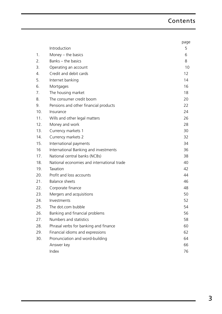## Contents

|     |                                            | page |
|-----|--------------------------------------------|------|
|     | Introduction                               | 5    |
| 1.  | Money $-$ the basics                       | 6    |
| 2.  | Banks - the basics                         | 8    |
| 3.  | Operating an account                       | 10   |
| 4.  | Credit and debit cards                     | 12   |
| 5.  | Internet banking                           | 14   |
| 6.  | Mortgages                                  | 16   |
| 7.  | The housing market                         | 18   |
| 8.  | The consumer credit boom                   | 20   |
| 9.  | Pensions and other financial products      | 22   |
| 10. | Insurance                                  | 24   |
| 11. | Wills and other legal matters              | 26   |
| 12. | Money and work                             | 28   |
| 13. | Currency markets 1                         | 30   |
| 14. | Currency markets 2                         | 32   |
| 15. | International payments                     | 34   |
| 16  | International Banking and investments      | 36   |
| 17. | National central banks (NCBs)              | 38   |
| 18. | National economies and international trade | 40   |
| 19. | Taxation                                   | 42   |
| 20. | Profit and loss accounts                   | 44   |
| 21. | <b>Balance sheets</b>                      | 46   |
| 22. | Corporate finance                          | 48   |
| 23. | Mergers and acquisitions                   | 50   |
| 24. | Investments                                | 52   |
| 25. | The dot.com bubble                         | 54   |
| 26. | Banking and financial problems             | 56   |
| 27. | Numbers and statistics                     | 58   |
| 28. | Phrasal verbs for banking and finance      | 60   |
| 29. | Financial idioms and expressions           | 62   |
| 30. | Pronunciation and word-building            | 64   |
|     | Answer key                                 | 66   |
|     | Index                                      | 76   |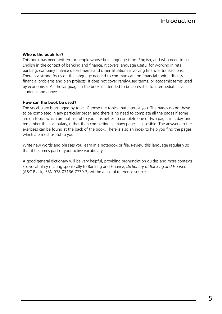#### **Who is the book for?**

This book has been written for people whose first language is not English, and who need to use English in the context of banking and finance. It covers language useful for working in retail banking, company finance departments and other situations involving financial transactions. There is a strong focus on the language needed to communicate on financial topics, discuss financial problems and plan projects. It does not cover rarely-used terms, or academic terms used by economists. All the language in the book is intended to be accessible to intermediate level students and above.

#### **How can the book be used?**

The vocabulary is arranged by topic. Choose the topics that interest you. The pages do not have to be completed in any particular order, and there is no need to complete all the pages if some are on topics which are not useful to you. It is better to complete one or two pages in a day, and remember the vocabulary, rather than completing as many pages as possible. The answers to the exercises can be found at the back of the book. There is also an index to help you find the pages which are most useful to you.

Write new words and phrases you learn in a notebook or file. Review this language regularly so that it becomes part of your active vocabulary.

<span id="page-5-0"></span>A good general dictionary will be very helpful, providing pronunciation guides and more contexts. For vocabulary relating specifically to Banking and Finance, *Dictionary of Banking and Finance* (A&C Black, ISBN 978-07136-7739-3) will be a useful reference source.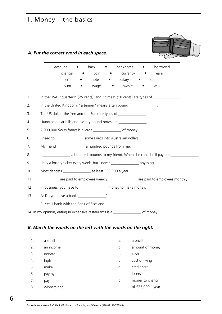## 1. Money – the basics

#### *A. Put the correct word in each space.*

|     |                                                                 | account                                                                             | back           | banknotes                  | borrowed<br>$\bullet$                                                                               |  |  |
|-----|-----------------------------------------------------------------|-------------------------------------------------------------------------------------|----------------|----------------------------|-----------------------------------------------------------------------------------------------------|--|--|
|     |                                                                 | change                                                                              | $\bullet$ coin | • currency •               | earn                                                                                                |  |  |
|     |                                                                 | lent                                                                                | note           | $\bullet$ salary $\bullet$ | spend                                                                                               |  |  |
|     |                                                                 | sum                                                                                 | wages          | waste<br>$\bullet$         | win                                                                                                 |  |  |
| 1.  |                                                                 |                                                                                     |                |                            | In the USA, "quarters" (25 cents) and "dimes" (10 cents) are types of _______________.              |  |  |
| 2.  |                                                                 | In the United Kingdom, "a tenner" means a ten pound _______________.                |                |                            |                                                                                                     |  |  |
| 3.  |                                                                 | The US dollar, the Yen and the Euro are types of _______________.                   |                |                            |                                                                                                     |  |  |
| 4.  |                                                                 | Hundred dollar bills and twenty pound notes are _______________.                    |                |                            |                                                                                                     |  |  |
| 5.  | 2,000,000 Swiss francs is a large ___________________ of money. |                                                                                     |                |                            |                                                                                                     |  |  |
| 6.  |                                                                 | I need to _____________________ some Euros into Australian dollars.                 |                |                            |                                                                                                     |  |  |
| 7.  |                                                                 | My friend ___________________ a hundred pounds from me.                             |                |                            |                                                                                                     |  |  |
| 8.  |                                                                 |                                                                                     |                |                            | I __________________ a hundred pounds to my friend. When she can, she'll pay me ___________________ |  |  |
| 9.  |                                                                 | I buy a lottery ticket every week, but I never ________________ anything.           |                |                            |                                                                                                     |  |  |
| 10. |                                                                 |                                                                                     |                |                            |                                                                                                     |  |  |
| 11. |                                                                 |                                                                                     |                |                            | ___________ are paid to employees weekly. _______________ are paid to employees monthly.            |  |  |
| 12. |                                                                 | In business, you have to _______________ money to make money.                       |                |                            |                                                                                                     |  |  |
| 13. |                                                                 | A: Do you have a bank ________________?                                             |                |                            |                                                                                                     |  |  |
|     |                                                                 | B: Yes. I bank with the Bank of Scotland.                                           |                |                            |                                                                                                     |  |  |
|     |                                                                 | 14. In my opinion, eating in expensive restaurants is a _________________ of money. |                |                            |                                                                                                     |  |  |

## *B. Match the words on the left with the words on the right.*

<span id="page-6-0"></span>

| 1. | a small     | a. | a profit          |
|----|-------------|----|-------------------|
| 2. | an income   | b. | amount of money   |
| 3. | donate      | C. | cash              |
| 4. | high        | d. | cost of living    |
| 5. | make        | e. | credit card       |
| 6. | pay by      | f. | losers            |
| 7. | pay in      | g. | money to charity  |
| 8. | winners and | h. | of £25,000 a year |
|    |             |    |                   |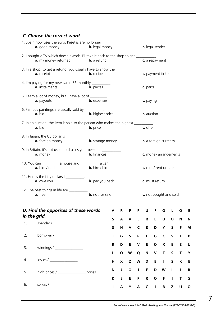#### *C. Choose the correct word.*

| 1. Spain now uses the euro. Pesetas are no longer _____________.<br>a. good money<br><b>b.</b> legal money                          |                                                                                       |                               |                    |                         |                        | c. legal tender                                       |                          |                             |                                |                   |              |                  |
|-------------------------------------------------------------------------------------------------------------------------------------|---------------------------------------------------------------------------------------|-------------------------------|--------------------|-------------------------|------------------------|-------------------------------------------------------|--------------------------|-----------------------------|--------------------------------|-------------------|--------------|------------------|
| 2. I bought a TV which doesn't work. I'll take it back to the shop to get __________.<br>a. my money returned<br><b>b.</b> a refund |                                                                                       |                               |                    |                         |                        | c. a repayment                                        |                          |                             |                                |                   |              |                  |
| 3. In a shop, to get a refund, you usually have to show the ___________.<br>a. receipt<br><b>b.</b> recipe                          |                                                                                       |                               |                    |                         |                        | c. payment ticket                                     |                          |                             |                                |                   |              |                  |
| 4. I'm paying for my new car in 36 monthly __________.<br>a. instalments<br><b>b.</b> pieces                                        |                                                                                       |                               |                    |                         |                        | c. parts                                              |                          |                             |                                |                   |              |                  |
|                                                                                                                                     | 5. I earn a lot of money, but I have a lot of _________.<br>a. payouts                | <b>b.</b> expenses            |                    |                         |                        |                                                       | c. paying                |                             |                                |                   |              |                  |
|                                                                                                                                     | 6. Famous paintings are usually sold by ___________.<br>a. bid                        | <b>b.</b> highest price       |                    |                         |                        |                                                       | c. auction               |                             |                                |                   |              |                  |
|                                                                                                                                     | 7. In an auction, the item is sold to the person who makes the highest ____<br>a. bid | <b>b.</b> price               |                    |                         |                        |                                                       | c. offer                 |                             |                                |                   |              |                  |
|                                                                                                                                     | 8. In Japan, the US dollar is ___________.<br><b>a.</b> foreign money                 | <b>b.</b> strange money       |                    |                         |                        |                                                       |                          |                             | c. a foreign currency          |                   |              |                  |
|                                                                                                                                     | 9. In Britain, it's not usual to discuss your personal __________<br>a. money         |                               | <b>b.</b> finances |                         |                        |                                                       | c. money arrangements    |                             |                                |                   |              |                  |
| 10. You can ____________ a house and ____________ a car.<br><b>b.</b> hire / hire<br>a. hire / rent                                 |                                                                                       |                               |                    |                         | c. rent / rent or hire |                                                       |                          |                             |                                |                   |              |                  |
|                                                                                                                                     | 11. Here's the fifty dollars I ___________.<br>a. owe you                             | <b>b.</b> pay you back        |                    |                         |                        |                                                       | c. must return           |                             |                                |                   |              |                  |
|                                                                                                                                     | 12. The best things in life are ___________<br>a. free                                | $\overline{b}$ . not for sale |                    |                         |                        |                                                       |                          |                             | c. not bought and sold         |                   |              |                  |
|                                                                                                                                     | D. Find the opposites of these words                                                  |                               | A                  | R                       | P                      | P                                                     | U                        | F                           | O                              | L                 | $\mathbf{o}$ | E                |
|                                                                                                                                     | in the grid.                                                                          |                               | S                  | $\boldsymbol{A}$        | $\mathbf v$            | E                                                     | $\mathbf R$              | E                           | $\sf U$                        | $\mathbf O$       | ${\bf N}$    | N                |
| 1.                                                                                                                                  | spender / __________________                                                          |                               | $\mathsf S$        | $\overline{\mathsf{H}}$ | A                      | $\mathsf{C}$                                          | B                        | D                           | Y                              | $\sf S$           | F.           | M                |
| 2.                                                                                                                                  | borrower / ________________                                                           |                               | T                  | G                       | $\sf S$                | ${\bf R}$                                             | $\mathsf L$              | G                           | $\mathsf C$                    | $\sf S$           | $\mathsf L$  | B                |
| 3.                                                                                                                                  |                                                                                       |                               | R<br>L             | D<br>$\mathbf{o}$       | E<br>W                 | $\pmb{\mathsf{V}}$<br>Q                               | E<br>${\sf N}$           | Q<br>$\mathsf{V}$           | $\boldsymbol{\mathsf{X}}$<br>T | E<br>$\sf S$      | E<br>T       | U<br>Y           |
| 4.                                                                                                                                  | losses /                                                                              |                               | н                  | X                       | Z                      | W                                                     | D                        | $\mathsf E$                 | $\mathbf{I}$                   | S                 | K            | E                |
| 5.                                                                                                                                  | high prices / ___________________ prices                                              |                               | N                  | J                       | $\mathbf O$            | $\mathbf{J}% _{0}\left( \mathbf{r},\mathbf{r}\right)$ | $\mathsf E$              | D                           | W                              | $\mathsf L$       | $\mathbf{I}$ | R                |
| 6.                                                                                                                                  | sellers / ________________                                                            |                               | K<br>I             | E<br>A                  | E<br>Y                 | P<br>A                                                | ${\bf R}$<br>$\mathsf C$ | $\mathbf O$<br>$\mathbf{I}$ | $\mathsf F$<br>B               | $\mathbf{I}$<br>Z | T<br>U       | S<br>$\mathbf 0$ |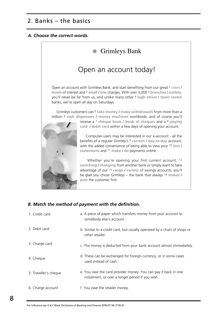## 2. Banks – the basics

#### *A. Choose the correct words.*



#### *B. Match the method of payment with the definition.*

<span id="page-8-0"></span>

| 1. Credit card        | a. A piece of paper which transfers money from your account to<br>somebody else's account.                         |
|-----------------------|--------------------------------------------------------------------------------------------------------------------|
| 2. Debit card         | b. Similar to a credit card, but usually operated by a chain of shops or<br>other retailer.                        |
| 3. Charge card        | c. The money is deducted from your bank account almost immediately.                                                |
| 4. Cheque             | d. These can be exchanged for foreign currency, or in some cases<br>used instead of cash.                          |
| 5. Traveller's cheque | e. You owe the card provider money. You can pay it back in one<br>instalment, or over a longer period if you wish. |
| 6. Charge account     | f. You owe the retailer money.                                                                                     |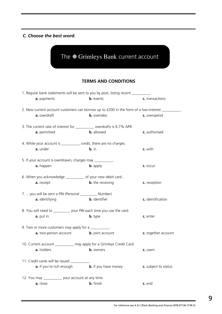#### *C. Choose the best word.*



#### **TERMS AND CONDITIONS**

| 1. Regular bank statements will be sent to you by post, listing recent _________.        |                                                             |                      |
|------------------------------------------------------------------------------------------|-------------------------------------------------------------|----------------------|
| a. payments                                                                              | <b>b.</b> events                                            | c. transactions      |
| 2. New current account customers can borrow up to £200 in the form of a low-interest ___ |                                                             |                      |
| a. overdraft                                                                             | <b>b.</b> overtake                                          | c. overspend         |
| 3. The current rate of interest for ___________ overdrafts is 6.7% APR.                  |                                                             |                      |
| a. permitted                                                                             | <b>b.</b> allowed                                           | c. authorised        |
| 4. While your account is ___________ credit, there are no charges.                       |                                                             |                      |
| a. under                                                                                 | b. in                                                       | c. with              |
| 5. If your account is overdrawn, charges may ___________.                                |                                                             |                      |
| a. happen                                                                                | <b>b.</b> apply                                             | c. occur             |
| 6. When you acknowledge ____________ of your new debit card                              |                                                             |                      |
| a. receipt                                                                               | <b>b.</b> the receiving                                     | c. reception         |
| 7. you will be sent a PIN (Personal ___________ Number)                                  |                                                             |                      |
| a. identifying                                                                           | <b>b.</b> identifier                                        | c. identification    |
| 8. You will need to ___________ your PIN each time you use the card.                     |                                                             |                      |
| a. put in                                                                                | <b>b.</b> type                                              | c. enter             |
| 9. Two or more customers may apply for a __________.                                     |                                                             |                      |
| a. two-person account                                                                    | <b>b.</b> joint account                                     | c. together account  |
| 10. Current account ___________ may apply for a Grimleys Credit Card.                    |                                                             |                      |
| a. holders                                                                               | <b>b.</b> owners                                            | c. users             |
| 11. Credit cards will be issued __________.                                              |                                                             |                      |
|                                                                                          | <b>a.</b> if you're rich enough <b>b.</b> if you have money | c. subject to status |
| 12. You may _____________ your account at any time.                                      |                                                             |                      |
| a. close                                                                                 | <b>b.</b> finish                                            | c. end               |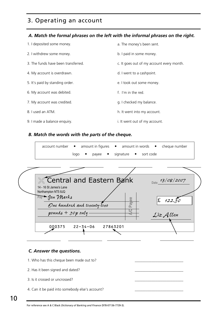## 3. Operating an account

#### *A. Match the formal phrases on the left with the informal phrases on the right.*

| 1. I deposited some money.          | a. The money's been sent.                 |
|-------------------------------------|-------------------------------------------|
| 2. I withdrew some money.           | b. I paid in some money.                  |
| 3. The funds have been transferred. | c. It goes out of my account every month. |
| 4. My account is overdrawn.         | d. I went to a cashpoint.                 |
| 5. It's paid by standing order.     | e. I took out some money.                 |
| 6. My account was debited.          | f. I'm in the red.                        |
| 7. My account was credited.         | g. I checked my balance.                  |
| 8. Lused an ATM.                    | h. It went into my account.               |
| 9. I made a balance enquiry.        | i. It went out of my account.             |

#### *B. Match the words with the parts of the cheque.*

| $account number -$<br>amount in figures $\bullet$ amount in words $\bullet$ cheque number |  |
|-------------------------------------------------------------------------------------------|--|
| sort code<br>signature<br>logo<br>$\bullet$<br>payee •                                    |  |
|                                                                                           |  |
|                                                                                           |  |
|                                                                                           |  |
| Central and Eastern Bank<br>Date 13/08/2007                                               |  |
| 14 - 16 St James's Lane<br>Northampton NT5 8JQ                                            |  |
| Pay Jon Marks<br>$\mathbf f$<br>122.50                                                    |  |
| Payee<br>One hundred and tiventy-tivo                                                     |  |
| pounds + $_{Jop}$ only-<br>LieAllen                                                       |  |
|                                                                                           |  |
| 000375<br>$22 - 34 - 06$<br>27863201                                                      |  |
|                                                                                           |  |
|                                                                                           |  |

#### *C. Answer the questions.*

<span id="page-10-0"></span>1. Who has this cheque been made out to? 2. Has it been signed and dated? 3. Is it crossed or uncrossed? 4. Can it be paid into somebody else's account?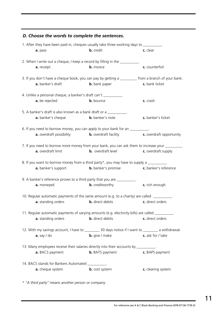## *D. Choose the words to complete the sentences.* 1. After they have been paid in, cheques usually take three working days to **a.** pass **b.** credit **c.** clear 2. When I write out a cheque, I keep a record by filling in the \_\_\_\_\_\_\_\_\_\_. **a.** receipt **b.** invoice **c.** counterfoil 3. If you don't have a cheque book, you can pay by getting a \_\_\_\_\_\_\_\_\_ from a branch of your bank. **a.** banker's draft **b.** bank paper **c.** bank ticket 4. Unlike a personal cheque, a banker's draft can't \_\_\_\_\_\_\_\_\_\_. **a.** be rejected **b.** bounce **c.** crash 5. A banker's draft is also known as a bank draft or a **a.** banker's cheque **b.** banker's note **c.** banker's ticket 6. If you need to borrow money, you can apply to your bank for an **a.** overdraft possibility **b.** overdraft facility **c.** overdraft opportunity 7. If you need to borrow more money from your bank, you can ask them to increase your \_\_\_ **a.** overdraft limit **b.** overdraft level **c.** overdraft supply 8. If you want to borrow money from a third party\*, you may have to supply a  $\qquad$ **a.** banker's support **b.** banker's promise **c.** banker's reference 9. A banker's reference proves to a third party that you are \_\_\_\_\_\_\_\_\_ **a.** moneyed **b.** creditworthy **c.** rich enough 10. Regular automatic payments of the same amount (e.g. to a charity) are called **a.** standing orders **b.** direct debits **c.** direct orders 11. Regular automatic payments of varying amounts (e.g. electricity bills) are called \_\_\_\_\_\_\_ **a.** standing orders **b.** direct debits **c.** direct orders 12. With my savings account, I have to \_\_\_\_\_\_\_\_ 30 days notice if I want to \_\_\_\_\_\_\_ a withdrawal. **a.** say / do **b.** give / make **c.** ask for / take 13. Many employees receive their salaries directly into their accounts by \_\_\_\_\_\_ **a.** BACS payment **b.** BATS payment **c.** BAPS payment 14. BACS stands for Bankers Automated **a.** cheque system **b.** cost system **c.** clearing system

*\* "A third party" means another person or company*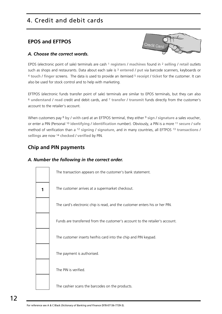## 4. Credit and debit cards

### **EPOS and EFTPOS**



#### *A. Choose the correct words.*

EPOS (electronic point of sale) terminals are cash 1 **registers** / **machines** found in 2 **selling** / **retail** outlets such as shops and restaurants. Data about each sale is 3 **entered** / **put** via barcode scanners, keyboards or <sup>4</sup> **touch** / **finger** screens. The data is used to provide an itemised 5 **receipt** / **ticket** for the customer. It can also be used for stock control and to help with marketing.

EFTPOS (electronic funds transfer point of sale) terminals are similar to EPOS terminals, but they can also <sup>6</sup> **understand** / **read** credit and debit cards, and 7 **transfer** / **transmit** funds directly from the customer's account to the retailer's account.

When customers pay 8 **by** / **with** card at an EFTPOS terminal, they either 9 **sign** / **signature** a sales voucher, or enter a PIN (Personal 10 **identifying** / **identification** number). Obviously, a PIN is a more 11 **secure** / **safe** method of verification than a 12 **signing** / **signature**, and in many countries, all EFTPOS 13 **transactions** / **sellings** are now 14 **checked** / **verified** by PIN.

## **Chip and PIN payments**

#### *A. Number the following in the correct order.*

<span id="page-12-0"></span>

| The transaction appears on the customer's bank statement.                    |
|------------------------------------------------------------------------------|
| The customer arrives at a supermarket checkout.                              |
| The card's electronic chip is read, and the customer enters his or her PIN.  |
| Funds are transferred from the customer's account to the retailer's account. |
| The customer inserts her/his card into the chip and PIN keypad.              |
| The payment is authorised.                                                   |
| The PIN is verified.                                                         |
| The cashier scans the barcodes on the products.                              |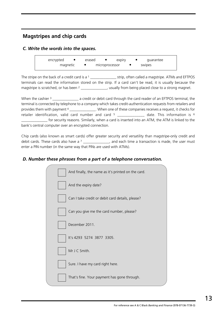## **Magstripes and chip cards**

#### *C. Write the words into the spaces.*

encrypted • erased • expiry • guarantee  $m$ agnetic  $\bullet$  microprocessor  $\bullet$  swipes

The stripe on the back of a credit card is a 1  $\qquad \qquad$  strip, often called a magstripe. ATMs and EFTPOS terminals can read the information stored on the strip. If a card can't be read, it is usually because the magstripe is scratched, or has been 2 \_\_\_\_\_\_\_\_\_\_\_\_\_\_, usually from being placed close to a strong magnet.

When the cashier 3 and through the card reader of an EFTPOS terminal, the terminal is connected by telephone to a company which takes credit-authentication requests from retailers and provides them with payment <sup>4</sup> \_\_\_\_\_\_\_\_\_\_\_\_\_\_\_. When one of these companies receives a request, it checks for retailer identification, valid card number and card  $5$  \_\_\_\_\_\_\_\_\_\_\_\_\_\_ date. This information is  $6$ \_\_\_\_\_\_\_\_\_\_\_\_\_\_ for security reasons. Similarly, when a card is inserted into an ATM, the ATM is linked to the bank's central computer over an encrypted connection.

Chip cards (also known as smart cards) offer greater security and versatility than magstripe-only credit and debit cards. These cards also have a  $7 \_ \_ \_ \_ \_ \_ \_ \_$  and each time a transaction is made, the user must enter a PIN number (in the same way that PINs are used with ATMs).

#### *D. Number these phrases from a part of a telephone conversation.*

| And finally, the name as it's printed on the card. |
|----------------------------------------------------|
| And the expiry date?                               |
| Can I take credit or debit card details, please?   |
| Can you give me the card number, please?           |
| December 2011.                                     |
| It's 4293 5274 3877 3305.                          |
| Mr J C Smith.                                      |
| Sure. I have my card right here.                   |
| That's fine. Your payment has gone through.        |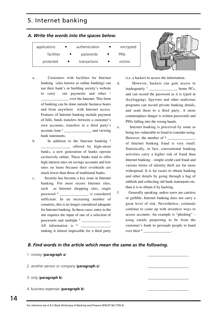## 5. Internet banking

| A. Write the words into the spaces below. |  |                |  |                        |  |  |
|-------------------------------------------|--|----------------|--|------------------------|--|--|
| applications                              |  | authentication |  | encrypted              |  |  |
| facilities                                |  | passwords      |  | <b>PIN<sub>S</sub></b> |  |  |

protected • transactions • victims

- a. Customers with facilities for Internet banking (also known as online banking) can use their bank's or building society's website to carry out payments and other 1 \_\_\_\_\_\_\_\_\_\_\_\_\_\_\_ over the Internet. This form of banking can be done outside business hours and from anywhere with Internet access. Features of Internet banking include payment of bills, funds transfers between a customer's own accounts, transfers to a third party's account, loan <sup>2</sup> and viewing bank statements.
- b. In addition to the Internet banking 3 \_\_\_\_\_\_\_\_\_\_\_\_\_\_\_ offered by high-street banks, a new generation of banks operate exclusively online. These banks tend to offer high interest rates on savings accounts and low rates on loans because their overheads are much lower than those of traditional banks.
- c. Security has become a key issue in Internet banking. For most secure Internet sites, such as Internet shopping sites, single password 4 \_\_\_\_\_\_\_\_\_\_\_\_\_\_\_ is considered sufficient. In an increasing number of countries, this is no longer considered adequate for Internet banking. In these cases, entry to the site requires the input of one of a selection of passwords and multiple <sup>5</sup> and multiple 5 All information is  $6 \quad$ making it almost impossible for a third party

(i.e. a hacker) to access the information.

- d. However, hackers can gain access to inadequately <sup>7</sup> home PCs, and can record the password as it is typed in (keylogging). Spyware and other malicious programs can record private banking details, and send them to a third party. A more commonplace danger is written passwords and PINs falling into the wrong hands.
- e. Internet banking is perceived by some as being too vulnerable to fraud to consider using. However, the number of  $8$ of Internet banking fraud is very small. Statistically, in fact, conventional banking activities carry a higher risk of fraud than Internet banking – simple credit card fraud and various forms of identity theft are far more widespread. It is far easier to obtain banking and other details by going through a bag of rubbish and collecting old bank statements etc. than it is to obtain it by hacking.
- f. Generally speaking, unless users are careless or gullible, Internet banking does not carry a great level of risk. Nevertheless, criminals continue to come up with inventive ways to access accounts. An example is "phishing" – using emails purporting to be from the customer's bank to persuade people to hand over their <sup>9</sup>

#### *B. Find words in the article which mean the same as the following.*

| 1. money (paragraph a)                              |  |
|-----------------------------------------------------|--|
| 2. another person or company ( <b>paragraph a</b> ) |  |
| 3. only ( <b>paragraph b</b> )                      |  |
| 4. business expenses (paragraph b)                  |  |

#### <span id="page-14-0"></span>For reference see A & C Black *Dictionary of Banking and Finance* (978-07136-7739-3).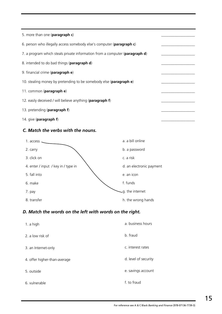| 5. more than one (paragraph c)                                                       |
|--------------------------------------------------------------------------------------|
| 6. person who illegally access somebody else's computer (paragraph c)                |
| 7. a program which steals private information from a computer ( <b>paragraph d</b> ) |
| 8. intended to do bad things (paragraph d)                                           |
| 9. financial crime (paragraph e)                                                     |
| 10. stealing money by pretending to be somebody else ( <b>paragraphe</b> )           |
| 11. common (paragraph e)                                                             |
| 12. easily deceived / will believe anything (paragraph f)                            |
| 13. pretending ( <b>paragraph f</b> )                                                |
| 14. give ( <b>paragraph f</b> )                                                      |

#### *C. Match the verbs with the nouns.*



## *D. Match the words on the left with words on the right.*

| 1. a high                    | a. business hours    |
|------------------------------|----------------------|
| 2. a low risk of             | b. fraud             |
| 3. an Internet-only          | c. interest rates    |
| 4. offer higher-than-average | d. level of security |
| 5. outside                   | e. savings account   |
| 6. vulnerable                | f. to fraud          |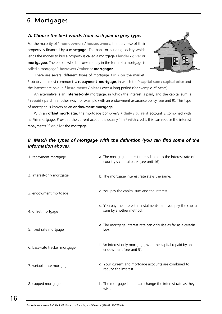## 6. Mortgages

#### *A. Choose the best words from each pair in grey type.*

For the majority of 1 **homeowners** / **houseowners**, the purchase of their property is financed by a **mortgage**. The bank or building society which lends the money to buy a property is called a mortgage 2 **lender** / **giver** or **mortgagee**. The person who borrows money in the form of a mortgage is called a mortgage 3 **borrower** / **taker** or **mortgagor**.



There are several different types of mortgage 4 **in** / **on** the market. Probably the most common is a **repayment mortgage**, in which the 5 **capital sum** / **capital price** and the interest are paid in 6 **instalments** / **pieces** over a long period (for example 25 years).

An alternative is an **interest-only** mortgage, in which the interest is paid, and the capital sum is <sup>7</sup> **repaid** / **paid** in another way, for example with an endowment assurance policy (see [unit 9\).](#page-22-0) This type of mortgage is known as an **endowment mortgage**.

With an **offset mortgage**, the mortgage borrower's 8 **daily** / **current** account is combined with her/his mortgage. Provided the current account is usually 9 **in** / **with** credit, this can reduce the interest repayments 10 **on** / **for** the mortgage.

#### *B. Match the types of mortgage with the definition (you can find some of the information above).*

<span id="page-16-0"></span>

| 1. repayment mortgage         | a. The mortgage interest rate is linked to the interest rate of<br>country's central bank (see unit 16). |
|-------------------------------|----------------------------------------------------------------------------------------------------------|
| 2. interest-only mortgage     | b. The mortgage interest rate stays the same.                                                            |
| 3. endowment mortgage         | c. You pay the capital sum and the interest.                                                             |
| 4. offset mortgage            | d. You pay the interest in instalments, and you pay the capital<br>sum by another method.                |
| 5. fixed rate mortgage        | e. The mortgage interest rate can only rise as far as a certain<br>level.                                |
| 6. base-rate tracker mortgage | f. An interest-only mortgage, with the capital repaid by an<br>endowment (see unit 9).                   |
| 7. variable rate mortgage     | g. Your current and mortgage accounts are combined to<br>reduce the interest.                            |
| 8. capped mortgage            | h. The mortgage lender can change the interest rate as they<br>wish.                                     |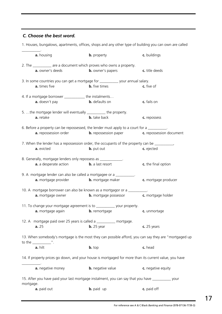#### *C. Choose the best word.*

\_\_\_\_\_\_\_\_\_\_. **a.** housing **b.** property **c.** buildings 2. The \_\_\_\_\_\_\_\_\_\_ are a document which proves who owns a property. **a.** owner's deeds **b.** owner's papers **c.** title deeds 3. In some countries you can get a mortgage for \_\_\_\_\_\_\_\_\_\_ your annual salary. **a.** times five **b.** five times **c.** five of 4. If a mortgage borrower the instalments... **a.** doesn't pay **b.** defaults on **c.** fails on 5. …the mortgage lender will eventually \_\_\_\_\_\_\_\_\_\_ the property. **a.** retake **b.** take back **c.** repossess 6. Before a property can be repossessed, the lender must apply to a court for a **a.** repossession order **b.** repossession paper **c.** repossession document 7. When the lender has a repossession order, the occupants of the property can be \_\_\_\_\_\_\_\_\_\_ **a.** evicted **b.** put out **c.** ejected 8. Generally, mortgage lenders only repossess as **a.** a desperate action **b.** a last resort **c.** the final option 9. A mortgage lender can also be called a mortgagee or a **a.** mortgage provider **b.** mortgage maker **c.** mortgage producer 10. A mortgage borrower can also be known as a mortgagor or a **a.** mortgage owner **b.** mortgage possessor **c.** mortgage holder 11. To change your mortgage agreement is to \_\_\_\_\_\_\_\_\_\_ your property. **a.** mortgage again **b.** remortgage **c.** unmortage 12. A mortgage paid over 25 years is called a \_\_\_\_\_\_\_\_\_\_ mortgage. **a.** 25 **b.** 25 year **c.** 25 years 13. When somebody's mortgage is the most they can possible afford, you can say they are "mortgaged up to the \_\_\_\_\_\_\_\_\_\_". **a.** hilt **b.** top **c.** head 14. If property prices go down, and your house is mortgaged for more than its current value, you have \_\_\_\_\_\_\_\_\_\_. **a.** negative money **b.** negative value **c.** negative equity 15. After you have paid your last mortgage instalment, you can say that you have \_\_\_\_\_\_\_\_\_\_ your mortgage. **a.** paid out **b.** paid up **c.** paid off

1. Houses, bungalows, apartments, offices, shops and any other type of building you can own are called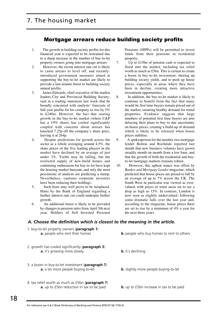#### Mortgage arrears reduce building society profits

- 1. The growth in building society profits for this financial year is expected to be restrained due to a sharp increase in the number of buy-to-let property owners going into mortgage arrears.
- 2. However, the recent interest rate cut is likely to cause arrears to level off, and recentlyintroduced government measures aimed at supporting the buy-to-let market are likely to provide a last-minute boost to building society annual profits.
- 3. James Edwards, chief executive of the market leaders City and Provincial Building Society, said in a trading statement last week that he broadly concurred with analysts' forecasts of full-year profits for his company to rise by 5% to £240m. However, the fact that soaring growth in the buy-to-let market (where C&P has a 19% share) has cooled significantly coupled with concerns about arrears has knocked 7.25p off the company's share price, leaving it at 264p.
- 4. Despite predictions for growth across the sector as a whole averaging around 4.5%, the share prices of the five leading players in the market have declined by an average of just under 3%. Yields may be falling, but the restricted supply of new-build homes and continuing enthusiasm for buy-to-let have kept the housing market buoyant, and only the most pessimistic of analysts are predicting a slump. Nevertheless, cautious corporate investors have been reducing their holdings.
- 5. Such fears may well prove to be misplaced. Hints by the Bank of England regarding a further interest rate cut could underpin further growth.
- 6. An additional boost is likely to be provided by changes to pension rules from April 5th next year. Holders of Self Invested Personal

#### *A. Choose the definition which is closest to the meaning in the article.*

| 1. buy-to-let property owners ( <b>paragraph 1</b> )<br>a. people who rent their homes                         | <b>b.</b> people who buy homes to rent to others |
|----------------------------------------------------------------------------------------------------------------|--------------------------------------------------|
| 2. growth has cooled significantly ( <b>paragraph 3</b> )<br>a. it's growing more slowly                       | <b>b.</b> it's declining                         |
| 3. a boom in buy-to-let investment ( <b>paragraph 7</b> )<br>a. a lot more people buying-to-let                | <b>b.</b> slightly more people buying-to-let     |
| 4. tax relief worth as much as £5bn ( <b>paragraph 7</b> )<br><b>a.</b> up to £5bn reduction in tax to be paid | <b>b.</b> up to £5bn increase in tax to be paid  |

Pensions (SIPPs) will be permitted to invest funds from their pensions in residential property.

- 7. Up to £15bn of pension cash is expected to flood into the market, including tax relief worth as much as £5bn. This is certain to create a boom in buy-to-let investment, shoring up building society yields, and to push up house prices, especially in areas where they have been in decline, creating more attractive investment opportunities.
- 8. In addition, the buy-to-let market is likely to continue to benefit from the fact that many would-be first time buyers remain priced out of the market, ensuring healthy demand for rental properties. Evidence suggests that large numbers of potential first time buyers are also delaying their plans to buy to due uncertainty on house prices, creating a build-up of demand which is likely to be released when house prices stabilise.
- 9. A spokesperson for the number two mortgage lender Bolton and Rochdale reported last month that new business volumes have grown steadily month on month from a low base, and that the growth of both the residential and buyto-let mortgage markets remains robust.
- 10. However, this upbeat stance was offset by *Banker and Mortgage Lender* magazine, which predicted that house prices are poised to fall by an average of up to 7% across the UK. The South West in particular was viewed as overvalued, with prices in some areas set to see a drop as high as 15%. In contrast, London is now seen as slightly undervalued, following some dramatic falls over the last year and, according to the magazine, house prices there are set to rise by a minimum of 4% a year for the next three years.

<span id="page-18-0"></span>For reference see A & C Black *Dictionary of Banking and Finance* (978-07136-7739-3).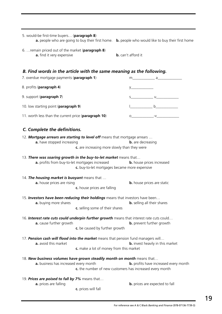| 5. would-be first-time buyers (paragraph 8)                                                                                                              | a. people who are going to buy their first home. b. people who would like to buy their first home                                                                                                                                                                                                                                            |
|----------------------------------------------------------------------------------------------------------------------------------------------------------|----------------------------------------------------------------------------------------------------------------------------------------------------------------------------------------------------------------------------------------------------------------------------------------------------------------------------------------------|
| 6.  remain priced out of the market (paragraph 8)<br>a. find it very expensive                                                                           | <b>b.</b> can't afford it                                                                                                                                                                                                                                                                                                                    |
| B. Find words in the article with the same meaning as the following.<br>7. overdue mortgage payments (paragraph 1)                                       |                                                                                                                                                                                                                                                                                                                                              |
| 8. profits (paragraph 4)                                                                                                                                 |                                                                                                                                                                                                                                                                                                                                              |
| 9. support (paragraph 7)                                                                                                                                 | $S$ and $S$ and $S$ and $S$ and $S$ and $S$ and $S$ and $S$ and $S$ and $S$ and $S$ and $S$ and $S$ and $S$ and $S$ and $S$ and $S$ and $S$ and $S$ and $S$ and $S$ and $S$ and $S$ and $S$ and $S$ and $S$ and $S$ and $S$ a                                                                                                                |
| 10. low starting point (paragraph 9)                                                                                                                     |                                                                                                                                                                                                                                                                                                                                              |
| 11. worth less than the current price (paragraph 10)                                                                                                     | $\begin{picture}(150,10) \put(0,0){\line(1,0){100}} \put(15,0){\line(1,0){100}} \put(15,0){\line(1,0){100}} \put(15,0){\line(1,0){100}} \put(15,0){\line(1,0){100}} \put(15,0){\line(1,0){100}} \put(15,0){\line(1,0){100}} \put(15,0){\line(1,0){100}} \put(15,0){\line(1,0){100}} \put(15,0){\line(1,0){100}} \put(15,0){\line(1,0){100}}$ |
| C. Complete the definitions.                                                                                                                             |                                                                                                                                                                                                                                                                                                                                              |
| 12. Mortgage arrears are starting to level off means that mortgage arrears<br>a. have stopped increasing<br>c. are increasing more slowly than they were | <b>b.</b> are decreasing                                                                                                                                                                                                                                                                                                                     |
| 13. There was soaring growth in the buy-to-let market means that<br>a. profits from buy-to-let mortgages increased                                       | <b>b.</b> house prices increased<br>c. buy-to-let mortgages became more expensive                                                                                                                                                                                                                                                            |
| 14. The housing market is buoyant means that<br>a. house prices are rising<br>c. house prices are falling                                                | <b>b.</b> house prices are static                                                                                                                                                                                                                                                                                                            |
| 15. Investors have been reducing their holdings means that investors have been<br>a. buying more shares<br>c. selling some of their shares               | <b>b.</b> selling all their shares                                                                                                                                                                                                                                                                                                           |
| 16. Interest rate cuts could underpin further growth means that interest rate cuts could<br>a. cause further growth<br>c. be caused by further growth    | <b>b.</b> prevent further growth                                                                                                                                                                                                                                                                                                             |
| 17. Pension cash will flood into the market means that pension fund managers will<br>a. avoid this market<br>c. make a lot of money from this market     | <b>b.</b> invest heavily in this market                                                                                                                                                                                                                                                                                                      |
| 18. New business volumes have grown steadily month on month means that<br>a. business has increased every month                                          | <b>b.</b> profits have increased every month<br>c. the number of new customers has increased every month                                                                                                                                                                                                                                     |
| 19. Prices are poised to fall by 7% means that<br>a. prices are falling<br>c. prices will fall                                                           | <b>b.</b> prices are expected to fall                                                                                                                                                                                                                                                                                                        |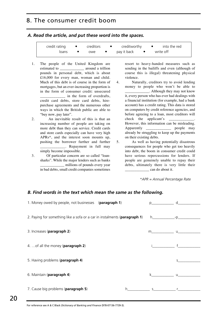## 8. The consumer credit boom

*A. Read the article, and put these word into the spaces.*

| cradit rating |  | craditworthy |  |
|---------------|--|--------------|--|
|               |  |              |  |

| credit rating | • creditors | $\bullet$ creditworthy | into the red<br>$\bullet$ and $\bullet$ and $\bullet$ |
|---------------|-------------|------------------------|-------------------------------------------------------|
| loans         | owe         | pay it back            | write off                                             |

- 1. The people of the United Kingdom are estimated to **around a trillion** pounds in personal debt, which is about £16,000 for every man, woman and child. Much of this debt is of course in the form of mortgages, but an ever-increasing proportion is in the form of consumer credit: unsecured in the form of overdrafts, credit card debts, store card debts, hirepurchase agreements and the numerous other ways in which the British public are able to "buy now, pay later".
- 2. An inevitable result of this is that an increasing number of people are taking on more debt than they can service. Credit cards and store cards especially can have very high APRs\*, and the interest soon mounts up, pushing the borrower further and further \_\_\_\_. Repayment in full may simply become impossible.
- 3. Of particular concern are so called "loansharks". While the major lenders such as banks \_\_\_\_\_\_\_\_\_\_\_\_\_ millions of pounds every year in bad debts, small credit companies sometimes

resort to heavy-handed measures such as sending in the bailiffs and even (although of course this is illegal) threatening physical violence.

- 4. Naturally, creditors try to avoid lending money to people who won't be able to \_\_\_\_\_\_\_\_\_\_\_\_\_. Although they may not know it, every person who has ever had dealings with a financial institution (for example, had a bank account) has a credit rating. This data is stored on computers by credit reference agencies, and before agreeing to a loan, most creditors will check the applicant's However, this information can be misleading. Apparently \_\_\_\_\_\_\_\_\_\_\_\_\_ people may already be struggling to keep up the payments on their existing debts.
- 5. As well as having potentially disastrous consequences for people who get too heavily into debt, the boom in consumer credit could have serious repercussions for lenders. If people are genuinely unable to repay their debts, ultimately there is very little their can do about it.

*\*APR = Annual Percentage Rate*

#### *B. Find words in the text which mean the same as the following.*

<span id="page-20-0"></span>

| 1. Money owed by people, not businesses (paragraph 1)                     |              | $p \qquad \qquad d \qquad \qquad$ |
|---------------------------------------------------------------------------|--------------|-----------------------------------|
|                                                                           |              |                                   |
| 2. Paying for something like a sofa or a car in instalments (paragraph 1) |              |                                   |
|                                                                           |              |                                   |
| 3. Increases (paragraph 2)                                                |              |                                   |
| 4.  of all the money (paragraph 2)                                        |              |                                   |
|                                                                           |              |                                   |
| 5. Having problems (paragraph 4)                                          |              |                                   |
|                                                                           |              |                                   |
| 6. Maintain (paragraph 4)                                                 | $\mathbf{u}$ |                                   |
|                                                                           |              |                                   |
| 7. Cause big problems (paragraph 5)                                       | $\mathsf{S}$ |                                   |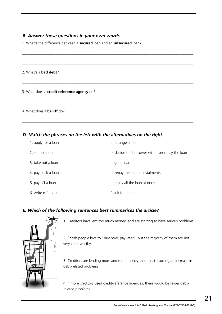#### *B. Answer these questions in your own words.*

1. What's the difference between a **secured** loan and an **unsecured** loan?

#### 2. What's a **bad debt**?

3. What does a **credit reference agency** do?

#### 4. What does a **bailiff** do?

#### *D. Match the phrases on the left with the alternatives on the right.*

| 1. apply for a loan | a. arrange a loan                                |
|---------------------|--------------------------------------------------|
| 2. set up a loan    | b. decide the borrower will never repay the loan |
| 3. take out a loan  | c. get a loan                                    |
| 4. pay back a loan  | d. repay the loan in instalments                 |
| 5. pay off a loan   | e. repay all the loan at once                    |
| 6. write off a loan | f. ask for a loan                                |

 $\_$  . The contribution of the contribution of the contribution of the contribution of the contribution of the contribution of the contribution of the contribution of the contribution of the contribution of the contributio

 $\_$  ,  $\_$  ,  $\_$  ,  $\_$  ,  $\_$  ,  $\_$  ,  $\_$  ,  $\_$  ,  $\_$  ,  $\_$  ,  $\_$  ,  $\_$  ,  $\_$  ,  $\_$  ,  $\_$  ,  $\_$  ,  $\_$  ,  $\_$  ,  $\_$  ,  $\_$  ,  $\_$  ,  $\_$  ,  $\_$  ,  $\_$  ,  $\_$  ,  $\_$  ,  $\_$  ,  $\_$  ,  $\_$  ,  $\_$  ,  $\_$  ,  $\_$  ,  $\_$  ,  $\_$  ,  $\_$  ,  $\_$  ,  $\_$  ,

 $\_$  . The contribution of the contribution of the contribution of the contribution of the contribution of the contribution of the contribution of the contribution of the contribution of the contribution of the contributio

 $\_$  , and the set of the set of the set of the set of the set of the set of the set of the set of the set of the set of the set of the set of the set of the set of the set of the set of the set of the set of the set of th

 $\_$  . The contribution of the contribution of the contribution of the contribution of the contribution of the contribution of the contribution of the contribution of the contribution of the contribution of the contributio

#### *E. Which of the following sentences best summarises the article?*



1. Creditors have lent too much money, and are starting to have serious problems.

2. British people love to "buy now, pay later", but the majority of them are not very creditworthy.

3. Creditors are lending more and more money, and this is causing an increase in debt-related problems.

4. If more creditors used credit-reference agencies, there would be fewer debtrelated problems.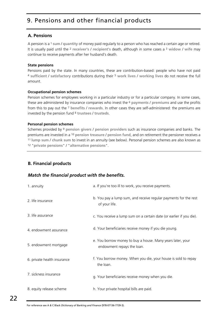## 9. Pensions and other financial products

#### **A. Pensions**

A pension is a 1 **sum** / **quantity** of money paid regularly to a person who has reached a certain age or retired. It is usually paid until the 2 **receiver's** / **recipient's** death, although in some cases a 3 **widow** / **wife** may continue to receive payments after her husband's death.

#### **State pensions**

Pensions paid by the state. In many countries, these are contribution-based: people who have not paid <sup>4</sup> **sufficient** / **satisfactory** contributions during their 5 **work lives** / **working lives** do not receive the full amount.

#### **Occupational pension schemes**

Pension schemes for employees working in a particular industry or for a particular company. In some cases, these are administered by insurance companies who invest the 6 **payments** / **premiums** and use the profits from this to pay out the 7 **benefits** / **rewards**. In other cases they are self-administered: the premiums are invested by the pension fund 8 **trustees** / **trusteds**.

#### **Personal pension schemes**

Schemes provided by 9 **pension givers** / **pension providers** such as insurance companies and banks. The premiums are invested in a 10 **pension treasure** / **pension fund**, and on retirement the pensioner receives a <sup>11</sup>**lump sum** / **chunk sum** to invest in an annuity (see below). Personal pension schemes are also known as <sup>12</sup> "**private pensions**" / "**alternative pensions**".

#### **B. Financial products**

#### *Match the financial product with the benefits.*

| 1. annuity                  | a. If you're too ill to work, you receive payments.                                      |
|-----------------------------|------------------------------------------------------------------------------------------|
| 2. life insurance           | b. You pay a lump sum, and receive regular payments for the rest<br>of your life.        |
| 3. life assurance           | c. You receive a lump sum on a certain date (or earlier if you die).                     |
| 4. endowment assurance      | d. Your beneficiaries receive money if you die young.                                    |
| 5. endowment mortgage       | e. You borrow money to buy a house. Many years later, your<br>endowment repays the loan. |
| 6. private health insurance | f. You borrow money. When you die, your house is sold to repay<br>the loan.              |
| 7. sickness insurance       | g. Your beneficiaries receive money when you die.                                        |
| 8. equity release scheme    | h. Your private hospital bills are paid.                                                 |

<span id="page-22-0"></span>For reference see A & C Black *Dictionary of Banking and Finance* (978-07136-7739-3).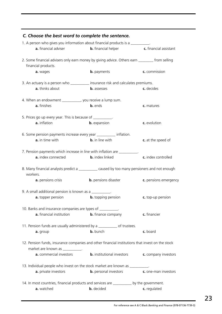| 1. A person who gives you information about financial products is a __________.                                                      |                                   |                               |
|--------------------------------------------------------------------------------------------------------------------------------------|-----------------------------------|-------------------------------|
| <b>a.</b> financial adviser                                                                                                          | <b>b.</b> financial helper        | <b>c.</b> financial assistant |
| 2. Some financial advisers only earn money by giving advice. Others earn ________ from selling<br>financial products.                |                                   |                               |
| a. wages                                                                                                                             | <b>b.</b> payments                | c. commission                 |
| 3. An actuary is a person who ___________ insurance risk and calculates premiums.                                                    |                                   |                               |
| a. thinks about                                                                                                                      | <b>b.</b> assesses                | c. decides                    |
| 4. When an endowment ___________, you receive a lump sum.                                                                            |                                   |                               |
| a. finishes                                                                                                                          | <b>b.</b> ends                    | c. matures                    |
| 5. Prices go up every year. This is because of __________.                                                                           |                                   |                               |
| a. inflation                                                                                                                         | <b>b.</b> expansion               | c. evolution                  |
| 6. Some pension payments increase every year ___________ inflation.                                                                  |                                   |                               |
| a. in time with                                                                                                                      | <b>b.</b> in line with            | c. at the speed of            |
| 7. Pension payments which increase in line with inflation are __________.                                                            |                                   |                               |
| a. index connected                                                                                                                   | <b>b.</b> index linked            | c. index controlled           |
| 8. Many financial analysts predict a ___________ caused by too many pensioners and not enough<br>workers.                            |                                   |                               |
| a. pensions crisis                                                                                                                   | <b>b.</b> pensions disaster       | c. pensions emergency         |
| 9. A small additional pension is known as a ___________.                                                                             |                                   |                               |
| <b>a.</b> topper pension                                                                                                             | <b>b.</b> topping pension         | c. top-up pension             |
| 10. Banks and insurance companies are types of __________.                                                                           |                                   |                               |
| a. financial institution                                                                                                             | <b>b.</b> finance company         | c. financier                  |
| 11. Pension funds are usually administered by a __________ of trustees.                                                              |                                   |                               |
| a. group                                                                                                                             | <b>b.</b> bunch                   | c. board                      |
| 12. Pension funds, insurance companies and other financial institutions that invest on the stock<br>market are known as ___________. |                                   |                               |
| a. commercial investors                                                                                                              | <b>b.</b> institutional investors | c. company investors          |
| 13. Individual people who invest on the stock market are known as __________.                                                        |                                   |                               |
| a. private investors                                                                                                                 | <b>b.</b> personal investors      | <b>c.</b> one-man investors   |
| 14. In most countries, financial products and services are ___________ by the government.                                            |                                   |                               |
| a. watched                                                                                                                           | <b>b.</b> decided                 | c. regulated                  |

#### *C. Choose the best word to complete the sentence.*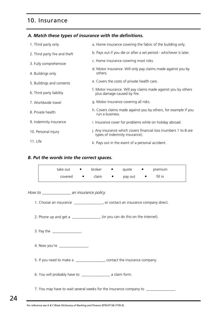## 10. Insurance

#### *A. Match these types of insurance with the definitions.*

| 1. Third party only           | a. Home insurance covering the fabric of the building only.                                        |
|-------------------------------|----------------------------------------------------------------------------------------------------|
| 2. Third party fire and theft | b. Pays out if you die or after a set period - whichever is later.                                 |
| 3. Fully comprehensive        | c. Home insurance covering most risks.                                                             |
| 4. Buildings only             | d. Motor insurance. Will only pay claims made against you by<br>others.                            |
| 5. Buildings and contents     | e. Covers the costs of private health care.                                                        |
| 6. Third party liability      | f. Motor insurance. Will pay claims made against you by others<br>plus damage caused by fire.      |
| 7. Worldwide travel           | g. Motor insurance covering all risks.                                                             |
| 8. Private health             | h. Covers claims made against you by others, for example if you<br>run a business.                 |
| 9. Indemnity insurance        | i. Insurance cover for problems while on holiday abroad.                                           |
| 10. Personal injury           | j. Any insurance which covers financial loss (numbers 1 to 8 are<br>types of indemnity insurance). |
| 11. Life                      | k. Pays out in the event of a personal accident.                                                   |

#### *B. Put the words into the correct spaces.*

| take out | $\bullet$ | broker | $\bullet$                        | quote   | $\bullet$ | premium |
|----------|-----------|--------|----------------------------------|---------|-----------|---------|
| covered  | $\bullet$ | claim  | $\bullet$ . The set of $\bullet$ | pay out | $\bullet$ | fill in |

*How to \_\_\_\_\_\_\_\_\_\_\_\_\_\_ an insurance policy.*

1. Choose an insurance *\_\_\_\_\_\_\_\_\_\_\_\_\_\_*, or contact an insurance company direct.

2. Phone up and get a *\_\_\_\_\_\_\_\_\_\_\_\_\_\_* (or you can do this on the internet).

- 3. Pay the *\_\_\_\_\_\_\_\_\_\_\_\_\_\_*.
- 4. Now you're *\_\_\_\_\_\_\_\_\_\_\_\_\_\_*.
- 5. If you need to make a *\_\_\_\_\_\_\_\_\_\_\_\_\_\_*, contact the insurance company.
- 6. You will probably have to *\_\_\_\_\_\_\_\_\_\_\_\_\_\_* a claim form.
- <span id="page-24-0"></span>7. You may have to wait several weeks for the insurance company to *\_\_\_\_\_\_\_\_\_\_\_\_\_\_*.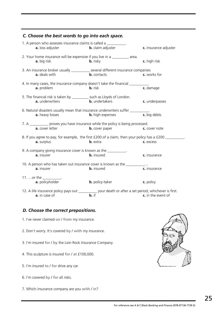| C. Choose the best words to go into each space.                                                                                                          |                          |                       |
|----------------------------------------------------------------------------------------------------------------------------------------------------------|--------------------------|-----------------------|
| 1. A person who assesses insurance claims is called a ___________.<br>a. loss adjuster                                                                   | <b>b.</b> claim adjuster | c. insurance adjuster |
| 2. Your home insurance will be expensive if you live in a _________ area.<br>a. big risk                                                                 | <b>b.</b> risky          | c. high risk          |
| 3. An insurance broker usually ___________ several different insurance companies<br>a. deals with                                                        | <b>b.</b> contacts       | c. works for          |
| 4. In many cases, the insurance company doesn't take the financial __________.<br>a. problem                                                             | <b>b.</b> risk           | c. damage             |
| 5. The financial risk is taken by ___________ such as Lloyds of London.<br>a. underwriters                                                               | <b>b.</b> undertakers    | c. underpasses        |
| 6. Natural disasters usually mean that insurance underwriters suffer __________.<br>a. heavy losses                                                      | <b>b.</b> high expenses  | c. big debts          |
| 7. A ____________ proves you have insurance while the policy is being processed.<br><b>a.</b> cover letter                                               | <b>b.</b> cover paper    | c. cover note         |
| 8. If you agree to pay, for example, the first £200 of a claim, then your policy has a £200 _________<br>a. surplus                                      | <b>b.</b> extra          | c. excess             |
| 9. A company giving insurance cover is known as the __________.<br>a. insurer                                                                            | <b>b.</b> insured        | c. insurance          |
| 10. A person who has taken out insurance cover is known as the __________<br>a. insurer                                                                  | <b>b.</b> insured        | c. insurance          |
| 11. or the $\_\_\_\_\_\_\_\_\$ .<br><b>a.</b> policyholder                                                                                               | <b>b.</b> policy-taker   | c. policy             |
| 12. A life insurance policy pays out ___________ your death or after a set period, whichever is first.<br><b>a.</b> in case of <b>b.</b> if <b>b.</b> if |                          |                       |

#### *D. Choose the correct prepositions.*

- 1. I've never claimed **on** / **from** my insurance.
- 2. Don't worry. It's covered **by** / **with** my insurance.
- 3. I'm insured **for** / **by** the Lion Rock Insurance Company.
- 4. This sculpture is insured **for** / **at** £100,000.
- 5. I'm insured **to** / **for** drive any car.
- 6. I'm covered **by** / **for** all risks.
- 7. Which insurance company are you **with** / **in**?

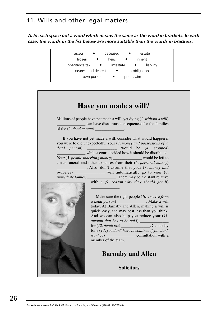*A. In each space put a word which means the same as the word in brackets. In each case, the words in the list below are more suitable than the words in brackets.*

| assets              | deceased  | estate                 |
|---------------------|-----------|------------------------|
| frozen              | heirs     | inherit<br>$\bullet$   |
| inheritance tax     | intestate | liability<br>$\bullet$ |
| nearest and dearest | $\bullet$ | no-obligation          |
| own pockets         | $\bullet$ | prior claim            |
|                     |           |                        |

<span id="page-26-0"></span>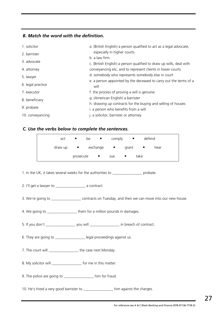#### *B. Match the word with the definition.*

| 1. solicitor      | a. (British English) a person qualified to act as a legal advocate,<br>especially in higher courts   |
|-------------------|------------------------------------------------------------------------------------------------------|
| 2. barrister      | b. a law firm                                                                                        |
| 3. advocate       | c. (British English) a person qualified to draw up wills, deal with                                  |
| 4. attorney       | conveyancing etc, and to represent clients in lower courts                                           |
| 5. lawyer         | d. somebody who represents somebody else in court                                                    |
| 6. legal practice | e. a person appointed by the deceased to carry out the terms of a<br>will                            |
| 7. executor       | f. the process of proving a will is genuine                                                          |
| 8. beneficiary    | g. (American English) a barrister                                                                    |
| 9. probate        | h. drawing up contracts for the buying and selling of houses<br>i. a person who benefits from a will |
| 10. conveyancing  | j. a solicitor, barrister or attorney                                                                |

#### *C. Use the verbs below to complete the sentences.*

| act     | $\bullet$ | be<br>$\bullet$ |     | $comply \qquad \bullet$ | defend |      |
|---------|-----------|-----------------|-----|-------------------------|--------|------|
| draw up | $\bullet$ | exchange •      |     | grant                   |        | hear |
|         | prosecute | $\bullet$       | sue | $\bullet$               | take   |      |

1. In the UK, it takes several weeks for the authorities to \_\_\_\_\_\_\_\_\_\_\_\_\_\_\_\_ probate.

- 2. I'll get a lawyer to \_\_\_\_\_\_\_\_\_\_\_\_\_\_\_\_ a contract.
- 3. We're going to \_\_\_\_\_\_\_\_\_\_\_\_\_\_\_\_ contracts on Tuesday, and then we can move into our new house.
- 4. We going to \_\_\_\_\_\_\_\_\_\_\_\_\_\_\_\_\_\_\_\_\_\_ them for a million pounds in damages.
- 5. If you don't \_\_\_\_\_\_\_\_\_\_\_\_\_\_\_\_ you will \_\_\_\_\_\_\_\_\_\_\_\_\_\_\_\_ in breach of contract.
- 6. They are going to \_\_\_\_\_\_\_\_\_\_\_\_\_\_\_\_ legal proceedings against us.
- 7. The court will \_\_\_\_\_\_\_\_\_\_\_\_\_\_\_\_\_\_\_\_\_ the case next Monday.
- 8. My solicitor will \_\_\_\_\_\_\_\_\_\_\_\_\_\_\_\_\_\_\_ for me in this matter.
- 9. The police are going to \_\_\_\_\_\_\_\_\_\_\_\_\_\_\_\_ him for fraud.
- 10. He's hired a very good barrister to \_\_\_\_\_\_\_\_\_\_\_\_\_\_\_\_ him against the charges.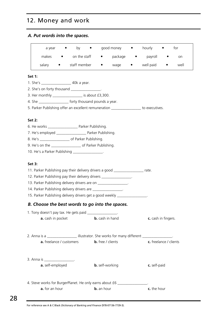## 12. Money and work

#### *A. Put words into the spaces.*

| a year | $\bullet$ | by<br>$\bullet$ |           | good money | $\bullet$ | hourly    | $\bullet$ | tor  |  |
|--------|-----------|-----------------|-----------|------------|-----------|-----------|-----------|------|--|
| makes  |           | on the staff    | $\bullet$ | package    | $\bullet$ | payroll   |           | on   |  |
| salary | $\bullet$ | staff member    | $\bullet$ | wage       | $\bullet$ | well paid | $\bullet$ | well |  |

#### **Set 1:**

- 1. She's \_\_\_\_\_\_\_\_\_\_\_\_\_\_\_\_ 40k a year.
- 2. She's on forty thousand \_\_\_\_\_\_\_\_\_\_\_\_\_\_\_\_.
- 3. Her monthly \_\_\_\_\_\_\_\_\_\_\_\_\_\_\_\_ is about £3,300.
- 4. She \_\_\_\_\_\_\_\_\_\_\_\_\_\_\_\_ forty thousand pounds a year.
- 5. Parker Publishing offer an excellent remuneration \_\_\_\_\_\_\_\_\_\_\_\_\_\_\_\_ to executives.

#### **Set 2:**

- 6. He works \_\_\_\_\_\_\_\_\_\_\_\_\_\_\_\_ Parker Publishing.
- 7. He's employed Parker Publishing.
- 8. He's \_\_\_\_\_\_\_\_\_\_\_\_\_\_\_\_ of Parker Publishing.
- 9. He's on the \_\_\_\_\_\_\_\_\_\_\_\_\_\_\_\_ of Parker Publishing.
- 10. He's a Parker Publishing \_\_\_\_\_\_\_\_\_\_\_\_\_\_\_\_.

#### **Set 3:**

- 11. Parker Publishing pay their delivery drivers a good rate.
- 12. Parker Publishing pay their delivery drivers \_\_\_\_\_\_\_\_\_\_\_\_\_\_\_\_\_.
- 13. Parker Publishing delivery drivers are on
- 14. Parker Publishing delivery drivers are \_\_\_\_\_\_\_\_\_\_\_\_\_\_\_\_.
- 15. Parker Publishing delivery drivers get a good weekly \_\_\_\_\_\_\_\_\_\_\_\_\_\_\_\_\_.

#### *B. Choose the best words to go into the spaces.*

| 1. Tony doesn't pay tax. He gets paid |                        |                     |
|---------------------------------------|------------------------|---------------------|
| <b>a.</b> cash in pocket              | <b>b.</b> cash in hand | c. cash in fingers. |
|                                       |                        |                     |
|                                       |                        |                     |

| 2. Anna is a                    | illustrator. She works for many different |                        |
|---------------------------------|-------------------------------------------|------------------------|
| <b>a.</b> freelance / customers | <b>b.</b> free / clients                  | c. freelance / clients |

- 3. Anna is \_\_\_\_\_\_\_\_\_\_\_\_\_\_\_\_. **a.** self-employed **b.** self-working **c.** self-paid
- <span id="page-28-0"></span>4. Steve works for BurgerPlanet. He only earns about £6 \_\_\_\_\_\_\_\_\_\_\_ **a.** for an hour **b.** an hour **c.** the hour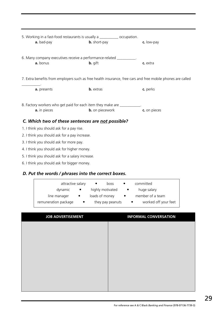| 5. Working in a fast-food restaurants is usually a ____________ occupation.<br>a. bad-pay                   | <b>b.</b> short-pay    | c. low-pay   |  |  |  |
|-------------------------------------------------------------------------------------------------------------|------------------------|--------------|--|--|--|
| 6. Many company executives receive a performance-related ___________.<br>a. bonus                           | <b>b.</b> gift         | c. extra     |  |  |  |
| 7. Extra benefits from employers such as free health insurance, free cars and free mobile phones are called |                        |              |  |  |  |
| a. presents                                                                                                 | <b>b.</b> extras       | c. perks     |  |  |  |
| 8. Factory workers who get paid for each item they make are ___________.<br>a. in pieces                    | <b>b.</b> on piecework | c. on pieces |  |  |  |
| C. Which two of these sentences are not possible?                                                           |                        |              |  |  |  |
| 1. I think you should ask for a pay rise.                                                                   |                        |              |  |  |  |
| 2. I think you should ask for a pay increase.                                                               |                        |              |  |  |  |
| 3. I think you should ask for more pay.                                                                     |                        |              |  |  |  |
| 4. I think you should ask for higher money.                                                                 |                        |              |  |  |  |
| 5. I think you should ask for a salary increase.                                                            |                        |              |  |  |  |

6. I think you should ask for bigger money.

#### *D. Put the words / phrases into the correct boxes.*

| attractive salary    |           | $\bullet$<br>boss |           | committed            |
|----------------------|-----------|-------------------|-----------|----------------------|
| dynamic              | $\bullet$ | highly motivated  | $\bullet$ | huge salary          |
| line manager         |           | loads of money    |           | member of a team     |
| remuneration package |           | they pay peanuts  |           | worked off your feet |

| <b>JOB ADVERTISEMENT</b> | <b>INFORMAL CONVERSATION</b> |
|--------------------------|------------------------------|
|                          |                              |
|                          |                              |
|                          |                              |
|                          |                              |
|                          |                              |
|                          |                              |
|                          |                              |
|                          |                              |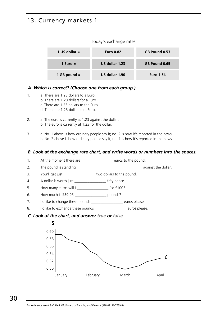## 13. Currency markets 1

#### Today's exchange rates

| 1 US dollar $=$ | <b>Euro 0.82</b> | GB Pound 0.53    |
|-----------------|------------------|------------------|
| 1 Euro $=$      | US dollar 1.23   | GB Pound 0.65    |
| 1 GB pound $=$  | US dollar 1.90   | <b>Euro 1.54</b> |

#### *A. Which is correct? (Choose one from each group.)*

- 1. a. There are 1.23 dollars to a Euro.
	- b. There are 1.23 dollars for a Euro.
	- c. There are 1.23 dollars to the Euro.
	- d. There are 1.23 dollars to a Euro.
- 2. a. The euro is currently at 1.23 against the dollar. b. The euro is currently at 1.23 for the dollar.
- 3. a. No. 1 above is how ordinary people say it; no. 2 is how it's reported in the news. b. No. 2 above is how ordinary people say it; no. 1 is how it's reported in the news.

#### *B. Look at the exchange rate chart, and write words or numbers into the spaces.*

- 1. At the moment there are \_\_\_\_\_\_\_\_\_\_\_\_\_\_\_\_\_\_\_\_ euros to the pound.
- 2. The pound is standing \_\_\_\_\_\_\_\_\_\_\_\_\_\_\_\_\_ \_\_\_\_\_\_\_\_\_\_\_\_\_\_\_\_\_ against the dollar.
- 3. You'll get just \_\_\_\_\_\_\_\_\_\_\_\_\_\_\_\_\_ two dollars to the pound.
- 4. A dollar is worth just \_\_\_\_\_\_\_\_\_\_\_\_\_\_\_\_\_\_\_\_\_\_\_\_ fifty pence.
- 5. How many euros will I \_\_\_\_\_\_\_\_\_\_\_\_\_\_\_\_\_ for £100?
- 6. How much is \$39.95 \_\_\_\_\_\_\_\_\_\_\_\_\_\_\_\_\_ pounds?
- 7. I'd like to change these pounds \_\_\_\_\_\_\_\_\_\_\_\_\_\_\_\_\_\_\_\_ euros please.
- 8. I'd like to exchange these pounds \_\_\_\_\_\_\_\_\_\_\_\_\_\_\_\_\_\_\_ euros please.

#### *C. Look at the chart, and answer true or false.*

<span id="page-30-0"></span>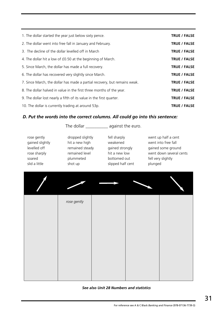| 1. The dollar started the year just below sixty pence.                    | <b>TRUE / FALSE</b> |
|---------------------------------------------------------------------------|---------------------|
| 2. The dollar went into free fall in January and February.                | <b>TRUE / FALSE</b> |
| 3. The decline of the dollar levelled off in March                        | <b>TRUE / FALSE</b> |
| 4. The dollar hit a low of £0.50 at the beginning of March.               | <b>TRUE / FALSE</b> |
| 5. Since March, the dollar has made a full recovery.                      | <b>TRUE / FALSE</b> |
| 6. The dollar has recovered very slightly since March.                    | <b>TRUE / FALSE</b> |
| 7. Since March, the dollar has made a partial recovery, but remains weak. | <b>TRUE / FALSE</b> |
| 8. The dollar halved in value in the first three months of the year.      | <b>TRUE / FALSE</b> |
| 9. The dollar lost nearly a fifth of its value in the first quarter.      | <b>TRUE / FALSE</b> |
| 10. The dollar is currently trading at around 53p.                        | <b>TRUE / FALSE</b> |

#### *D. Put the words into the correct columns. All could go into this sentence:*

|                                                                                           |                                                                                                 | The dollar ______________ against the euro.                                                       |                                                                                                                              |
|-------------------------------------------------------------------------------------------|-------------------------------------------------------------------------------------------------|---------------------------------------------------------------------------------------------------|------------------------------------------------------------------------------------------------------------------------------|
| rose gently<br>gained slightly<br>levelled off<br>rose sharply<br>soared<br>slid a little | dropped slightly<br>hit a new high<br>remained steady<br>remained level<br>plummeted<br>shot up | fell sharply<br>weakened<br>gained strongly<br>hit a new low<br>bottomed out<br>slipped half cent | went up half a cent<br>went into free fall<br>gained some ground<br>went down several cents<br>fell very slightly<br>plunged |
|                                                                                           |                                                                                                 |                                                                                                   |                                                                                                                              |
|                                                                                           | rose gently                                                                                     |                                                                                                   |                                                                                                                              |
|                                                                                           |                                                                                                 |                                                                                                   |                                                                                                                              |
|                                                                                           |                                                                                                 |                                                                                                   |                                                                                                                              |
|                                                                                           |                                                                                                 |                                                                                                   |                                                                                                                              |

#### *See also [Unit 28](#page-60-0) Numbers and statistics*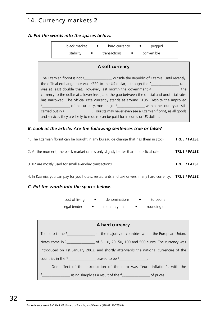## 14. Currency markets 2

#### *A. Put the words into the spaces below.*

|                 | stability                                                                                                                                                                                                                                                                                                                                                                                                                                                                                                                                                                                                                                                                                | black market • hard currency •<br>transactions | pegged<br>convertible |  |  |
|-----------------|------------------------------------------------------------------------------------------------------------------------------------------------------------------------------------------------------------------------------------------------------------------------------------------------------------------------------------------------------------------------------------------------------------------------------------------------------------------------------------------------------------------------------------------------------------------------------------------------------------------------------------------------------------------------------------------|------------------------------------------------|-----------------------|--|--|
| A soft currency |                                                                                                                                                                                                                                                                                                                                                                                                                                                                                                                                                                                                                                                                                          |                                                |                       |  |  |
|                 | The Kzarnian florint is not 1______________________ outside the Republic of Kzarnia. Until recently,<br>the official exchange rate was KF20 to the US dollar, although the $2$ _______________ rate<br>was at least double that. However, last month the government $3$ ______________ the<br>currency to the dollar at a lower level, and the gap between the official and unofficial rates<br>has narrowed. The official rate currently stands at around KF35. Despite the improved<br>carried out in <sup>6</sup> __________________. Tourists may never even see a Kzarnian florint, as all goods<br>and services they are likely to require can be paid for in euros or US dollars. |                                                |                       |  |  |

#### *B. Look at the article. Are the following sentences true or false?*

- 1. The Kzarnian florint can be bought in any bureau de change that has them in stock. **TRUE / FALSE** 2. At the moment, the black market rate is only slightly better than the official rate. **TRUE / FALSE** 3. KZ are mostly used for small everyday transactions. **TRUE / FALSE**
- 4. In Kzarnia, you can pay for you hotels, restaurants and taxi drivers in any hard currency. **TRUE / FALSE**

#### *C. Put the words into the spaces below.*

| cost of living | denominations | Eurozone    |
|----------------|---------------|-------------|
| legal tender   | monetary unit | rounding up |

<span id="page-32-0"></span>

| A hard currency                                                                                                                                                                                                                                                                                                                              |
|----------------------------------------------------------------------------------------------------------------------------------------------------------------------------------------------------------------------------------------------------------------------------------------------------------------------------------------------|
| The euro is the $1$ [1] $\sqrt{2}$ [1] $\sqrt{2}$ [1] $\sqrt{2}$ [1] $\sqrt{2}$ [1] $\sqrt{2}$ [1] $\sqrt{2}$ [1] $\sqrt{2}$ [1] $\sqrt{2}$ [1] $\sqrt{2}$ [1] $\sqrt{2}$ [1] $\sqrt{2}$ [1] $\sqrt{2}$ [1] $\sqrt{2}$ [1] $\sqrt{2}$ [1] $\sqrt{2}$ [1] $\sqrt{2}$ [1] $\sqrt{2$<br>of the majority of countries within the European Union. |
|                                                                                                                                                                                                                                                                                                                                              |
| introduced on 1st January 2002, and shortly afterwards the national currencies of the                                                                                                                                                                                                                                                        |
| countries in the $3$ ceased to be $4$                                                                                                                                                                                                                                                                                                        |
| One effect of the introduction of the euro was "euro inflation", with the                                                                                                                                                                                                                                                                    |
| 5                                                                                                                                                                                                                                                                                                                                            |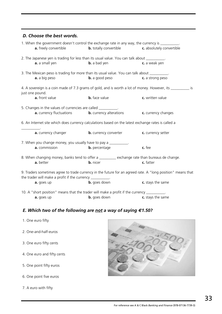#### *D. Choose the best words.*

| 1. When the government doesn't control the exchange rate in any way, the currency is __________.                                                                         |                                                                |                     |  |
|--------------------------------------------------------------------------------------------------------------------------------------------------------------------------|----------------------------------------------------------------|---------------------|--|
| a. freely convertible                                                                                                                                                    | <b>b.</b> totally convertible <b>c.</b> absolutely convertible |                     |  |
| 2. The Japanese yen is trading for less than its usual value. You can talk about __________.                                                                             |                                                                |                     |  |
| a. a small yen                                                                                                                                                           | <b>b.</b> a bad yen                                            | c. a weak yen       |  |
| 3. The Mexican peso is trading for more than its usual value. You can talk about __________.                                                                             |                                                                |                     |  |
| a. a big peso                                                                                                                                                            | <b>b.</b> a good peso                                          | c. a strong peso    |  |
| 4. A sovereign is a coin made of 7.3 grams of gold, and is worth a lot of money. However, its ___________ is<br>just one pound.                                          |                                                                |                     |  |
| a. front value                                                                                                                                                           | <b>b.</b> face value                                           | c. written value    |  |
| 5. Changes in the values of currencies are called ___________.                                                                                                           |                                                                |                     |  |
| a. currency fluctuations                                                                                                                                                 | <b>b.</b> currency alterations                                 | c. currency changes |  |
| 6. An Internet site which does currency calculations based on the latest exchange rates is called a                                                                      |                                                                |                     |  |
| a. currency changer                                                                                                                                                      | <b>b.</b> currency converter                                   | c. currency setter  |  |
| 7. When you change money, you usually have to pay a __________.                                                                                                          |                                                                |                     |  |
| a. commission                                                                                                                                                            | <b>b.</b> percentage                                           | c. fee              |  |
| 8. When changing money, banks tend to offer a _______ exchange rate than bureaus de change.                                                                              |                                                                |                     |  |
| a. better                                                                                                                                                                | <b>b.</b> nicer                                                | c. fatter           |  |
| 9. Traders sometimes agree to trade currency in the future for an agreed rate. A "long position" means that<br>the trader will make a profit if the currency __________. |                                                                |                     |  |
| a. goes up                                                                                                                                                               | <b>b.</b> goes down                                            | c. stays the same   |  |
| 10. A "short position" means that the trader will make a profit if the currency _________.                                                                               |                                                                |                     |  |
| <b>a.</b> goes up                                                                                                                                                        | <b>b.</b> goes down                                            | c. stays the same   |  |

#### *E. Which two of the following are not a way of saying €1.50?*

- 1. One euro fifty
- 2. One-and-half-euros
- 3. One euro fifty cents
- 4. One euro and fifty cents
- 5. One point fifty euros
- 6. One point five euros
- 7. A euro with fifty

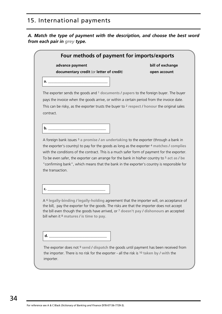## 15. International payments

*A. Match the type of payment with the description, and choose the best word from each pair in grey type.*

<span id="page-34-0"></span>

| advance payment                                                                                                                                                                                                                                                                                                                                                                                                   | bill of exchange |
|-------------------------------------------------------------------------------------------------------------------------------------------------------------------------------------------------------------------------------------------------------------------------------------------------------------------------------------------------------------------------------------------------------------------|------------------|
| documentary credit (or letter of credit)                                                                                                                                                                                                                                                                                                                                                                          | open account     |
|                                                                                                                                                                                                                                                                                                                                                                                                                   |                  |
| The exporter sends the goods and 1 documents / papers to the foreign buyer. The buyer                                                                                                                                                                                                                                                                                                                             |                  |
| pays the invoice when the goods arrive, or within a certain period from the invoice date.                                                                                                                                                                                                                                                                                                                         |                  |
| This can be risky, as the exporter trusts the buyer to $2$ respect / honour the original sales                                                                                                                                                                                                                                                                                                                    |                  |
| contract.                                                                                                                                                                                                                                                                                                                                                                                                         |                  |
|                                                                                                                                                                                                                                                                                                                                                                                                                   |                  |
|                                                                                                                                                                                                                                                                                                                                                                                                                   |                  |
|                                                                                                                                                                                                                                                                                                                                                                                                                   |                  |
|                                                                                                                                                                                                                                                                                                                                                                                                                   |                  |
| "confirming bank", which means that the bank in the exporter's country is responsible for                                                                                                                                                                                                                                                                                                                         |                  |
| A foreign bank issues $3$ a promise / an undertaking to the exporter (through a bank in<br>the exporter's country) to pay for the goods as long as the exporter 4 matches / complies<br>with the conditions of the contract. This is a much safer form of payment for the exporter.<br>To be even safer, the exporter can arrange for the bank in his/her country to <sup>5</sup> act as / be<br>the transaction. |                  |
| A <sup>6</sup> legally-binding / legally-holding agreement that the importer will, on acceptance of<br>the bill, pay the exporter for the goods. The risks are that the importer does not accept<br>the bill even though the goods have arrived, or $7$ doesn't pay / dishonours an accepted<br>bill when it <sup>8</sup> matures / is time to pay.                                                               |                  |
|                                                                                                                                                                                                                                                                                                                                                                                                                   |                  |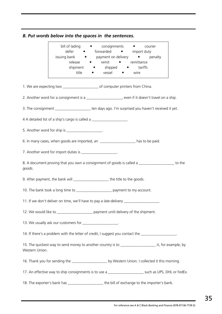*B. Put words below into the spaces in the sentences.*

|                | bill of lading • consignments • courier<br>defer • forwarded • import duty<br>issuing bank • payment on delivery •<br>release • remit<br>shipment • shipped • tariffs<br>title | • vessel<br>$\bullet$ | penalty<br>• remittance<br>wire |  |
|----------------|--------------------------------------------------------------------------------------------------------------------------------------------------------------------------------|-----------------------|---------------------------------|--|
|                | 1. We are expecting two _______________________ of computer printers from China.                                                                                               |                       |                                 |  |
|                | 2. Another word for a consignment is a _____________________, even if it doesn't travel on a ship.                                                                             |                       |                                 |  |
|                |                                                                                                                                                                                |                       |                                 |  |
|                | 4 A detailed list of a ship's cargo is called a ____________________.                                                                                                          |                       |                                 |  |
|                | 5. Another word for ship is _____________________.                                                                                                                             |                       |                                 |  |
|                | 6. In many cases, when goods are imported, an ____________________ has to be paid.                                                                                             |                       |                                 |  |
|                | 7. Another word for import duties is ___________________.                                                                                                                      |                       |                                 |  |
| goods.         | 8. A document proving that you own a consignment of goods is called a __________________ to the                                                                                |                       |                                 |  |
|                | 9. After payment, the bank will _______________________ the title to the goods.                                                                                                |                       |                                 |  |
|                | 10. The bank took a long time to _______________________ payment to my account.                                                                                                |                       |                                 |  |
|                | 11. If we don't deliver on time, we'll have to pay a late-delivery                                                                                                             |                       |                                 |  |
|                | 12. We would like to ______________________ payment until delivery of the shipment.                                                                                            |                       |                                 |  |
|                | 13. We usually ask our customers for ____________________.                                                                                                                     |                       |                                 |  |
|                | 14. If there's a problem with the letter of credit, I suggest you contact the ___________________.                                                                             |                       |                                 |  |
| Western Union. | 15. The quickest way to send money to another country is to ________________________ it, for example, by                                                                       |                       |                                 |  |
|                | 16. Thank you for sending the ________________________ by Western Union. I collected it this morning.                                                                          |                       |                                 |  |
|                | 17. An effective way to ship consignments is to use a ________________________ such as UPS, DHL or FedEx.                                                                      |                       |                                 |  |
|                | 18. The exporter's bank has ________________________the bill of exchange to the importer's bank.                                                                               |                       |                                 |  |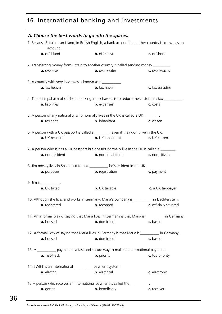# 16. International banking and investments

| A. Choose the best words to go into the spaces.             |                                                                                                       |                        |
|-------------------------------------------------------------|-------------------------------------------------------------------------------------------------------|------------------------|
| account.                                                    | 1. Because Britain is an island, in British English, a bank account in another country is known as an |                        |
| a. off-island                                               | <b>b.</b> off-coast                                                                                   | c. offshore            |
|                                                             | 2. Transferring money from Britain to another country is called sending money ________.               |                        |
| a. overseas                                                 | <b>b.</b> over-water                                                                                  | c. over-waves          |
| 3. A country with very low taxes is known as a ___________. |                                                                                                       |                        |
| a. tax heaven                                               | <b>b.</b> tax haven                                                                                   | c. tax paradise        |
|                                                             | 4. The principal aim of offshore banking in tax havens is to reduce the customer's tax ___________    |                        |
| a. liabilities                                              | <b>b.</b> expenses                                                                                    | c. costs               |
|                                                             | 5. A person of any nationality who normally lives in the UK is called a UK _______.                   |                        |
| a. resident                                                 | <b>b.</b> inhabitant                                                                                  | c. citizen             |
|                                                             | 6. A person with a UK passport is called a ________, even if they don't live in the UK.               |                        |
| a. UK resident                                              | <b>b.</b> UK inhabitant                                                                               | c. UK citizen          |
|                                                             | 7. A person who is has a UK passport but doesn't normally live in the UK is called a _______.         |                        |
| a. non-resident                                             | <b>b.</b> non-inhabitant                                                                              | c. non-citizen         |
|                                                             | 8. Jim mostly lives in Spain, but for tax _________ he's resident in the UK.                          |                        |
| a. purposes                                                 | <b>b.</b> registration                                                                                | c. payment             |
| 9. Jim is ____________.                                     |                                                                                                       |                        |
| a. UK taxed                                                 | <b>b.</b> UK taxable                                                                                  | c. a UK tax-payer      |
|                                                             | 10. Although she lives and works in Germany, Maria's company is _________ in Liechtenstein.           |                        |
| a. registered                                               | <b>b.</b> recorded                                                                                    | c. officially situated |
|                                                             | 11. An informal way of saying that Maria lives in Germany is that Maria is __________ in Germany.     |                        |
| a. housed                                                   | <b>b.</b> domiciled                                                                                   | c. based               |
|                                                             | 12. A formal way of saying that Maria lives in Germany is that Maria is ___________ in Germany.       |                        |
| a. housed                                                   | <b>b.</b> domiciled                                                                                   | c. based               |
|                                                             | 13. A ____________ payment is a fast and secure way to make an international payment.                 |                        |
| a. fast-track                                               | <b>b.</b> priority                                                                                    | c. top priority        |
| 14. SWIFT is an international ____________ payment system.  |                                                                                                       |                        |
| a. electric                                                 | <b>b.</b> electrical                                                                                  | c. electronic          |
|                                                             | 15 A person who receives an international payment is called the __________.                           |                        |
| a. getter                                                   | <b>b.</b> beneficiary                                                                                 | c. receiver            |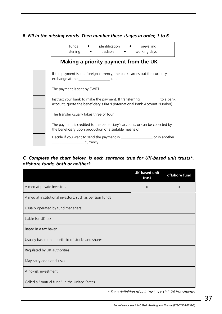*B. Fill in the missing words. Then number these stages in order, 1 to 6.*

| funds    | identification |  | prevailing   |
|----------|----------------|--|--------------|
| sterling | tradable       |  | working days |

### **Making a priority payment from the UK**

| If the payment is in a foreign currency, the bank carries out the currency<br>exchange at the __________________________ rate.                             |
|------------------------------------------------------------------------------------------------------------------------------------------------------------|
| The payment is sent by SWIFT.                                                                                                                              |
| Instruct your bank to make the payment. If transferring __________ to a bank<br>account, quote the beneficiary's IBAN (International Bank Account Number). |
| The transfer usually takes three or four                                                                                                                   |
| The payment is credited to the beneficiary's account, or can be collected by<br>the beneficiary upon production of a suitable means of ________            |
| Decide if you want to send the payment in ________________________ or in another<br>currency.                                                              |

#### *C. Complete the chart below. Is each sentence true for UK-based unit trusts\*, offshore funds, both or neither?*

|                                                         | <b>UK-based unit</b><br>trust | offshore fund |
|---------------------------------------------------------|-------------------------------|---------------|
| Aimed at private investors                              | $\mathsf{X}$                  | $\mathsf{X}$  |
| Aimed at institutional investors, such as pension funds |                               |               |
| Usually operated by fund managers                       |                               |               |
| Liable for UK tax                                       |                               |               |
| Based in a tax haven                                    |                               |               |
| Usually based on a portfolio of stocks and shares       |                               |               |
| Regulated by UK authorities                             |                               |               |
| May carry additional risks                              |                               |               |
| A no-risk investment                                    |                               |               |
| Called a "mutual fund" in the United States             |                               |               |

*\* For a definition of unit trust, see [Unit 24](#page-52-0) Investments*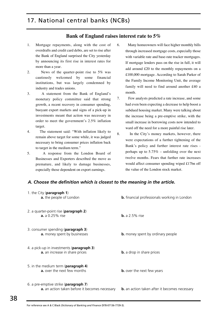#### **Bank of England raises interest rate to 5%**

- 1. Mortgage repayments, along with the cost of overdrafts and credit card debts, are set to rise after the Bank of England surprised the City yesterday by announcing its first rise in interest rates for more than a year.
- 2. News of the quarter-point rise to 5% was cautiously welcomed by some financial institutions, but was largely condemned by industry and trades unions.
- 3. A statement from the Bank of England's monetary policy committee said that strong growth, a recent recovery in consumer spending, buoyant export markets and signs of a pick-up in investments meant that action was necessary in order to meet the government's 2.5% inflation target.
- 4. The statement said: "With inflation likely to remain above target for some while, it was judged necessary to bring consumer prices inflation back to target in the medium term."
- 5. A response from the London Board of Businesses and Exporters described the move as premature, and likely to damage businesses, especially those dependent on export earnings.
- 6. Many homeowners will face higher monthly bills through increased mortgage costs, especially those with variable rate and base-rate tracker mortgages. If mortgage lenders pass on the rise in full, it will add around £20 to the monthly repayments on a £100,000 mortgage. According to Sarah Parker of the Family Income Monitoring Unit, the average family will need to find around another £40 a month.
- 7. Few analysts predicted a rate increase, and some had even been expecting a decrease to help boost a subdued housing market. Many were talking about the increase being a pre-emptive strike, with the small increase in borrowing costs now intended to ward off the need for a more painful rise later.
- 8. In the City's money markets, however, there were expectations of a further tightening of the Bank's policy and further interest rate rises perhaps up to 5.75% – unfolding over the next twelve months. Fears that further rate increases would affect consumer spending wiped £17bn off the value of the London stock market.

#### *A. Choose the definition which is closest to the meaning in the article.*

| 1. the City (paragraph 1)<br>a. the people of London                                             | <b>b.</b> financial professionals working in London  |
|--------------------------------------------------------------------------------------------------|------------------------------------------------------|
| 2. a quarter-point rise ( <b>paragraph 2</b> )<br><b>a.</b> a 0.25% rise                         | <b>b.</b> a 2.5% rise                                |
| 3. consumer spending ( <b>paragraph 3</b> )<br><b>a.</b> money spent by businesses               | <b>b.</b> money spent by ordinary people             |
| 4. a pick-up in investments ( <b>paragraph 3</b> )<br>a. an increase in share prices             | <b>b.</b> a drop in share prices                     |
| 5. in the medium term ( $\mathbf{param}$ aragraph 4)<br><b>a.</b> over the next few months       | <b>b.</b> over the next few years                    |
| 6. a pre-emptive strike ( <b>paragraph 7</b> )<br>a. an action taken before it becomes necessary | <b>b.</b> an action taken after it becomes necessary |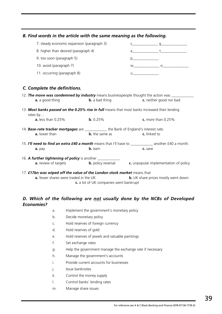| B. Find words in the article with the same meaning as the following.                                                           |                       |                                                                                                                                                                                                                                                                                                  |                                                                        |
|--------------------------------------------------------------------------------------------------------------------------------|-----------------------|--------------------------------------------------------------------------------------------------------------------------------------------------------------------------------------------------------------------------------------------------------------------------------------------------|------------------------------------------------------------------------|
| 7. steady economic expansion (paragraph 3)                                                                                     |                       |                                                                                                                                                                                                                                                                                                  | $\mathsf S$ and $\mathsf Q$                                            |
| 8. higher than desired (paragraph 4)                                                                                           |                       |                                                                                                                                                                                                                                                                                                  |                                                                        |
| 9. too soon (paragraph 5)                                                                                                      |                       |                                                                                                                                                                                                                                                                                                  |                                                                        |
| 10. avoid (paragraph 7)                                                                                                        |                       |                                                                                                                                                                                                                                                                                                  | $W$ 0                                                                  |
| 11. occurring (paragraph 8)                                                                                                    |                       | $\mathsf{u}$ and $\mathsf{u}$ and $\mathsf{u}$ and $\mathsf{u}$ and $\mathsf{u}$ and $\mathsf{u}$ and $\mathsf{u}$ and $\mathsf{u}$ and $\mathsf{u}$ and $\mathsf{u}$ and $\mathsf{u}$ and $\mathsf{u}$ and $\mathsf{u}$ and $\mathsf{u}$ and $\mathsf{u}$ and $\mathsf{u}$ and $\mathsf{u}$ and |                                                                        |
| C. Complete the definitions.                                                                                                   |                       |                                                                                                                                                                                                                                                                                                  |                                                                        |
| 12. The move was condemned by industry means businesspeople thought the action was ________<br>a. a good thing                 | <b>b.</b> a bad thing |                                                                                                                                                                                                                                                                                                  | c. neither good nor bad                                                |
| 13. Most banks passed on the 0.25% rise in full means that most banks increased their lending<br>rates by                      |                       |                                                                                                                                                                                                                                                                                                  |                                                                        |
| <b>a.</b> less than 0.25%                                                                                                      | b. 0.25%              |                                                                                                                                                                                                                                                                                                  | $c.$ more than 0.25%                                                   |
| 14. Base-rate tracker mortgages are _____________ the Bank of England's interest rate.                                         |                       |                                                                                                                                                                                                                                                                                                  |                                                                        |
| a. lower than                                                                                                                  | <b>b.</b> the same as | c. linked to                                                                                                                                                                                                                                                                                     |                                                                        |
| 15. <b>I'll need to find an extra £40 a month</b> means that I'll have to <b>noting the set of a month</b> .<br>a. pay         | b. earn               | c. save                                                                                                                                                                                                                                                                                          |                                                                        |
|                                                                                                                                |                       |                                                                                                                                                                                                                                                                                                  |                                                                        |
| 16. A further tightening of policy is another ____________<br><b>a.</b> review of targets                                      |                       |                                                                                                                                                                                                                                                                                                  | <b>b.</b> policy reversal <b>c.</b> unpopular implementation of policy |
| 17. <b>£17bn was wiped off the value of the London stock market</b> means that<br><b>a.</b> fewer shares were traded in the UK |                       |                                                                                                                                                                                                                                                                                                  | <b>b.</b> UK share prices mostly went down                             |

#### **c.** a lot of UK companies went bankrupt

#### *D. Which of the following are not usually done by the NCBs of Developed Economies?*

| a. | Implement the government's monetary policy |
|----|--------------------------------------------|
|----|--------------------------------------------|

- b. Decide monetary policy
- c. Hold reserves of foreign currency
- d. Hold reserves of gold
- e. Hold reserves of jewels and valuable paintings
- f. Set exchange rates
- g. Help the government manage the exchange rate if necessary
- h. Manage the government's accounts
- i. Provide current accounts for businesses
- j. Issue banknotes
- k. Control the money supply
- l. Control banks' lending rates
- m. Manage share issues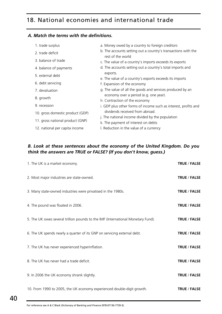# 18. National economies and international trade

#### *A. Match the terms with the definitions.*

| 1. trade surplus                 | a. Money owed by a country to foreign creditors                                         |
|----------------------------------|-----------------------------------------------------------------------------------------|
| 2. trade deficit                 | b. The accounts setting out a country's transactions with the<br>rest of the world      |
| 3. balance of trade              | c. The value of a country's imports exceeds its exports                                 |
| 4. balance of payments           | d. The accounts setting out a country's total imports and                               |
| 5. external debt                 | exports.<br>e. The value of a country's exports exceeds its imports                     |
| 6. debt servicing                | f. Expansion of the economy                                                             |
| 7. devaluation                   | g. The value of all the goods and services produced by an                               |
| 8. growth                        | economy over a period (e.g. one year).<br>h. Contraction of the economy                 |
| 9. recession                     | i. GDP plus other forms of income such as interest, profits and                         |
| 10. gross domestic product (GDP) | dividends received from abroad.                                                         |
| 11. gross national product (GNP) | j. The national income divided by the population<br>k. The payment of interest on debts |
| 12. national per capita income   | I. Reduction in the value of a currency                                                 |
|                                  |                                                                                         |

#### *B. Look at these sentences about the economy of the United Kingdom. Do you think the answers are TRUE or FALSE? (If you don't know, guess.)*

| 1. The UK is a market economy.                                                   | <b>TRUE / FALSE</b> |
|----------------------------------------------------------------------------------|---------------------|
| 2. Most major industries are state-owned.                                        | <b>TRUE / FALSE</b> |
| 3. Many state-owned industries were privatised in the 1980s.                     | TRUE / FALSE        |
| 4. The pound was floated in 2006.                                                | TRUE / FALSE        |
| 5. The UK owes several trillion pounds to the IMF (International Monetary Fund). | <b>TRUE / FALSE</b> |
| 6. The UK spends nearly a quarter of its GNP on servicing external debt.         | TRUE / FALSE        |
| 7. The UK has never experienced hyperinflation.                                  | <b>TRUE / FALSE</b> |
| 8. The UK has never had a trade deficit.                                         | <b>TRUE / FALSE</b> |
| 9. In 2006 the UK economy shrank slightly.                                       | <b>TRUE / FALSE</b> |
| 10. From 1990 to 2005, the UK economy experienced double-digit growth.           | <b>TRUE / FALSE</b> |

For reference see A & C Black *Dictionary of Banking and Finance* (978-07136-7739-3).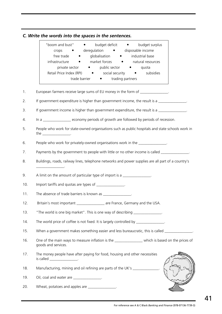### *C. Write the words into the spaces in the sentences.*

|     | crops • deregulation • disposable income<br>free trade • globalisation • industrial base<br>infrastructure • market forces • natural resources<br>private sector • public sector • quota<br>Retail Price Index (RPI) • social security • subsidies<br>trade barrier • trading partners |
|-----|----------------------------------------------------------------------------------------------------------------------------------------------------------------------------------------------------------------------------------------------------------------------------------------|
| 1.  | European farmers receive large sums of EU money in the form of _______________.                                                                                                                                                                                                        |
| 2.  | If government expenditure is higher than government income, the result is a _______________.                                                                                                                                                                                           |
| 3.  | If government income is higher than government expenditure, the result is a ______________.                                                                                                                                                                                            |
| 4.  | In a _________________ economy periods of growth are followed by periods of recession.                                                                                                                                                                                                 |
| 5.  | People who work for state-owned organisations such as public hospitals and state schools work in<br>the ______________________.                                                                                                                                                        |
| 6.  | People who work for privately-owned organisations work in the ______________.                                                                                                                                                                                                          |
| 7.  | Payments by the government to people with little or no other income is called _______________.                                                                                                                                                                                         |
| 8.  | Buildings, roads, railway lines, telephone networks and power supplies are all part of a country's                                                                                                                                                                                     |
| 9.  | A limit on the amount of particular type of import is a ______________.                                                                                                                                                                                                                |
| 10. | Import tariffs and quotas are types of _______________.                                                                                                                                                                                                                                |
| 11. | The absence of trade barriers is known as ________________.                                                                                                                                                                                                                            |
| 12. | Britain's most important ______________ are France, Germany and the USA.                                                                                                                                                                                                               |
| 13. | "The world is one big market". This is one way of describing ______________.                                                                                                                                                                                                           |
| 14. | The world price of coffee is not fixed. It is largely controlled by ______________.                                                                                                                                                                                                    |
| 15. | When a government makes something easier and less bureaucratic, this is called _______________                                                                                                                                                                                         |
| 16. | One of the main ways to measure inflation is the _________________ which is based on the prices of<br>goods and services.                                                                                                                                                              |
| 17. | The money people have after paying for food, housing and other necessities<br>is called __________________.                                                                                                                                                                            |
| 18. | Manufacturing, mining and oil refining are parts of the UK's ___________                                                                                                                                                                                                               |
| 19. | Oil, coal and water are ________________.                                                                                                                                                                                                                                              |
| 20. | Wheat, potatoes and apples are _______________.                                                                                                                                                                                                                                        |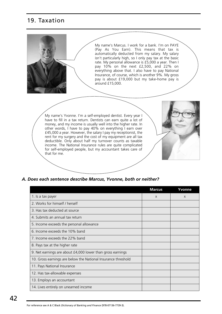# 19. Taxation



#### *A. Does each sentence describe Marcus, Yvonne, both or neither?*

|                                                               | <b>Marcus</b> | Yvonne |
|---------------------------------------------------------------|---------------|--------|
| 1. Is a tax payer                                             | $\mathsf{X}$  | X      |
| 2. Works for himself / herself                                |               |        |
| 3. Has tax deducted at source                                 |               |        |
| 4. Submits an annual tax return                               |               |        |
| 5. Income exceeds the personal allowance                      |               |        |
| 6. Income exceeds the 10% band                                |               |        |
| 7. Income exceeds the 22% band                                |               |        |
| 8. Pays tax at the higher rate                                |               |        |
| 9. Net earnings are about £4,000 lower than gross earnings    |               |        |
| 10. Gross earnings are below the National Insurance threshold |               |        |
| 11. Pays National Insurance                                   |               |        |
| 12. Has tax-allowable expenses                                |               |        |
| 13. Employs an accountant                                     |               |        |
| 14. Lives entirely on unearned income                         |               |        |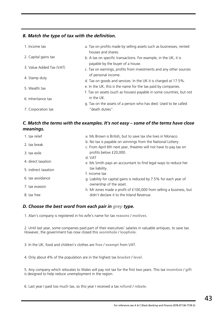#### *B. Match the type of tax with the definition.*

| 1. Income tax            | a. Tax on profits made by selling assets such as businesses, rented<br>houses and shares.                                             |
|--------------------------|---------------------------------------------------------------------------------------------------------------------------------------|
| 2. Capital gains tax     | b. A tax on specific transactions. For example, in the UK, it is<br>payable by the buyer of a house.                                  |
| 3. Value Added Tax (VAT) | c. Tax on earnings, profits from investments and any other sources<br>of personal income.                                             |
| 4. Stamp duty            | d. Tax on goods and services. In the UK it is charged at 17.5%.                                                                       |
| 5. Wealth tax            | e. In the UK, this is the name for the tax paid by companies.<br>f. Tax on assets (such as houses) payable in some countries, but not |
| 6. Inheritance tax       | in the UK.<br>g. Tax on the assets of a person who has died. Used to be called                                                        |
| 7. Corporation tax       | " death duties".                                                                                                                      |

#### *C. Match the terms with the examples. It's not easy – some of the terms have close meanings.*

| a. Ms Brown is British, but to save tax she lives in Monaco.                                                                     |
|----------------------------------------------------------------------------------------------------------------------------------|
| b. No tax is payable on winnings from the National Lottery.<br>c. From April 6th next year, theatres will not have to pay tax on |
| profits below £20,000.                                                                                                           |
| d. VAT                                                                                                                           |
| e. Ms Smith pays an accountant to find legal ways to reduce her                                                                  |
| tax liability.                                                                                                                   |
| f. income tax                                                                                                                    |
| g. Liability for capital gains is reduced by 7.5% for each year of                                                               |
| ownership of the asset.                                                                                                          |
| h. Mr Jones made a profit of £100,000 from selling a business, but                                                               |
| didn't declare it to the Inland Revenue.                                                                                         |
|                                                                                                                                  |

#### *D. Choose the best word from each pair in grey type.*

1. Alan's company is registered in his wife's name for tax **reasons** / **motives**.

2. Until last year, some companies paid part of their executives' salaries in valuable antiques, to save tax. However, the government has now closed this **wormhole** / **loophole**.

3. In the UK, food and children's clothes are **free** / **exempt** from VAT.

4. Only about 4% of the population are in the highest tax **bracket** / **level**.

5. Any company which relocates to Wales will pay not tax for the first two years. This tax **incentive** / **gift** is designed to help reduce unemployment in the region.

6. Last year I paid too much tax, so this year I received a tax **refund** / **rebate**.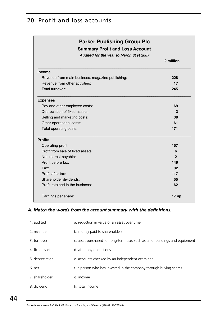# 20. Profit and loss accounts

| <b>Parker Publishing Group Plc</b><br><b>Summary Profit and Loss Account</b><br>Audited for the year to March 31st 2007 |              |  |
|-------------------------------------------------------------------------------------------------------------------------|--------------|--|
|                                                                                                                         | £ million    |  |
| <b>Income</b>                                                                                                           |              |  |
| Revenue from main business, magazine publishing:                                                                        | 228          |  |
| Revenue from other activities:                                                                                          | 17           |  |
| Total turnover:                                                                                                         | 245          |  |
| <b>Expenses</b>                                                                                                         |              |  |
| Pay and other employee costs:                                                                                           | 69           |  |
| Depreciation of fixed assets:                                                                                           | 3            |  |
| Selling and marketing costs:                                                                                            | 38           |  |
| Other operational costs:                                                                                                | 61           |  |
| Total operating costs:                                                                                                  | 171          |  |
| <b>Profits</b>                                                                                                          |              |  |
| Operating profit:                                                                                                       | 157          |  |
| Profit from sale of fixed assets:                                                                                       | 6            |  |
| Net interest payable:                                                                                                   | $\mathbf{2}$ |  |
| Profit before tax:                                                                                                      | 149          |  |
| Tax:                                                                                                                    | 32           |  |
| Profit after tax:                                                                                                       | 117          |  |
| Shareholder dividends:                                                                                                  | 55           |  |
| Profit retained in the business:                                                                                        | 62           |  |
| Earnings per share:                                                                                                     | 17.4p        |  |

#### *A. Match the words from the account summary with the definitions.*

| 1. audited      | a. reduction in value of an asset over time                                 |
|-----------------|-----------------------------------------------------------------------------|
| 2. revenue      | b. money paid to shareholders                                               |
| 3. turnover     | c. asset purchased for long-term use, such as land, buildings and equipment |
| 4. fixed asset  | d. after any deductions                                                     |
| 5. depreciation | e. accounts checked by an independent examiner                              |
| 6. net          | f. a person who has invested in the company through buying shares           |
| 7. shareholder  | g. income                                                                   |
| 8. dividend     | h. total income                                                             |

For reference see A & C Black *Dictionary of Banking and Finance* (978-07136-7739-3).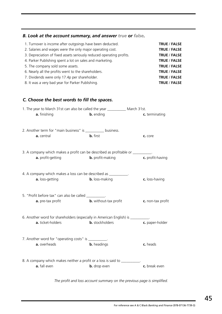#### *B. Look at the account summary, and answer true or false.*

| <b>TRUE / FALSE</b> |
|---------------------|
| <b>TRUE / FALSE</b> |
| <b>TRUE / FALSE</b> |
| <b>TRUE / FALSE</b> |
| <b>TRUE / FALSE</b> |
| <b>TRUE / FALSE</b> |
| <b>TRUE / FALSE</b> |
| <b>TRUE / FALSE</b> |
|                     |

#### *C. Choose the best words to fill the spaces.*

| 1. The year to March 31st can also be called the year ____________ March 31st.                        |                              |                   |
|-------------------------------------------------------------------------------------------------------|------------------------------|-------------------|
| a. finishing                                                                                          | <b>b.</b> ending             | c. terminating    |
| 2. Another term for "main business" is __________ business.<br>a. central                             | <b>b.</b> first              | c. core           |
| 3. A company which makes a profit can be described as profitable or __________.<br>a. profit-getting  | <b>b.</b> profit-making      | c. profit-having  |
| 4. A company which makes a loss can be described as ___________.<br>a. loss-getting                   | <b>b.</b> loss-making        | c. loss-having    |
| 5. "Profit before tax" can also be called __________.<br>a. pre-tax profit                            | <b>b.</b> without-tax profit | c. non-tax profit |
| 6. Another word for shareholders (especially in American English) is __________.<br>a. ticket-holders | <b>b.</b> stockholders       | c. paper-holder   |
| 7. Another word for "operating costs" is ___________.<br>a. overheads                                 | <b>b.</b> headings           | c. heads          |
| 8. A company which makes neither a profit or a loss is said to _______<br>a. fall even                | <b>b.</b> drop even          | c. break even     |

*The profit and loss account summary on the previous page is simplified.*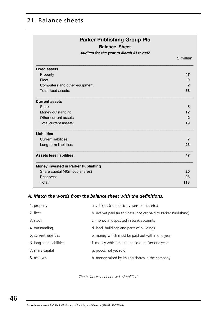# 21. Balance sheets

| <b>Balance Sheet</b><br>Audited for the year to March 31st 2007 |                |
|-----------------------------------------------------------------|----------------|
|                                                                 | £ million      |
| <b>Fixed assets</b>                                             |                |
| Property                                                        | 47             |
| Fleet                                                           | 9              |
| Computers and other equipment                                   | $\mathbf{2}$   |
| Total fixed assets:                                             | 58             |
| <b>Current assets</b>                                           |                |
| <b>Stock</b>                                                    | 5              |
| Money outstanding                                               | $12 \,$        |
| Other current assets                                            | $\overline{2}$ |
| Total current assets:                                           | 19             |
| <b>Liabilities</b>                                              |                |
| <b>Current liabilities:</b>                                     | 7              |
| Long-term liabilities:                                          | 23             |
| <b>Assets less liabilities:</b>                                 | 47             |
| Money invested in Parker Publishing                             |                |
| Share capital (40m 50p shares)                                  | 20             |
| Reserves:                                                       | 98             |
| Total:                                                          | 118            |

#### *A. Match the words from the balance sheet with the definitions.*

| 1. property              | a. vehicles (cars, delivery vans, lorries etc.)                   |
|--------------------------|-------------------------------------------------------------------|
| 2. fleet                 | b. not yet paid (in this case, not yet paid to Parker Publishing) |
| 3. stock                 | c. money in deposited in bank accounts                            |
| 4. outstanding           | d. land, buildings and parts of buildings                         |
| 5. current liabilities   | e. money which must be paid out within one year                   |
| 6. long-term liabilities | f. money which must be paid out after one year                    |
| 7. share capital         | g. goods not yet sold                                             |
| 8. reserves              | h. money raised by issuing shares in the company                  |

*The balance sheet above is simplified.*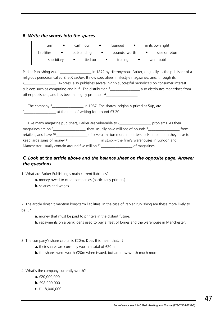#### *B. Write the words into the spaces.*

| arm         | cash flow   | $\bullet$ | founded       | in its own right |
|-------------|-------------|-----------|---------------|------------------|
| liabilities | outstanding | $\bullet$ | pounds' worth | sale or return   |
| subsidiary  | tied up     |           | trading       | went public      |

Parker Publishing was 1 and 1872 by Hieronymous Parker, originally as the publisher of a religious periodical called *The Preacher*. It now specialises in lifestyle magazines, and, through its 2\_\_\_\_\_\_\_\_\_\_\_\_\_\_\_\_\_ Tekpress, also publishes several highly successful periodicals on consumer interest subjects such as computing and hi-fi. The distribution <sup>3</sup>\_\_\_\_\_\_\_\_\_\_\_\_\_\_\_\_\_\_\_ also distributes magazines from other publishers, and has become highly profitable 4\_\_\_\_\_\_\_\_\_\_\_\_\_\_\_\_\_\_\_\_\_\_\_\_\_\_\_\_

The company <sup>5</sup>\_\_\_\_\_\_\_\_\_\_\_\_\_\_\_\_\_\_\_\_\_\_ in 1987. The shares, originally priced at 50p, are 6 at the time of writing for around £3.20.

Like many magazine publishers, Parker are vulnerable to  $7$ <sup>\_\_\_\_\_\_\_\_\_\_\_\_\_\_\_\_\_</sup>\_ problems. As their magazines are on <sup>8</sup>\_\_\_\_\_\_\_\_\_\_\_\_\_\_\_\_\_\_\_, they usually have millions of pounds <sup>9</sup>\_\_\_\_\_\_\_\_\_\_\_\_\_\_\_\_\_\_\_\_\_\_\_ from retailers, and have <sup>10</sup>\_\_\_\_\_\_\_\_\_\_\_\_\_\_\_\_\_\_\_\_\_ of several million more in printers' bills. In addition they have to keep large sums of money <sup>11</sup>\_\_\_\_\_\_\_\_\_\_\_\_\_\_\_\_\_\_\_\_\_ in stock – the firm's warehouses in London and Manchester usually contain around five million <sup>12</sup>\_\_\_\_\_\_\_\_\_\_\_\_\_\_\_\_\_\_\_\_\_\_ of magazines.

#### *C. Look at the article above and the balance sheet on the opposite page. Answer the questions.*

1. What are Parker Publishing's main current liabilities?

- **a.** money owed to other companies (particularly printers).
- **b.** salaries and wages

2. The article doesn't mention long-term liabilities. In the case of Parker Publishing are these more likely to be…?

- **a.** money that must be paid to printers in the distant future.
- **b.** repayments on a bank loans used to buy a fleet of lorries and the warehouse in Manchester.
- 3. The company's share capital is £20m. Does this mean that…?
	- **a.** their shares are currently worth a total of £20m
	- **b.** the shares were worth £20m when issued, but are now worth much more
- 4. What's the company currently worth?
	- **a.** £20,000,000
	- **b.** £98,000,000
	- **c.** £118,000,000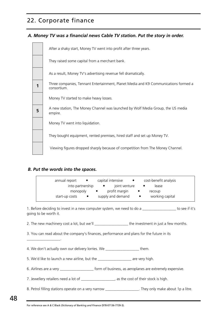# 22. Corporate finance

#### *A. Money TV was a financial news Cable TV station. Put the story in order.*

|   | After a shaky start, Money TV went into profit after three years.                                  |
|---|----------------------------------------------------------------------------------------------------|
|   | They raised some capital from a merchant bank.                                                     |
|   | As a result, Money TV's advertising revenue fell dramatically.                                     |
|   | Three companies, Tennant Entertainment, Planet Media and K9 Communications formed a<br>consortium. |
|   | Money TV started to make heavy losses.                                                             |
| 5 | A new station, The Money Channel was launched by Wolf Media Group, the US media<br>empire.         |
|   | Money TV went into liquidation.                                                                    |
|   | They bought equipment, rented premises, hired staff and set up Money TV.                           |
|   | Viewing figures dropped sharply because of competition from The Money Channel.                     |

#### *B. Put the words into the spaces.*

\_\_\_\_\_\_\_\_\_\_\_\_\_\_\_\_\_\_.

| annual report<br>$\bullet$  | capital intensive<br>$\bullet$ | cost-benefit analysis        |
|-----------------------------|--------------------------------|------------------------------|
| into partnership            | joint venture<br>$\bullet$     | lease<br>$\bullet$           |
| monopoly                    | profit margin<br>$\bullet$     | recoup<br>$\bullet$          |
| start-up costs<br>$\bullet$ | supply and demand              | working capital<br>$\bullet$ |

1. Before deciding to invest in a new computer system, we need to do a \_\_\_\_\_\_\_\_\_\_\_\_\_\_\_\_\_\_\_ to see if it's going to be worth it.

2. The new machinery cost a lot, but we'll example the investment in just a few months.

3. You can read about the company's finances, performance and plans for the future in its

4. We don't actually own our delivery lorries. We them.

5. We'd like to launch a new airline, but the \_\_\_\_\_\_\_\_\_\_\_\_\_\_\_\_\_\_\_\_ are very high.

6. Airlines are a very expensive. The state of business, as aeroplanes are extremely expensive.

7. Jewellery retailers need a lot of \_\_\_\_\_\_\_\_\_\_\_\_\_\_\_\_\_\_, as the cost of their stock is high.

8. Petrol filling stations operate on a very narrow \_\_\_\_\_\_\_\_\_\_\_\_\_\_\_\_\_\_\_\_\_. They only make about 1p a litre.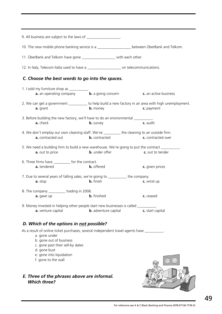| 9. All business are subject to the laws of ___________________.                                                                                                                                                                               |                             |                                                                                                                    |
|-----------------------------------------------------------------------------------------------------------------------------------------------------------------------------------------------------------------------------------------------|-----------------------------|--------------------------------------------------------------------------------------------------------------------|
| 10. The new mobile phone banking service is a ___________________ between ÜberBank and Telkom.                                                                                                                                                |                             |                                                                                                                    |
| 11. ÜberBank and Telkom have gone _______________________ with each other.                                                                                                                                                                    |                             |                                                                                                                    |
| 12. In Italy, Telecom Italia used to have a ______________________ on telecommunications.                                                                                                                                                     |                             |                                                                                                                    |
| C. Choose the best words to go into the spaces.                                                                                                                                                                                               |                             |                                                                                                                    |
| 1. I sold my furniture shop as ___________.                                                                                                                                                                                                   |                             | <b>a.</b> an operating company <b>b.</b> a going concern <b>c.</b> an active business                              |
| a. grant                                                                                                                                                                                                                                      | <b>b.</b> money             | 2. We can get a government __________ to help build a new factory in an area with high unemployment.<br>c. payment |
| 3. Before building the new factory, we'll have to do an environmental __________.<br>a. check                                                                                                                                                 | <b>b.</b> survey            | c. audit                                                                                                           |
| 4. We don't employ our own cleaning staff. We've _________ the cleaning to an outside firm.<br>a. contracted out                                                                                                                              | <b>b.</b> contracted        | c. contracted over                                                                                                 |
| 5. We need a building firm to build a new warehouse. We're going to put the contract __________.<br>a. out to price                                                                                                                           | <b>b.</b> under offer       | c. out to tender                                                                                                   |
| 6. Three firms have ___________ for the contract.<br>a. tendered                                                                                                                                                                              | <b>b.</b> offered           | c. given prices                                                                                                    |
| 7. Due to several years of falling sales, we're going to __________ the company.<br>a. stop                                                                                                                                                   | <b>b.</b> finish            | c. wind up                                                                                                         |
| 8. The company ____________trading in 2006.<br><b>a.</b> gave up <b>b.</b> finished                                                                                                                                                           |                             | c. ceased                                                                                                          |
| 9. Money invested in helping other people start new businesses is called _________.<br>a. venture capital                                                                                                                                     | <b>b.</b> adventure capital | c. start capital                                                                                                   |
| D. Which of the options in not possible?                                                                                                                                                                                                      |                             |                                                                                                                    |
| As a result of online ticket purchases, several independent travel agents have __________.<br>a. gone under<br>b. gone out of business<br>c. gone past their sell-by dates<br>d. gone bust<br>e. gone into liquidation<br>f. gone to the wall |                             |                                                                                                                    |
| E. Three of the phrases above are informal.<br><b>Which three?</b>                                                                                                                                                                            |                             |                                                                                                                    |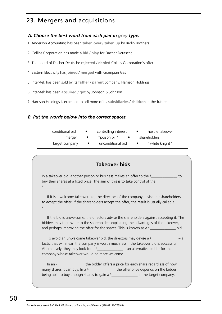# 23. Mergers and acquisitions

#### *A. Choose the best word from each pair in grey type.*

- 1. Anderson Accounting has been **taken over** / **taken up** by Berlin Brothers.
- 2. Collins Corporation has made a **bid** / **play** for Dacher Deutsche
- 3. The board of Dacher Deutsche **rejected** / **denied** Collins Corporation's offer.
- 4. Eastern Electricity has **joined** / **merged** with Grampian Gas
- 5. Inter-tek has been sold by its **father** / **parent** company, Harrison Holdings.
- 6. Inter-tek has been **acquired** / **got** by Johnson & Johnson
- 7. Harrison Holdings is expected to sell more of its **subsidiaries** / **children** in the future.

#### *B. Put the words below into the correct spaces.*

| conditional bid | $\bullet$ | controlling interest | hostile takeover |
|-----------------|-----------|----------------------|------------------|
| merger          | $\bullet$ | " poison pill"       | shareholders     |
| target company  |           | unconditional bid    | "white knight"   |

#### **Takeover bids**

In a takeover bid, another person or business makes an offer to the <sup>1</sup>\_\_\_\_\_\_\_\_\_\_\_\_\_\_\_ to buy their shares at a fixed price. The aim of this is to take control of the 2<sub>\_\_\_\_\_\_\_\_\_\_\_\_\_\_\_\_\_\_\_\_</sub>.

If it is a welcome takeover bid, the directors of the company advise the shareholders to accept the offer. If the shareholders accept the offer, the result is usually called a 3<sub>\_\_\_\_\_\_\_\_\_\_\_\_\_\_\_\_\_\_\_\_\_</sub>.

If the bid is unwelcome, the directors advise the shareholders against accepting it. The bidders may then write to the shareholders explaining the advantages of the takeover, and perhaps improving the offer for the shares. This is known as a  $4$ \_\_\_\_\_\_\_\_\_\_\_\_\_\_\_ bid.

To avoid an unwelcome takeover bid, the directors may devise a <sup>5</sup> tactic that will mean the company is worth much less if the takeover bid is successful. Alternatively, they may look for a  $6$  \_\_\_\_\_\_\_\_\_\_\_\_\_\_\_\_ – an alternative bidder for the company whose takeover would be more welcome.

In an 7\_\_\_\_\_\_\_\_\_\_\_\_\_\_, the bidder offers a price for each share regardless of how many shares it can buy. In a  $8$ \_\_\_\_\_\_\_\_\_\_\_\_\_\_\_, the offer price depends on the bidder being able to buy enough shares to gain a  $9$ \_\_\_\_\_\_\_\_\_\_\_\_\_\_\_\_\_\_\_\_\_\_ in the target company.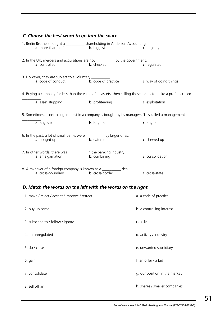| C. Choose the best word to go into the space.                                                                   |                            |                           |
|-----------------------------------------------------------------------------------------------------------------|----------------------------|---------------------------|
| 1. Berlin Brothers bought a ____________ shareholding in Anderson Accounting.<br>a. more-than-half              | <b>b.</b> biggest          | c. majority               |
| 2. In the UK, mergers and acquisitions are not __________ by the government.<br>a. controlled                   | <b>b.</b> checked          | c. regulated              |
| 3. However, they are subject to a voluntary ___________.<br>a. code of conduct                                  | <b>b.</b> code of practice | c. way of doing things    |
| 4. Buying a company for less than the value of its assets, then selling those assets to make a profit is called |                            |                           |
| a. asset stripping                                                                                              | <b>b.</b> profiteering     | c. exploitation           |
| 5. Sometimes a controlling interest in a company is bought by its managers. This called a management            |                            |                           |
| a. buy-out                                                                                                      | b. buy-up                  | c. buy-in                 |
| 6. In the past, a lot of small banks were ___________ by larger ones.<br>a. bought up                           | <b>b.</b> eaten up         | c. chewed up              |
| 7. In other words, there was ___________ in the banking industry.<br>a. amalgamation                            | <b>b.</b> combining        | c. consolidation          |
| 8. A takeover of a foreign company is known as a __________ deal.<br>a. cross-boundary                          | <b>b.</b> cross-border     | c. cross-state            |
| D. Match the words on the left with the words on the right.                                                     |                            |                           |
| 1. make / reject / accept / improve / retract                                                                   |                            | a. a code of practice     |
| 2. buy up some                                                                                                  |                            | b. a controlling interest |
|                                                                                                                 |                            |                           |

| 2. buy up some                    | b. a controlling interest     |
|-----------------------------------|-------------------------------|
| 3. subscribe to / follow / ignore | c. a deal                     |
| 4. an unregulated                 | d. activity / industry        |
| 5. do / close                     | e. unwanted subsidiary        |
| 6. gain                           | f. an offer / a bid           |
| 7. consolidate                    | g. our position in the market |
| 8. sell off an                    | h. shares / smaller companies |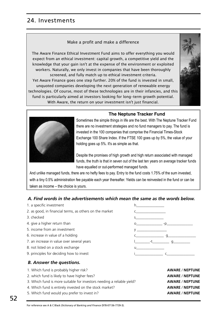# 24. Investments

#### Make a profit and make a difference

The Aware Finance Ethical Investment Fund aims to offer everything you would expect from an ethical investment: capital growth, a competitive yield and the knowledge that your gain isn't at the expense of the environment or exploited workers. Naturally, we only invest in companies that have been thoroughly screened, and fully match up to ethical investment criteria.

Yet Aware Finance goes one step further. 20% of the fund is invested in small, unquoted companies developing the next generation of renewable energy technologies. Of course, most of these technologies are in their infancies, and this fund is particularly aimed at investors looking for long-term growth potential. With Aware, the return on your investment isn't just financial.





#### **The Neptune Tracker Fund**

Sometimes the simple things in life are the best. With The Neptune Tracker Fund there are no investment strategies and no fund managers to pay. The fund is invested in the 100 companies that comprise the Financial Times-Stock Exchange 100 Share Index. If the FTSE 100 goes up by 5%, the value of your holding goes up 5%. It's as simple as that.

Despite the promises of high growth and high return associated with managed funds, the truth is that in seven out of the last ten years on average tracker funds have equalled or out-performed managed funds.

And unlike managed funds, there are no hefty fees to pay. Entry to the fund costs 1.75% of the sum invested, with a tiny 0.5% administration fee payable each year thereafter. Yields can be reinvested in the fund or can be taken as income – the choice is yours.

#### *A. Find words in the advertisements which mean the same as the words below.*

- 1. a specific investment has been approximately be a set of the hand has been approximately been approximately
- 2. as good, in financial terms, as others on the market contained contained to contain the market
- 
- 
- 5. income from an investment y \_\_\_\_\_\_\_\_\_\_\_\_\_\_\_\_
- 
- 7. an increase in value over several years letter that in the set of the set of the set of the set of the set o
- 8. not listed on a stock exchange u\_\_\_\_\_\_\_\_\_\_\_\_\_\_\_
- 9. principles for deciding how to invest interval in the state of the state of the state of the state of the state of the state of the state of the state of the state of the state of the state of the state of the state of

# 3. checked sources are set to see set to see set the set of set of set of set of set of set of set of set of s 4. give a higher return than only say that the contract of the contract of the contract of the contract of the contract of the contract of the contract of the contract of the contract of the contract of the contract of the 6. increase in value of a holding  $c_1$  and  $c_2$  and  $c_3$  and  $c_4$  g

#### *B. Answer the questions.*

1. Which fund is probably higher risk? **AWARE** / **NEPTUNE**

- 2. which fund is likely to have higher fees? **AWARE** / **NEPTUNE**
- 3. Which fund is more suitable for investors needing a reliable yield? **AWARE** / **NEPTUNE**
- 4. Which fund is entirely invested on the stock market? **AWARE** / **NEPTUNE**
- 5. Which fund would you prefer to invest in? **AWARE** / **NEPTUNE**
- <span id="page-52-0"></span>For reference see A & C Black *Dictionary of Banking and Finance* (978-07136-7739-3).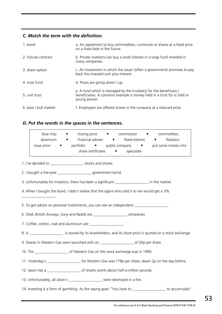#### *C. Match the term with the definition.*

| 1. bond               | a. An agreement to buy commodities, currencies or shares at a fixed price<br>on a fixed date in the future.                                                    |
|-----------------------|----------------------------------------------------------------------------------------------------------------------------------------------------------------|
| 2. futures contract   | b. Private investors can buy a small interest in a large fund invested in<br>many companies.                                                                   |
| 3. share option       | c. An investment in which the issuer (often a government) promises to pay<br>back the invested sum plus interest.                                              |
| 4. trust fund         | d. Prices are going down / up.                                                                                                                                 |
| 5. unit trust         | e. A fund which is managed by the trustee(s) for the beneficiary /<br>beneficiaries. A common example is money held in a trust for a child or<br>young person. |
| 6. bear / bull market | f. Employees are offered shares in the company at a reduced price.                                                                                             |

### *D. Put the words in the spaces in the sentences.*

|                                                                                                             | blue chip<br>downturn<br>issue price                             | closing price<br>$\bullet$<br>$\bullet$<br>financial adviser •<br>$\bullet$<br>• portfolio • public company • put some money into | commission<br>fixed-interest •<br>share certificates • speculate | commodities<br>flotation                                                                                |  |  |  |
|-------------------------------------------------------------------------------------------------------------|------------------------------------------------------------------|-----------------------------------------------------------------------------------------------------------------------------------|------------------------------------------------------------------|---------------------------------------------------------------------------------------------------------|--|--|--|
|                                                                                                             | 1. I've decided to __________________________ stocks and shares. |                                                                                                                                   |                                                                  |                                                                                                         |  |  |  |
|                                                                                                             |                                                                  | 2. I bought a five-year _______________________ government bond.                                                                  |                                                                  |                                                                                                         |  |  |  |
|                                                                                                             |                                                                  | 3. Unfortunately for investors, there has been a significant ____________________ in the market                                   |                                                                  |                                                                                                         |  |  |  |
|                                                                                                             |                                                                  | 4. When I bought the bond, I didn't realise that the agent who sold it to me would get a 3%                                       |                                                                  |                                                                                                         |  |  |  |
| 5. To get advice on personal investments, you can see an independent __________________.                    |                                                                  |                                                                                                                                   |                                                                  |                                                                                                         |  |  |  |
|                                                                                                             |                                                                  | 6. Shell, British Airways, Sony and Nestlé are _______________________ companies.                                                 |                                                                  |                                                                                                         |  |  |  |
| 7. Coffee, cotton, coal and aluminium are ___________________.                                              |                                                                  |                                                                                                                                   |                                                                  |                                                                                                         |  |  |  |
| 8. A _____________________ is owned by its shareholders, and its share price is quoted on a stock exchange. |                                                                  |                                                                                                                                   |                                                                  |                                                                                                         |  |  |  |
| 9. Shares in Western Gas were launched with an _______________________ of 50p per share.                    |                                                                  |                                                                                                                                   |                                                                  |                                                                                                         |  |  |  |
| 10. The __________________________ of Western Gas on the stock exchange was in 1990.                        |                                                                  |                                                                                                                                   |                                                                  |                                                                                                         |  |  |  |
| 11. Yesterday's _______________________ for Western Gas was 178p per share, down 2p on the day before.      |                                                                  |                                                                                                                                   |                                                                  |                                                                                                         |  |  |  |
| 12. Jason has a _______________________ of shares worth about half-a-million pounds.                        |                                                                  |                                                                                                                                   |                                                                  |                                                                                                         |  |  |  |
|                                                                                                             |                                                                  | 13. Unfortunately, all Jason's _____________________ were destroyed in a fire.                                                    |                                                                  |                                                                                                         |  |  |  |
|                                                                                                             |                                                                  |                                                                                                                                   |                                                                  | 14. Investing is a form of gambling. As the saying goes "You have to __________________ to accumulate". |  |  |  |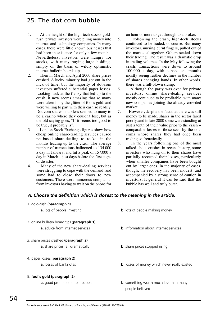### 25. The dot.com bubble

- 1. At the height of the high-tech stocks goldrush, private investors were piling money into internet and technology companies. In many cases, these were little known businesses that had been in existence for only a few months. Nevertheless, investors were hungry for stocks, with many buying large holdings simply on the basis of wildly optimistic internet bulletin boards tips.
- 2. Then in March and April 2000 share prices crashed. A lucky minority had got out in the nick of time, but the majority of dot-com investors suffered substantial paper losses. Looking back at the frenzy that led up to the crash, it now seems amazing that so many were taken in by the glitter of fool's gold, and were willing to part with their cash so readily. Dot-com shares doubtless seemed to many to be a casino where they couldn't lose, but as the old saying goes, "If it seems too good to be true, it probably is".
- 3. London Stock Exchange figures show how cheap online share-trading services caused net-based share-dealing to rocket in the months leading up to the crash. The average number of transactions ballooned to 134,000 a day in January, and hit a peak of 157,000 a day in March – just days before the first signs of disaster.
- 4. Many of the new share-dealing services were struggling to cope with the demand, and some had to close their doors to new customers. There were numerous complaints from investors having to wait on the phone for

1. gold-rush (**paragraph 1**)

an hour or more to get through to a broker.

- 5. Following the crash, high-tech stocks continued to be traded, of course. But many investors, nursing burnt fingers, pulled out of the market altogether. Others scaled down their trading. The result was a dramatic drop in trading volumes. In the May following the crash, transactions were down to around 100,000 a day, with subsequent months mostly seeing further declines in the number of shares changing hands. In other words, there was a full-blown slump.
- 6. Although the party was over for private investors, online share-dealing services mostly continued to be profitable, with many new companies joining the already crowded market.
- 7. However, despite the fact that there was still money to be made, shares in the sector fared poorly, and in late 2000 some were standing at just a tenth of their value prior to the crash – comparable losses to those seen by the dotcoms whose shares they had once been trading so frenetically.
- 8. In the years following one of the most talked-about crashes in recent history, some investors who hung on to their shares have partially recouped their losses, particularly when smaller companies have been bought out by larger ones. In the majority of cases, though, the recovery has been modest, and accompanied by a strong sense of caution in investors. It general it can be said that the bubble has well and truly burst.

#### *A. Choose the definition which is closest to the meaning in the article.*

| T. gold-rush ( <b>paragraph T</b> )                  |                                                                  |
|------------------------------------------------------|------------------------------------------------------------------|
| <b>a.</b> lots of people investing                   | <b>b.</b> lots of people making money                            |
| 2. online bulletin board tips ( <b>paragraph 1</b> ) |                                                                  |
| <b>a.</b> advice from internet services              | <b>b.</b> information about internet services                    |
| 3. share prices crashed (paragraph 2)                |                                                                  |
| <b>a.</b> share prices fell dramatically             | <b>b.</b> share prices stopped rising                            |
| 4. paper losses ( <b>paragraph 2</b> )               |                                                                  |
| <b>a.</b> losses of banknotes                        | <b>b.</b> losses of money which never really existed             |
| 5. fool's gold (paragraph 2)                         |                                                                  |
| <b>a.</b> good profits for stupid people             | <b>b.</b> something worth much less than many<br>people believed |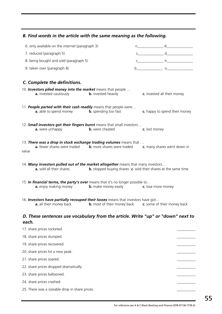### *B. Find words in the article with the same meaning as the following.*

| 6. only available on the internet (paragraph 3)                                                                    |                             |                                                                              |
|--------------------------------------------------------------------------------------------------------------------|-----------------------------|------------------------------------------------------------------------------|
| 7. reduced (paragraph 5)                                                                                           |                             | $s$ d                                                                        |
| 8. being bought and sold (paragraph 5)                                                                             |                             |                                                                              |
| 9. taken over (paragraph 8)                                                                                        |                             | $b$ 0                                                                        |
|                                                                                                                    |                             |                                                                              |
| C. Complete the definitions.                                                                                       |                             |                                                                              |
| 10. Investors piled money into the market means that people<br>a. invested cautiously                              | <b>b.</b> invested heavily  | c. invested all their money                                                  |
| 11. People parted with their cash readily means that people were<br>a. able to spend money                         | <b>b.</b> spending too fast | c. happy to spend their money                                                |
| 12. Small investors got their fingers burnt means that small investors<br>a. were unhappy                          | <b>b.</b> were cheated      | c. lost money                                                                |
| 13. There was a drop in stock exchange trading volumes means that<br>a. fewer shares were traded<br>value          |                             | <b>b.</b> more shares were traded <b>c.</b> many shares went down in         |
| 14. Many investors pulled out of the market altogether means that many investors<br>a. sold all their shares       |                             | <b>b.</b> stopped buying shares <b>c.</b> sold their shares at the same time |
| 15. In financial terms, the party's over means that it's no longer possible to<br>a. enjoy making money            | <b>b.</b> make money easily | c. lose more money                                                           |
| 16. Investors have partially recouped their losses means that investors have got<br><b>a.</b> all their money back |                             | <b>b.</b> most of their money back <b>c.</b> some of their money back        |
| D. These sentences use vocabulary from the article. Write "up" or "down" next to<br>each.                          |                             |                                                                              |
| 17. share prices rocketed.                                                                                         |                             |                                                                              |

| 18. share prices slumped.                      |  |
|------------------------------------------------|--|
| 19. share prices recovered.                    |  |
| 20. share prices hit a new peak.               |  |
| 21. share prices soared.                       |  |
| 22. share prices dropped dramatically.         |  |
| 23. share prices ballooned.                    |  |
| 24. share prices crashed.                      |  |
| 25. There was a sizeable drop in share prices. |  |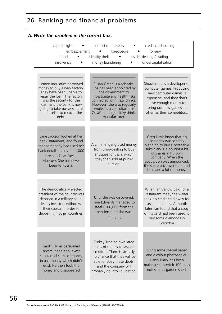# 26. Banking and financial problems

| capital flight<br>embezzlement                                                                                                                                                                 | conflict of interests<br>foreclosure                                                                                                                                                                        | credit card cloning<br>forgery                                                                                                                                                                                                                        |
|------------------------------------------------------------------------------------------------------------------------------------------------------------------------------------------------|-------------------------------------------------------------------------------------------------------------------------------------------------------------------------------------------------------------|-------------------------------------------------------------------------------------------------------------------------------------------------------------------------------------------------------------------------------------------------------|
| fraud                                                                                                                                                                                          | identity theft<br>٠                                                                                                                                                                                         | insider dealing / trading                                                                                                                                                                                                                             |
| insolvency                                                                                                                                                                                     | money laundering                                                                                                                                                                                            | undercapitalisation                                                                                                                                                                                                                                   |
| Lemon Industries borrowed<br>money to buy a new factory.<br>They have been unable to<br>repay the loan. The factory<br>was the security for the<br>loan, and the bank is now                   | Susan Green is a scientist.<br>She has been appointed by<br>the government to<br>investigate any health risks<br>connected with fizzy drinks.<br>However, she also regularly                                | Shootemup is a developer of<br>computer games. Producing<br>new computer games is<br>expensive, and they don't<br>have enough money to                                                                                                                |
| going to take possession of<br>it and sell it to recover the<br>debt.                                                                                                                          | works as a consultant for<br>ColaCo, a major fizzy drinks<br>manufacturer.                                                                                                                                  | bring out new games as<br>often as their competitors.                                                                                                                                                                                                 |
| Jane Jackson looked at her<br>bank statement, and found<br>that somebody had used her<br>bank details to pay for 1,000<br>litres of diesel fuel in<br>Moscow. She has never<br>been to Russia. | A criminal gang used money<br>from drug-dealing to buy<br>antiques for cash, which<br>they then sold at public<br>auction.                                                                                  | Greg Davis knew that his<br>company was secretly<br>planning to buy a profitable<br>subsidiary. He bought a lot<br>of shares in his own<br>company. When the<br>acquisition was announced,<br>the share price went up, and<br>he made a lot of money. |
| The democratically elected<br>president of the country was<br>deposed in a military coup.<br>Many investors withdrew<br>their capital in order to<br>deposit it in other countries.            | Until she was discovered,<br>Tina Edwards managed to<br>steal £100,000 from the<br>pension fund she was<br>managing.                                                                                        | When Ian Barlow paid for a<br>restaurant meal, the waiter<br>took his credit card away for<br>several minutes. A month<br>later, Ian found that a copy<br>of his card had been used to<br>buy some diamonds in<br>Colombia.                           |
| Geoff Parker persuaded<br>several people to invest<br>substantial sums of money<br>in a company which didn't<br>exist. He then took the<br>money and disappeared.                              | Turkey Trading owe large<br>sums of money to several<br>creditors. There is virtually<br>no chance that they will be<br>able to repay these debts,<br>and the company will<br>probably go into liquidation. | Using some special paper<br>and a colour photocopier,<br>Henry Black has been<br>making counterfeit 100 euro<br>notes in his garden shed.                                                                                                             |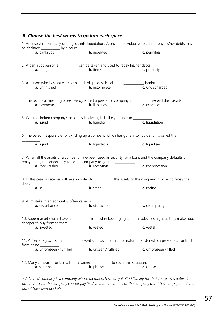| B. Choose the best words to go into each space.                                                                                                                                 |                              |                        |  |  |
|---------------------------------------------------------------------------------------------------------------------------------------------------------------------------------|------------------------------|------------------------|--|--|
| 1. An insolvent company often goes into liquidation. A private individual who cannot pay his/her debts may<br>be declared _____________ by a court.                             |                              |                        |  |  |
| a. bankrupt                                                                                                                                                                     | <b>b.</b> indebted           | c. penniless           |  |  |
| 2. A bankrupt person's _____________ can be taken and used to repay his/her debts.                                                                                              |                              |                        |  |  |
| <b>a.</b> things                                                                                                                                                                | <b>b.</b> items              | c. property            |  |  |
| 3. A person who has not yet completed this process is called an ____________ bankrupt                                                                                           |                              |                        |  |  |
| a. unfinished                                                                                                                                                                   | <b>b.</b> incomplete         | c. undischarged        |  |  |
| 4. The technical meaning of <i>insolvency</i> is that a person or company's __________ exceed their assets.                                                                     |                              |                        |  |  |
| a. payments                                                                                                                                                                     | <b>b.</b> liabilities        | c. expenses            |  |  |
| 5. When a limited company* becomes insolvent, it is likely to go into __________.                                                                                               |                              |                        |  |  |
| a. liquid                                                                                                                                                                       | <b>b.</b> liquidity          | c. liquidation         |  |  |
| 6. The person responsible for winding up a company which has gone into liquidation is called the                                                                                |                              |                        |  |  |
| a. liquid                                                                                                                                                                       | <b>b.</b> liquidator         | c. liquidiser          |  |  |
| 7. When all the assets of a company have been used as security for a loan, and the company defaults on<br>repayments, the lender may force the company to go into ____________. |                              |                        |  |  |
| a. receivership                                                                                                                                                                 | <b>b.</b> reception          | c. reciprocation.      |  |  |
| 8. In this case, a receiver will be appointed to _________ the assets of the company in order to repay the<br>debt.                                                             |                              |                        |  |  |
| a. sell                                                                                                                                                                         | <b>b.</b> trade              | c. realise             |  |  |
| 9. A mistake in an account is often called a _______                                                                                                                            |                              |                        |  |  |
| a. disturbance                                                                                                                                                                  | <b>b.</b> distraction        | c. discrepancy         |  |  |
| 10. Supermarket chains have a ___________ interest in keeping agricultural subsidies high, as they make food<br>cheaper to buy from farmers.                                    |                              |                        |  |  |
| a. invested                                                                                                                                                                     | <b>b.</b> vested             | c. vestal              |  |  |
| 11. A force majeure is an ____________ event such as strike, riot or natural disaster which prevents a contract                                                                 |                              |                        |  |  |
| from being ___________.<br>a. unforeseen / fulfilled                                                                                                                            | <b>b.</b> unseen / fulfilled | c. unforeseen / filled |  |  |
| 12. Many contracts contain a force majeure _________ to cover this situation.                                                                                                   |                              |                        |  |  |
| a. sentence                                                                                                                                                                     | <b>b.</b> phrase             | c. clause              |  |  |

*\* A limited company is a company whose members have only limited liability for that company's debts. In other words, if the company cannot pay its debts, the members of the company don't have to pay the debts out of their own pockets.*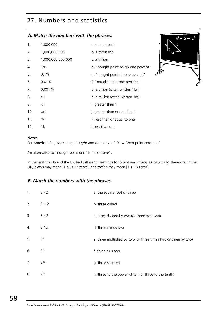# 27. Numbers and statistics

#### *A. Match the numbers with the phrases.*

| 1.  | 1,000,000         | a. one percent                      |
|-----|-------------------|-------------------------------------|
| 2.  | 1,000,000,000     | b. a thousand                       |
| 3.  | 1,000,000,000,000 | c. a trillion                       |
| 4.  | $1\%$             | d. "nought point oh oh one percent" |
| 5.  | $0.1\%$           | e. "nought point oh one percent"    |
| 6.  | 0.01%             | f. "nought point one percent"       |
| 7.  | 0.001%            | g. a billion (often written 1bn)    |
| 8.  | >1                | h. a million (often written 1m)     |
| 9.  | <1                | i. greater than 1                   |
| 10. | $\geq$ 1          | j. greater than or equal to 1       |
| 11. | $\leq$ 1          | k. less than or equal to one        |
| 12. | 1k                | I. less than one                    |



#### **Notes**

For American English, change *nought* and *oh* to *zero*: 0.01 = "zero point zero one"

An alternative to "nought point one" is "point one".

In the past the US and the UK had different meanings for *billion* and *trillion*. Occasionally, therefore, in the UK, *billion* may mean [1 plus 12 zeros], and *trillion* may mean [1 + 18 zeros].

#### *B. Match the numbers with the phrases.*

| 1. | $3 - 2$        | a. the square root of three                                     |
|----|----------------|-----------------------------------------------------------------|
| 2. | $3 + 2$        | b. three cubed                                                  |
| 3. | $3 \times 2$   | c. three divided by two (or three over two)                     |
| 4. | $3/2$          | d. three minus two                                              |
| 5. | 3 <sup>2</sup> | e. three multiplied by two (or three times two or three by two) |
| 6. | 33             | f. three plus two                                               |
| 7. | $3^{10}$       | g. three squared                                                |
| 8. | $\sqrt{3}$     | h. three to the power of ten (or three to the tenth)            |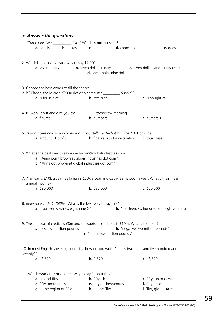| c. Answer the questions.                                                                                                                                                                            |                                                                                                       |                                                                |                        |  |  |
|-----------------------------------------------------------------------------------------------------------------------------------------------------------------------------------------------------|-------------------------------------------------------------------------------------------------------|----------------------------------------------------------------|------------------------|--|--|
| 1. "Three plus two ___________ five." Which is not possible?                                                                                                                                        |                                                                                                       |                                                                |                        |  |  |
| <b>a.</b> equals <b>b.</b> makes <b>c.</b> is                                                                                                                                                       |                                                                                                       | <b>d.</b> comes to                                             | e. does                |  |  |
| 2. Which is not a very usual way to say \$7.90?                                                                                                                                                     | <b>a.</b> seven ninety <b>b.</b> seven dollars ninety <b>c.</b> seven dollars and ninety cents        | d. seven point nine dollars                                    |                        |  |  |
| 3. Choose the best words to fill the spaces<br>In PC Planet, the Micron X9000 desktop computer ___________ \$999.95.<br><b>a.</b> is for sale at                                                    | <b>b.</b> retails at                                                                                  |                                                                | c. is bought at        |  |  |
| 4. I'll work it out and give you the ___________ tomorrow morning.<br>a. figures                                                                                                                    | <b>b.</b> numbers                                                                                     |                                                                | c. numerals            |  |  |
| 5. "I don't care how you worked it out. Just tell me the bottom line." Bottom line =<br><b>a.</b> amount of profit                                                                                  |                                                                                                       | <b>b.</b> final result of a calculation <b>c.</b> total losses |                        |  |  |
| 6. What's the best way to say anna brown@globalindustries.com<br>a. "Anna point brown at global industries dot com"<br><b>b.</b> "Anna dot brown at global industries dot com"                      |                                                                                                       |                                                                |                        |  |  |
| 7. Alan earns £10k a year, Bella earns £20k a year and Cathy earns £60k a year. What's their mean<br>annual income?                                                                                 |                                                                                                       |                                                                |                        |  |  |
| a. f20,000                                                                                                                                                                                          | b. f30,000                                                                                            |                                                                | c. $£60,000$           |  |  |
| 8. Reference code 14/689G. What's the best way to say this?<br>a. "fourteen slash six eight nine G"<br><b>b.</b> "fourteen, six hundred and eighty-nine G"                                          |                                                                                                       |                                                                |                        |  |  |
| 9. The subtotal of credits is £8m and the subtotal of debits is £10m. What's the total?<br>a. "less two million pounds"<br><b>b.</b> "negative two million pounds"<br>c. "minus two million pounds" |                                                                                                       |                                                                |                        |  |  |
| 10. In most English-speaking countries, how do you write "minus two thousand five hundred and<br>seventy"?                                                                                          |                                                                                                       |                                                                |                        |  |  |
| $a. -2.570$                                                                                                                                                                                         | $b. 2.570-$                                                                                           |                                                                | c. $-2,570$            |  |  |
| a. around fifty                                                                                                                                                                                     | 11. Which two are not another way to say "about fifty"<br><b>b.</b> fifty-ish<br>c. fifty, up or down |                                                                |                        |  |  |
| d. fifty, more or less                                                                                                                                                                              | e. fifty or thereabouts                                                                               |                                                                | f. fifty or so         |  |  |
| g. in the region of fifty                                                                                                                                                                           | h. on the fifty                                                                                       |                                                                | i. fifty, give or take |  |  |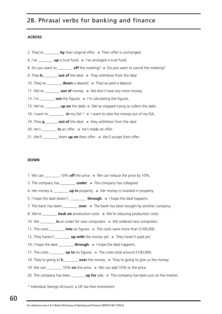# 28. Phrasal verbs for banking and finance

#### **ACROSS**

| 2. They're $\frac{1}{\sqrt{2}}$ by their original offer. $\equiv$ Their offer is unchanged.                                                                                                                                                                                                                                                                                                                                |
|----------------------------------------------------------------------------------------------------------------------------------------------------------------------------------------------------------------------------------------------------------------------------------------------------------------------------------------------------------------------------------------------------------------------------|
| 6. I've $\frac{1}{\sqrt{2}}$ <b>up</b> a trust fund. $\frac{1}{\sqrt{2}}$ I've arranged a trust fund.                                                                                                                                                                                                                                                                                                                      |
| 8. Do you want to $\frac{1}{\sqrt{3}}$ off the meeting? = Do you want to cancel the meeting?                                                                                                                                                                                                                                                                                                                               |
| 9. They <b>b</b> ________ <b>out of</b> the deal. $=$ They withdrew from the deal.                                                                                                                                                                                                                                                                                                                                         |
| 10. They've _________ <b>down</b> a deposit. $=$ They've paid a deposit.                                                                                                                                                                                                                                                                                                                                                   |
| 11. We've $\frac{1}{\sqrt{1-\frac{1}{\sqrt{1-\frac{1}{\sqrt{1-\frac{1}{\sqrt{1-\frac{1}{\sqrt{1-\frac{1}{\sqrt{1-\frac{1}{\sqrt{1-\frac{1}{\sqrt{1-\frac{1}{\sqrt{1-\frac{1}{\sqrt{1-\frac{1}{\sqrt{1-\frac{1}{\sqrt{1-\frac{1}{\sqrt{1-\frac{1}{\sqrt{1-\frac{1}{\sqrt{1-\frac{1}{\sqrt{1-\frac{1}{\sqrt{1-\frac{1}{\sqrt{1-\frac{1}{\sqrt{1-\frac{1}{\sqrt{1-\frac{1}{\sqrt{1-\frac{1}{\sqrt{1-\frac{1}{\sqrt{1-\frac{$  |
| 13. I'm $\frac{1}{\sqrt{1-\frac{1}{\sqrt{1-\frac{1}{\sqrt{1-\frac{1}{\sqrt{1-\frac{1}{\sqrt{1-\frac{1}{\sqrt{1-\frac{1}{\sqrt{1-\frac{1}{\sqrt{1-\frac{1}{\sqrt{1-\frac{1}{\sqrt{1-\frac{1}{\sqrt{1-\frac{1}{\sqrt{1-\frac{1}{\sqrt{1-\frac{1}{\sqrt{1-\frac{1}{\sqrt{1-\frac{1}{\sqrt{1-\frac{1}{\sqrt{1-\frac{1}{\sqrt{1-\frac{1}{\sqrt{1-\frac{1}{\sqrt{1-\frac{1}{\sqrt{1-\frac{1}{\sqrt{1-\frac{1}{\sqrt{1-\frac{1}{$ |
| 15. We've $\frac{1}{\sqrt{1-\frac{1}{\sqrt{1-\frac{1}{\sqrt{1-\frac{1}{\sqrt{1-\frac{1}{\sqrt{1-\frac{1}{\sqrt{1-\frac{1}{\sqrt{1-\frac{1}{\sqrt{1-\frac{1}{\sqrt{1-\frac{1}{\sqrt{1-\frac{1}{\sqrt{1-\frac{1}{\sqrt{1-\frac{1}{\sqrt{1-\frac{1}{\sqrt{1-\frac{1}{\sqrt{1-\frac{1}{\sqrt{1-\frac{1}{\sqrt{1-\frac{1}{\sqrt{1-\frac{1}{\sqrt{1-\frac{1}{\sqrt{1-\frac{1}{\sqrt{1-\frac{1}{\sqrt{1-\frac{1}{\sqrt{1-\frac{$  |
| 16. I want to _________ in my ISA. $* = 1$ want to take the money out of my ISA.                                                                                                                                                                                                                                                                                                                                           |
| 19. They $p_0$ out of the deal. $=$ they withdrew from the deal.                                                                                                                                                                                                                                                                                                                                                           |
| 20. He's $\frac{1}{\sqrt{2}}$ in an offer. $\sqrt{2}$ He's made an offer.                                                                                                                                                                                                                                                                                                                                                  |
|                                                                                                                                                                                                                                                                                                                                                                                                                            |

21. We'll \_\_\_\_\_\_\_\_ them **up on** their offer. **=** We'll accept their offer.

#### **DOWN**

- 1. We can \_\_\_\_\_\_\_\_ 10% **off** the price. **=** We can reduce the price by 10%.
- 3. The company has \_\_\_\_\_\_\_\_ **under**. **=** The company has collapsed.
- 4. Her money is \_\_\_\_\_\_\_\_ **up in** property. **=** Her money is invested in property.
- 5. I hope the deal doesn't \_\_\_\_\_\_\_\_ **through**. **=** I hope the deal happens.
- 7. The bank has been \_\_\_\_\_\_\_\_ **over**. **=** The bank has been bought by another company.
- 8. We're \_\_\_\_\_\_\_\_ **back on** production costs. **=** We're reducing production costs.
- 10. We \_\_\_\_\_\_\_\_ **in** an order for new computers. **=** We ordered new computers.
- 11. The costs \_\_\_\_\_\_\_\_ **into** six figures. **=** The costs were more than £100,000.
- 12. They haven't \_\_\_\_\_\_\_\_ **up with** the money yet. **=** They haven't paid yet.
- 14. I hope the deal \_\_\_\_\_\_\_\_ **through**. **=** I hope the deal happens.
- 17. The costs \_\_\_\_\_\_\_\_ **up to** six figures. **=** The costs total around £100,000.
- 18. They're going to **h**\_\_\_\_\_\_\_\_ **over** the money. **=** They're going to give us the money.
- 19. We can \_\_\_\_\_\_\_\_ 10% **on** the price. **=** We can add 10% to the price.
- 20. The company has been \_\_\_\_\_\_\_ **up for** sale. **=** The company has been put on the market.
- *\* Individual Savings Account, a UK tax-free investment*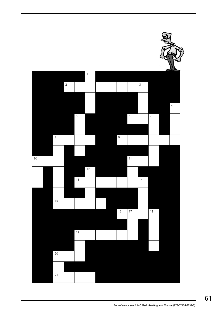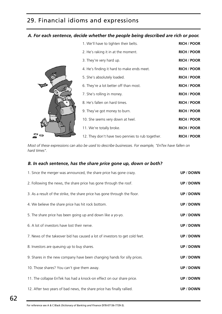# 29. Financial idioms and expressions

#### *A. For each sentence, decide whether the people being described are rich or poor.*

|  | 1. We'll have to tighten their belts.            | <b>RICH / POOR</b> |
|--|--------------------------------------------------|--------------------|
|  | 2. He's raking it in at the moment.              | <b>RICH / POOR</b> |
|  | 3. They're very hard up.                         | <b>RICH / POOR</b> |
|  | 4. He's finding it hard to make ends meet.       | <b>RICH / POOR</b> |
|  | 5. She's absolutely loaded.                      | <b>RICH / POOR</b> |
|  | 6. They're a lot better off than most.           | <b>RICH / POOR</b> |
|  | 7. She's rolling in money.                       | <b>RICH / POOR</b> |
|  | 8. He's fallen on hard times.                    | <b>RICH / POOR</b> |
|  | 9. They've got money to burn.                    | <b>RICH / POOR</b> |
|  | 10. She seems very down at heel.                 | <b>RICH / POOR</b> |
|  | 11. We're totally broke.                         | <b>RICH / POOR</b> |
|  | 12. They don't have two pennies to rub together. | <b>RICH / POOR</b> |

*Most of these expressions can also be used to describe businesses. For example, "EnTex have fallen on hard times".*

#### *B. In each sentence, has the share price gone up, down or both?*

| 1. Since the merger was announced, the share price has gone crazy.          | <b>UP / DOWN</b> |
|-----------------------------------------------------------------------------|------------------|
| 2. Following the news, the share price has gone through the roof.           | <b>UP / DOWN</b> |
| 3. As a result of the strike, the share price has gone through the floor.   | <b>UP / DOWN</b> |
| 4. We believe the share price has hit rock bottom.                          | <b>UP / DOWN</b> |
| 5. The share price has been going up and down like a yo-yo.                 | <b>UP / DOWN</b> |
| 6. A lot of investors have lost their nerve.                                | <b>UP / DOWN</b> |
| 7. News of the takeover bid has caused a lot of investors to get cold feet. | <b>UP / DOWN</b> |
| 8. Investors are queuing up to buy shares.                                  | <b>UP / DOWN</b> |
| 9. Shares in the new company have been changing hands for silly prices.     | <b>UP / DOWN</b> |
| 10. Those shares? You can't give them away.                                 | <b>UP / DOWN</b> |
| 11. The collapse EnTek has had a knock-on effect on our share price.        | <b>UP / DOWN</b> |
| 12. After two years of bad news, the share price has finally rallied.       | <b>UP / DOWN</b> |
|                                                                             |                  |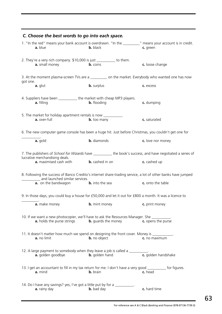| C. Choose the best words to go into each space.                                                                                                |                                                                                        |                                   |  |  |  |
|------------------------------------------------------------------------------------------------------------------------------------------------|----------------------------------------------------------------------------------------|-----------------------------------|--|--|--|
| 1. "In the red" means your bank account is overdrawn. "In the ________" means your account is in credit.<br>a. blue                            | <b>b.</b> black                                                                        | c. green                          |  |  |  |
| 2. They're a very rich company. \$10,000 is just __________ to them.<br>a. small money                                                         | <b>b.</b> coins                                                                        | c. loose change                   |  |  |  |
| 3. At the moment plasma-screen TVs are a __________ on the market. Everybody who wanted one has now<br>got one.                                |                                                                                        |                                   |  |  |  |
| a. glut                                                                                                                                        | <b>b.</b> surplus                                                                      | c. excess                         |  |  |  |
| 4. Suppliers have been ____________ the market with cheap MP3 players.<br>a. filling                                                           | <b>b.</b> flooding                                                                     | c. dumping                        |  |  |  |
| 5. The market for holiday apartment rentals is now ___________.<br>a. over-full                                                                | <b>b.</b> too many                                                                     | c. saturated                      |  |  |  |
| 6. The new computer game console has been a huge hit. Just before Christmas, you couldn't get one for                                          |                                                                                        |                                   |  |  |  |
| a. gold                                                                                                                                        | <b>b.</b> diamonds                                                                     | c. love nor money                 |  |  |  |
| 7. The publishers of School for Wizards have _________ the book's success, and have negotiated a series of<br>lucrative merchandising deals.   |                                                                                        |                                   |  |  |  |
| <b>a.</b> maximised cash with <b>b.</b> cashed in on                                                                                           |                                                                                        | c. cashed up                      |  |  |  |
| 8. Following the success of Banco Credito's internet share-trading service, a lot of other banks have jumped<br>and launched similar services. |                                                                                        |                                   |  |  |  |
| <b>a.</b> on the bandwagon <b>b.</b> into the sea                                                                                              |                                                                                        | c. onto the table                 |  |  |  |
| 9. In those days, you could buy a house for £50,000 and let it out for £800 a month. It was a licence to                                       |                                                                                        |                                   |  |  |  |
| a. make money                                                                                                                                  | <b>b.</b> mint money                                                                   | c. print money                    |  |  |  |
| 10. If we want a new photocopier, we'll have to ask the Resources Manager. She __________.                                                     | <b>a.</b> holds the purse strings <b>b.</b> guards the money <b>c.</b> opens the purse |                                   |  |  |  |
| 11. It doesn't matter how much we spend on designing the front cover. Money is ___________.<br>a. no limit                                     | <b>b.</b> no object                                                                    | c. no maximum                     |  |  |  |
| 12. A large payment to somebody when they leave a job is called a __________.<br>a. golden goodbye                                             | <b>b.</b> golden hand                                                                  | $\overline{c}$ . golden handshake |  |  |  |
| 13. I get an accountant to fill in my tax return for me. I don't have a very good ___________ for figures.<br>a. mind                          | <b>b.</b> brain                                                                        | c. head                           |  |  |  |
| 14. Do I have any savings? yes, I've got a little put by for a ________<br>a. rainy day                                                        | <b>b.</b> bad day                                                                      | c. hard time                      |  |  |  |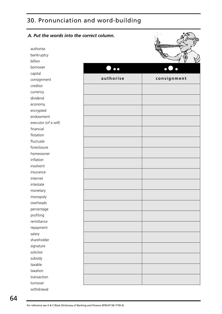# 30. Pronunciation and word-building

| A. Put the words into the correct column. |                           |             |
|-------------------------------------------|---------------------------|-------------|
| authorise                                 |                           |             |
| bankruptcy                                |                           |             |
| billion                                   |                           |             |
| borrower                                  | $\bullet \bullet \bullet$ |             |
| capital                                   |                           |             |
| consignment                               | authorise                 | consignment |
| creditor                                  |                           |             |
| currency                                  |                           |             |
| dividend                                  |                           |             |
| economy                                   |                           |             |
| encrypted                                 |                           |             |
| endowment                                 |                           |             |
| executor (of a will)                      |                           |             |
| financial                                 |                           |             |
| flotation                                 |                           |             |
| fluctuate                                 |                           |             |
| foreclosure                               |                           |             |
| homeowner                                 |                           |             |
| inflation                                 |                           |             |
| insolvent                                 |                           |             |
| insurance                                 |                           |             |
| internet                                  |                           |             |
| intestate                                 |                           |             |
| monetary                                  |                           |             |
| monopoly                                  |                           |             |
| overheads                                 |                           |             |
| percentage                                |                           |             |
| profiting                                 |                           |             |
| remittance                                |                           |             |
| repayment                                 |                           |             |
| salary                                    |                           |             |
| shareholder                               |                           |             |
| signature                                 |                           |             |
| solicitor                                 |                           |             |
| subsidy                                   |                           |             |
| taxable                                   |                           |             |
| taxation                                  |                           |             |
| transaction                               |                           |             |
| turnover                                  |                           |             |
| withdrawal                                |                           |             |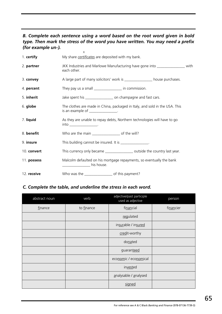#### *B. Complete each sentence using a word based on the root word given in bold type. Then mark the stress of the word you have written. You may need a prefix (for example un-).*

|             | X                                                                                                                                                                                                                                                                                                                                                                                                |  |  |  |
|-------------|--------------------------------------------------------------------------------------------------------------------------------------------------------------------------------------------------------------------------------------------------------------------------------------------------------------------------------------------------------------------------------------------------|--|--|--|
| 1. certify  | My share certificates are deposited with my bank.                                                                                                                                                                                                                                                                                                                                                |  |  |  |
| 2. partner  | JKK Industries and Marlowe Manufacturing have gone into ________________ with<br>each other.                                                                                                                                                                                                                                                                                                     |  |  |  |
| 3. convey   | A large part of many solicitors' work is _______________ house purchases.                                                                                                                                                                                                                                                                                                                        |  |  |  |
| 4. percent  | They pay us a small __________________ in commission.                                                                                                                                                                                                                                                                                                                                            |  |  |  |
| 5. inherit  | Jake spent his ____________________ on champagne and fast cars.                                                                                                                                                                                                                                                                                                                                  |  |  |  |
| 6. globe    | The clothes are made in China, packaged in Italy, and sold in the USA. This<br>is an example of $\frac{1}{2}$ $\frac{1}{2}$ $\frac{1}{2}$ $\frac{1}{2}$ $\frac{1}{2}$ $\frac{1}{2}$ $\frac{1}{2}$ $\frac{1}{2}$ $\frac{1}{2}$ $\frac{1}{2}$ $\frac{1}{2}$ $\frac{1}{2}$ $\frac{1}{2}$ $\frac{1}{2}$ $\frac{1}{2}$ $\frac{1}{2}$ $\frac{1}{2}$ $\frac{1}{2}$ $\frac{1}{2}$ $\frac{1}{2}$ $\frac{$ |  |  |  |
| 7. liquid   | As they are unable to repay debts, Northern technologies will have to go<br>$into$ __________________.                                                                                                                                                                                                                                                                                           |  |  |  |
| 8. benefit  | Who are the main __________________ of the will?                                                                                                                                                                                                                                                                                                                                                 |  |  |  |
| 9. insure   | This building cannot be insured. It is ________________.                                                                                                                                                                                                                                                                                                                                         |  |  |  |
| 10. convert | This currency only became __________________ outside the country last year.                                                                                                                                                                                                                                                                                                                      |  |  |  |
| 11. possess | Malcolm defaulted on his mortgage repayments, so eventually the bank<br>his house.                                                                                                                                                                                                                                                                                                               |  |  |  |
| 12. receive | Who was the _____________________ of this payment?                                                                                                                                                                                                                                                                                                                                               |  |  |  |

#### *C. Complete the table, and underline the stress in each word.*

| abstract noun | verb       | adjective/past participle<br>used as adjective | person    |
|---------------|------------|------------------------------------------------|-----------|
| finance       | to finance | financial                                      | financier |
|               |            | regulated                                      |           |
|               |            | insurable / insured                            |           |
|               |            | credit-worthy                                  |           |
|               |            | donated                                        |           |
|               |            | guaranteed                                     |           |
|               |            | economic / economical                          |           |
|               |            | invested                                       |           |
|               |            | analysable / analysed                          |           |
|               |            | signed                                         |           |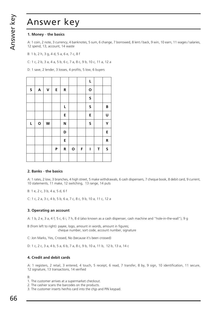#### **1. Money** – **the basics**

A: 1 coin, 2 note, 3 currency, 4 banknotes, 5 sum, 6 change, 7 borrowed, 8 lent / back, 9 win, 10 earn, 11 wages / salaries, 12 spend, 13, account, 14 waste

B: 1 b, 2 h, 3 g, 4 d, 5 a, 6 e, 7 c, 8 f

C: 1 c, 2 b, 3 a, 4 a, 5 b, 6 c, 7 a, 8 c, 9 b, 10 c, 11 a, 12 a

D: 1 save, 2 lender, 3 losses, 4 profits, 5 low, 6 buyers

|         |                           |                    |   |           |             |   | L            |   |              |
|---------|---------------------------|--------------------|---|-----------|-------------|---|--------------|---|--------------|
| $\sf S$ | $\boldsymbol{\mathsf{A}}$ | $\pmb{\mathsf{V}}$ | E | ${\sf R}$ |             |   | $\mathbf{o}$ |   |              |
|         |                           |                    |   |           |             |   | S            |   |              |
|         |                           |                    |   | L         |             |   | S            |   | $\, {\bf B}$ |
|         |                           |                    |   | E         |             |   | E            |   | U            |
| L       | $\mathbf O$               | W                  |   | N         |             |   | S            |   | Y            |
|         |                           |                    |   | D         |             |   |              |   | E            |
|         |                           |                    |   | E         |             |   |              |   | ${\bf R}$    |
|         |                           |                    | P | ${\sf R}$ | $\mathbf O$ | F | I            | T | $\sf S$      |
|         |                           |                    |   |           |             |   |              |   |              |

#### **2. Banks** – **the basics**

A: 1 rates, 2 low, 3 branches, 4 high street, 5 make withdrawals, 6 cash dispensers, 7 cheque book, 8 debit card, 9 current, 10 statements, 11 make, 12 switching, 13 range, 14 puts

B: 1 e, 2 c, 3 b, 4 a, 5 d, 6 f

C: 1 c, 2 a, 3 c, 4 b, 5 b, 6 a, 7 c, 8 c, 9 b, 10 a, 11 c, 12 a

#### **3. Operating an account**

A: 1 b, 2 e, 3 a, 4 f, 5 c, 6 i, 7 h, 8 d (also known as a cash dispenser, cash machine and "hole-in-the-wall"), 9 g

B (from left to right): payee, logo, amount in words, amount in figures; cheque number, sort code, account number, signature

C: Jon Marks, Yes, Crossed, No (because it's been crossed)

D: 1 c, 2 c, 3 a, 4 b, 5 a, 6 b, 7 a, 8 c, 9 b, 10 a, 11 b, 12 b, 13 a, 14 c

#### **4. Credit and debit cards**

A: 1 registers, 2 retail, 3 entered, 4 touch, 5 receipt, 6 read, 7 transfer, 8 by, 9 sign, 10 identification, 11 secure, 12 signature, 13 transactions, 14 verified

B:

- 1. The customer arrives at a supermarket checkout.
- 2. The cashier scans the barcodes on the products.
- 3. The customer inserts her/his card into the chjp and PIN keypad.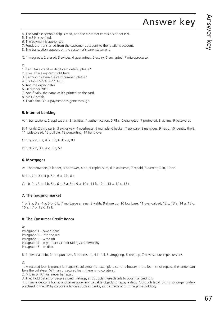- 4. The card's electronic chip is read, and the customer enters his or her PIN.
- 5. The PIN is verified.
- 6. The payment is authorised.
- 7. Funds are transferred from the customer's account to the retailer's account.
- 8. The transaction appears on the customer's bank statement.

C: 1 magnetic, 2 erased, 3 swipes, 4 guarantees, 5 expiry, 6 encrypted, 7 microprocessor

D:

- 1. Can I take credit or debit card details, please?
- 2. Sure. I have my card right here.
- 3. Can you give me the card number, please?
- 4. It's 4293 5274 3877 3305.
- 5. And the expiry date?
- 6. December 2011.
- 7. And finally, the name as it's printed on the card.
- 8. Mr J C Smith.
- 9. That's fine. Your payment has gone through.

#### **5. Internet banking**

A: 1 transactions, 2 applications, 3 facilities, 4 authentication, 5 PINs, 6 encrypted, 7 protected, 8 victims, 9 passwords

B: 1 funds, 2 third party, 3 exclusively, 4 overheads, 5 multiple, 6 hacker, 7 spyware, 8 malicious, 9 fraud, 10 identity theft, 11 widespread, 12 gullible, 13 purporting, 14 hand over

C: 1 g, 2 c, 3 e, 4 b, 5 h, 6 d, 7 a, 8 f

D: 1 d, 2 b, 3 e, 4 c, 5 a, 6 f

#### **6. Mortgages**

A: 1 homeowners, 2 lender, 3 borrower, 4 on, 5 capital sum, 6 instalments, 7 repaid, 8 current, 9 in, 10 on

B: 1 c, 2 d, 3 f, 4 g, 5 b, 6 a, 7 h, 8 e

C: 1b, 2 c, 3 b, 4 b, 5 c, 6 a, 7 a, 8 b, 9 a, 10 c, 11 b, 12 b, 13 a, 14 c, 15 c

#### **7. The housing market**

1 b, 2 a, 3 a, 4 a, 5 b, 6 b, 7 mortgage arrears, 8 yields, 9 shore up, 10 low base, 11 over-valued, 12 c, 13 a, 14 a, 15 c, 16 a, 17 b, 18 c, 19 b

#### **8. The Consumer Credit Boom**

 $\mathsf{A}$ Paragraph 1 – owe / loans Paragraph 2 – into the red Paragraph 3 – write off Paragraph 4 – pay it back / credit rating / creditworthy Paragraph 5 – creditors

B: 1 personal debt, 2 hire-purchase, 3 mounts up, 4 in full, 5 struggling, 6 keep up, 7 have serious repercussions

C:

1. A secured loan is money lent against collateral (for example a car or a house). If the loan is not repaid, the lender can take the collateral. With an unsecured loan, there is no collateral.

2. A loan which will never be repaid.

3. They hold details of people's credit ratings, and supply these details to potential creditors.

4. Enters a debtor's home, and takes away any valuable objects to repay a debt. Although legal, this is no longer widely practised in the UK by corporate lenders such as banks, as it attracts a lot of negative publicity.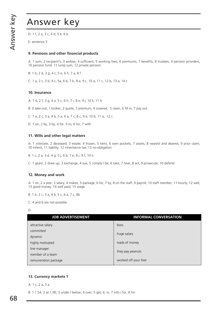D: 1 f, 2 a, 3 c, 4 d, 5 e, 6 b

E: sentence 3

#### **9. Pensions and other financial products**

A: 1 sum, 2 recipient's, 3 widow, 4 sufficient, 5 working lives, 6 premiums, 7 benefits, 8 trustees, 9 pension providers, 10 pension fund, 11 lump sum, 12 private pension

B: 1 b, 2 d, 3 g, 4 c, 5 e, 6 h, 7 a, 8 f

C: 1 a, 2 c, 3 b, 4 c, 5a, 6 b, 7 b, 8 a, 9 c, 10 a, 11 c, 12 b, 13 a, 14 c

#### **10. Insurance**

A: 1 d, 2 f, 3 g, 4 a, 5 c, 6 h, 7 i, 8 e, 9 j, 10 k, 11 b

B: 0 take out, 1 broker, 2 quote, 3 premium, 4 covered, 5 claim, 6 fill in, 7 pay out

C: 1 a, 2 c, 3 a, 4 b, 5 a, 6 a, 7 c, 8 c, 9 a, 10 b, 11 a, 12 c

D: 1 on, 2 by, 3 by, 4 for, 5 to, 6 for, 7 with

#### **11. Wills and other legal matters**

A: 1 intestate, 2 deceased, 3 estate, 4 frozen, 5 heirs, 6 own pockets, 7 assets, 8 nearest and dearest, 9 prior claim, 10 inherit, 11 liability, 12 inheritance tax, 13 no-obligation

B: 1 c, 2 a, 3 d, 4 g, 5 j, 6 b, 7 e, 8 i, 9 f, 10 h

C: 1 grant, 2 draw up, 3 exchange, 4 sue, 5 comply / be, 6 take, 7 hear, 8 act, 9 prosecute, 10 defend

#### **12. Money and work**

A: 1 on, 2 a year, 3 salary, 4 makes, 5 package, 6 for, 7 by, 8 on the staff, 9 payroll, 10 staff member, 11 hourly, 12 well, 13 good money, 14 well paid, 15 wage

B: 1 b, 2 c, 3 a, 4 b, 5 c, 6 a, 7 c, 8b

C: 4 and 6 are not possible

D:

| <b>JOB ADVERTISEMENT</b> | <b>INFORMAL CONVERSATION</b> |  |  |
|--------------------------|------------------------------|--|--|
| attractive salary        | boss                         |  |  |
| committed                | huge salary                  |  |  |
| dynamic                  |                              |  |  |
| highly motivated         | loads of money               |  |  |
| line manager             |                              |  |  |
| member of a team         | they pay peanuts             |  |  |
| remuneration package     | worked off your feet         |  |  |

#### **13. Currency markets 1**

A: 1 c, 2 a, 3 a

B: 1 1.54, 2 at 1.90, 3 under / below, 4 over, 5 get; 6. in, 7 into / for, 8 for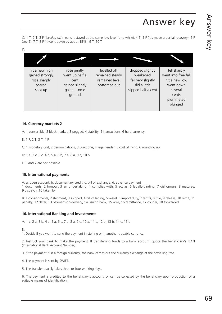C: 1 T, 2 T, 3 F (*levelled off* means it stayed at the same low level for a while), 4 T, 5 F (it's made a partial recovery), 6 F (see 5), 7 T, 8 F (it went down by about 15%), 9 T, 10 T

| ٥        |  |
|----------|--|
| ۰.<br>۰. |  |
| ۰.       |  |

| hit a new high<br>gained strongly<br>rose sharply<br>soared<br>shot up | rose gently<br>went up half a<br>cent<br>gained slightly<br>gained some<br>ground | levelled off<br>remained steady<br>remained level<br>bottomed out | dropped slightly<br>weakened<br>fell very slightly<br>slid a little<br>slipped half a cent | fell sharply<br>went into free fall<br>hit a new low<br>went down<br>several<br>cents<br>plummeted<br>plunged |
|------------------------------------------------------------------------|-----------------------------------------------------------------------------------|-------------------------------------------------------------------|--------------------------------------------------------------------------------------------|---------------------------------------------------------------------------------------------------------------|

#### **14. Currency markets 2**

A: 1 convertible, 2 black market, 3 pegged, 4 stability, 5 transactions, 6 hard currency

B: 1 F, 2 T, 3 T, 4 F

C: 1 monetary unit, 2 denominations, 3 Eurozone, 4 legal tender, 5 cost of living, 6 rounding up

D: 1 a, 2 c, 3 c, 4 b, 5 a, 6 b, 7 a, 8 a, 9 a, 10 b

E: 5 and 7 are not possible

#### **15. International payments**

A: a. open account, b. documentary credit, c. bill of exchange, d. advance payment

1 documents, 2 honour, 3 an undertaking, 4 complies with, 5 act as, 6 legally-binding, 7 dishonours, 8 matures, 9 dispatch, 10 taken by

B: 1 consignments, 2 shipment, 3 shipped, 4 bill of lading, 5 vessel, 6 import duty, 7 tariffs, 8 title, 9 release, 10 remit, 11 penalty, 12 defer, 13 payment-on-delivery, 14 issuing bank, 15 wire, 16 remittance, 17 courier, 18 forwarded

#### **16. International Banking and investments**

A: 1 c, 2 a, 3 b, 4 a, 5 a, 6 c, 7 a, 8 a, 9 c, 10 a, 11 c, 12 b, 13 b, 14 c, 15 b

 $B$ 

1. Decide if you want to send the payment in sterling or in another tradable currency.

2. Instruct your bank to make the payment. If transferring funds to a bank account, quote the beneficiary's IBAN (International Bank Account Number).

3. If the payment is in a foreign currency, the bank carries out the currency exchange at the prevailing rate.

4. The payment is sent by SWIFT.

5. The transfer usually takes three or four working days.

6. The payment is credited to the beneficiary's account, or can be collected by the beneficiary upon production of a suitable means of identification.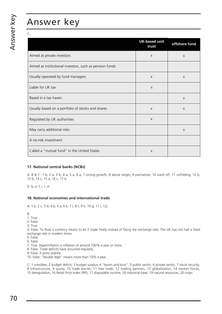C:

|                                                         | <b>UK-based unit</b><br>trust | offshore fund |
|---------------------------------------------------------|-------------------------------|---------------|
| Aimed at private investors                              | $\mathsf{X}$                  | X             |
| Aimed at institutional investors, such as pension funds |                               |               |
| Usually operated by fund managers                       | $\mathsf{X}$                  | X             |
| Liable for UK tax                                       | $\sf X$                       |               |
| Based in a tax haven                                    |                               | $\mathsf{X}$  |
| Usually based on a portfolio of stocks and shares       | $\mathsf{X}$                  | $\mathsf{X}$  |
| Regulated by UK authorities                             | $\mathsf{X}$                  |               |
| May carry additional risks                              |                               | $\mathsf{X}$  |
| A no-risk investment                                    |                               |               |
| Called a "mutual fund" in the United States             | X                             |               |

#### **17. National central banks (NCBs)**

A, B & C: 1 b, 2 a, 3 b, 4 a, 5 a, 6 a, 7 strong growth, 8 above target, 9 premature, 10 ward off, 11 unfolding, 12 b, 13 b, 14 c, 15 a, 16 c, 17 b

D: b, e, f, i, l, m

#### **18. National economies and international trade**

A: 1 e, 2 c, 3 d, 4 b, 5 a, 6 k, 7 l, 8 f, 9 h, 10 g, 11 i, 12j

 $B^{\cdot}$ 

- 1. True
- 2. False
- 3. True

4. False. To float a currency means to let it trade freely instead of fixing the exchange rate. The UK has not had a fixed exchange rate in modern times.

- 5. False
- 6. False
- 7. True. Hyperinflation is inflation of around 100% a year or more.
- 8. False. Trade deficits have occurred regularly.
- 9. False. It grew slightly.
- 10. False. "double digit" means more than 10% a year.

C: 1 subsidies, 2 budget deficit, 3 budget surplus, 4 "boom and bust", 5 public sector, 6 private sector, 7 social security, 8 infrastructure, 9 quota, 10 trade barrier, 11 free trade, 12 trading partners, 13 globalisation, 14 market forces, 15 deregulation, 16 Retail Price Index (RPI), 17 disposable income, 18 industrial base, 19 natural resources, 20 crops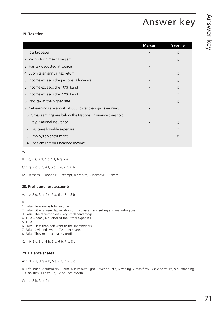#### **19. Taxation**

|                                                               | <b>Marcus</b> | Yvonne       |
|---------------------------------------------------------------|---------------|--------------|
| 1. Is a tax payer                                             | X             | X            |
| 2. Works for himself / herself                                |               | X            |
| 3. Has tax deducted at source                                 | X             |              |
| 4. Submits an annual tax return                               |               | $\mathsf{x}$ |
| 5. Income exceeds the personal allowance                      | $\mathsf{X}$  | X            |
| 6. Income exceeds the 10% band                                | X             | $\mathsf{X}$ |
| 7. Income exceeds the 22% band                                |               | X            |
| 8. Pays tax at the higher rate                                |               | X            |
| 9. Net earnings are about £4,000 lower than gross earnings    | X             |              |
| 10. Gross earnings are below the National Insurance threshold |               |              |
| 11. Pays National Insurance                                   | X             | X            |
| 12. Has tax-allowable expenses                                |               | X            |
| 13. Employs an accountant                                     |               | X            |
| 14. Lives entirely on unearned income                         |               |              |

A:

B: 1 c, 2 a, 3 d, 4 b, 5 f, 6 g, 7 e

C: 1 g, 2 c, 3 a, 4 f, 5 d, 6 e, 7 h, 8 b

D: 1 reasons, 2 loophole, 3 exempt, 4 bracket, 5 incentive, 6 rebate

#### **20. Profit and loss accounts**

A: 1 e, 2 g, 3 h, 4 c, 5 a, 6 d, 7 f, 8 b

 $B^{\dagger}$ 

- 1. False. Turnover is total income.
- 2. False. Others were depreciation of fixed assets and selling and marketing cost.
- 3. False. The reduction was very small percentage.
- 4. True nearly a quarter of their total expenses.
- 5. True
- 6. False less than half went to the shareholders.
- 7. False. Dividends were 17.4p per share.
- 8. False. They made a healthy profit

C: 1 b, 2 c, 3 b, 4 b, 5 a, 6 b, 7 a, 8 c

#### **21. Balance sheets**

A: 1 d, 2 a, 3 g, 4 b, 5 e, 6 f, 7 h, 8 c

B: 1 founded, 2 subsidiary, 3 arm, 4 in its own right, 5 went public, 6 trading, 7 cash flow, 8 sale or return, 9 outstanding, 10 liabilities, 11 tied up, 12 pounds' worth

C: 1 a, 2 b, 3 b, 4 c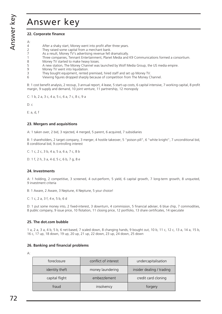### Answer key

#### **22. Corporate finance**

| А: |                                                                                                 |
|----|-------------------------------------------------------------------------------------------------|
| 4  | After a shaky start, Money went into profit after three years.                                  |
| 2  | They raised some capital from a merchant bank.                                                  |
| 7  | As a result, Money TV's advertising revenue fell dramatically.                                  |
|    | Three companies, Tennant Entertainment, Planet Media and K9 Communications formed a consortium. |
| 8  | Money TV started to make heavy losses.                                                          |
| 5  | A new station, The Money Channel was launched by Wolf Media Group, the US media empire.         |
| 9  | Money TV went into liquidation.                                                                 |
| 3  | They bought equipment, rented premised, hired staff and set up Money TV.                        |
| 6  | Viewing figures dropped sharply because of competition from The Money Channel.                  |

B: 1 cost benefit analysis, 2 recoup, 3 annual report, 4 lease, 5 start-up costs, 6 capital intensive, 7 working capital, 8 profit margin, 9 supply and demand, 10 joint venture, 11 partnership, 12 monopoly

C: 1 b, 2 a, 3 c, 4 a, 5 c, 6 a, 7 c, 8 c, 9 a

D: c

E: a, d, f

#### **23. Mergers and acquisitions**

A: 1 taken over, 2 bid, 3 rejected, 4 merged, 5 parent, 6 acquired, 7 subsidiaries

B: 1 shareholders, 2 target company, 3 merger, 4 hostile takeover, 5 "poison pill", 6 "white knight", 7 unconditional bid, 8 conditional bid, 9.controlling interest

C: 1 c, 2 c, 3 b, 4 a, 5 a, 6 a, 7 c, 8 b

D: 1 f, 2 h, 3 a, 4 d, 5 c, 6 b, 7 g, 8 e

#### **24. Investments**

A: 1 holding, 2 competitive, 3 screened, 4 out-perform, 5 yield, 6 capital growth, 7 long-term growth, 8 unquoted, 9 investment criteria

B: 1 Aware, 2 Aware, 3 Neptune, 4 Neptune, 5 your choice!

C: 1 c, 2 a, 3 f, 4 e, 5 b, 6 d

D: 1 put some money into, 2 fixed-interest, 3 downturn, 4 commission, 5 financial adviser, 6 blue chip, 7 commodities, 8 public company, 9 issue price, 10 flotation, 11 closing price, 12 portfolio, 13 share certificates, 14 speculate

#### **25. The dot.com bubble**

1 a, 2 a, 3 a, 4 b, 5 b, 6 net-based, 7 scaled down, 8 changing hands, 9 bought out, 10 b, 11 c, 12 c, 13 a, 14 a, 15 b, 16 c, 17 up, 18 down, 19 up, 20 up, 21 up, 22 down, 23 up, 24 down, 25 down

#### **26. Banking and financial problems**

A:

| foreclosure    | conflict of interest | undercapitalisation       |
|----------------|----------------------|---------------------------|
| identity theft | money laundering     | insider dealing / trading |
| capital flight | embezzlement         | credit card cloning       |
| fraud          | insolvency           | torgery                   |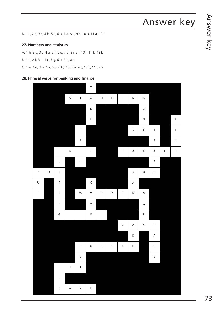B: 1 a, 2 c, 3 c, 4 b, 5 c, 6 b, 7 a, 8 c, 9 c, 10 b, 11 a, 12 c

#### **27. Numbers and statistics**

A: 1 h, 2 g, 3 c, 4 a, 5 f, 6 e, 7 d, 8 i, 9 l, 10 j, 11 k, 12 b

B: 1 d, 2 f, 3 e, 4 c, 5 g, 6 b, 7 h, 8 a

C: 1 e, 2 d, 3 b, 4 a, 5 b, 6 b, 7 b, 8 a, 9 c, 10 c, 11 c / h

#### **28. Phrasal verbs for banking and finance**

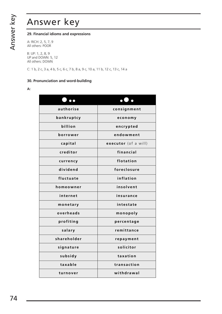### Answer key

#### **29. Financial idioms and expressions**

A: RICH: 2, 5, 7, 9 All others: POOR

B: UP: 1, 2, 8, 9 UP and DOWN: 5, 12 All others: DOWN

C: 1 b, 2 c, 3 a, 4 b, 5 c, 6 c, 7 b, 8 a, 9 c, 10 a, 11 b, 12 c, 13 c, 14 a

#### **30. Pronunciation and word-building**

#### **A:**

|             | $\bullet$ .          |
|-------------|----------------------|
| authorise   | consignment          |
| bankruptcy  | economy              |
| billion     | encrypted            |
| borrower    | endowment            |
| capital     | executor (of a will) |
| creditor    | financial            |
| currency    | flotation            |
| dividend    | foreclosure          |
| fluctuate   | inflation            |
| homeowner   | insolvent            |
| internet    | insurance            |
| monetary    | intestate            |
| overheads   | monopoly             |
| profiting   | percentage           |
| salary      | remittance           |
| shareholder | repayment            |
| signature   | solicitor            |
| subsidy     | taxation             |
| taxable     | transaction          |
| turnover    | withdrawal           |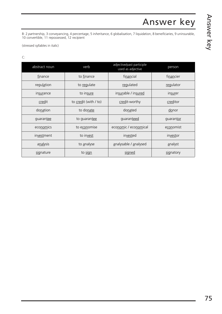B: 2 *pa*rtnership, 3 con*vey*ancing, 4 per*cen*tage, 5 in*he*ritance, 6 globali*sa*tion, 7 liqui*da*tion, 8 bene*fi*ciaries, 9 unin*sur*able, 10 con*ver*tible, 11 repo*ssess*ed, 12 re*ci*pient

(stressed syllables in italic)

C:

| abstract noun | verb                  | adjective/past participle<br>used as adjective | person        |
|---------------|-----------------------|------------------------------------------------|---------------|
| finance       | to finance            | financial                                      | financier     |
| regulation    | to regulate           | regulated                                      | regulator     |
| insurance     | to insure             | insurable / insured                            | insurer       |
| credit        | to credit (with / to) | credit-worthy                                  | creditor      |
| donation      | to donate             | donated                                        | <u>do</u> nor |
| guarantee     | to guarantee          | guaranteed                                     | guarantor     |
| economics     | to economise          | economic / economical                          | economist     |
| investment    | to invest             | invested                                       | investor      |
| analysis      | to analyse            | analysable / analysed                          | analyst       |
| signature     | to sign               | signed                                         | signatory     |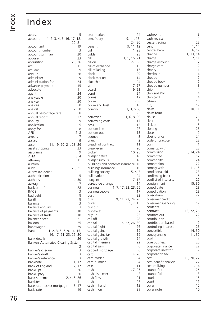# Index

### Index

| access                                       | 5        | bear market                         | 24                      |
|----------------------------------------------|----------|-------------------------------------|-------------------------|
| account 1, 2, 3, 4, 5, 16, 17, 18,<br>20, 21 |          | beneficiary                         | 9, 11, 16,<br>24,30     |
| accountant                                   | 19       | benefit                             | 9, 11, 12               |
| account number                               | 3        | bid                                 | 1, 23                   |
| account summary                              | 20       | bidder                              | 23                      |
| acquire                                      | 23       | bill                                | 1, 5, 15, 21            |
| 23, 26<br>acquisition                        |          | billion                             | 27,30                   |
| act                                          | 11       | bill of exchange                    | 15                      |
| actuary                                      | 9        | bill of lading                      | 15                      |
| add up                                       | 28       | black                               | 29                      |
| administer                                   | 9        | black market                        | 14                      |
| administration fee                           | 24       | blue chip                           | 24                      |
| advance payment                              | 15       | bn                                  | 7, 27                   |
| advocate                                     | 11       | board                               | 9, 23                   |
| agent                                        | 24       | bond                                | 24                      |
| analysable                                   | 30       | bonus                               | 12                      |
| analyse                                      | 30       | boom                                | 7,8                     |
| analysis                                     | 30       | boom and bust                       | 18                      |
| 7,30<br>analyst                              |          | borrow                              | 1, 3, 6, 9,             |
| annual percentage rate                       | 8        |                                     | 26                      |
| annual report                                | 22       | borrower                            | 1, 6, 8, 30<br>17       |
| annuity                                      | 9<br>5   | borrowing costs<br>boss             | 12                      |
| application<br>apply for                     | 8        | bottom line                         | 27                      |
| <b>APR</b>                                   | 2, 8     | bottom out                          | 13                      |
| arrears                                      | 7        | bounce                              | $\overline{\mathbf{3}}$ |
| assess                                       | 9        | branch                              | $\overline{2}$          |
| 11, 19, 20, 21, 23, 26<br>asset              |          | breach of contract                  | 11                      |
| asset stripping                              | 23       | break even                          | 20                      |
| assurance                                    | 9        | broker                              | 10, 25                  |
| ATM                                          | 3, 4     | budget deficit                      | 18                      |
| attorney                                     | 11       | budget surplus                      | 18                      |
| auction                                      | 1        | buildings and contents insurance 10 |                         |
| audit<br>20, 21                              |          | buildings insurance                 | 10                      |
| Australian dollar                            | 1        | building society                    | 5, 6, 7                 |
| authentication                               | 5        | bull market                         | 24                      |
| authorise<br>4,30                            |          | buoyant                             | 7, 17                   |
| average                                      | 7        | bureau de change                    | 14                      |
| back out of                                  | 28       | business                            | 1, 7, 17, 22, 23, 25    |
| <b>BACS</b>                                  | 3        | businesspeople                      | 17<br>22                |
| bad debt<br>bailiff                          | 8<br>8   | bust<br>buy                         | 9, 11, 23, 24, 26       |
| balance                                      | 3        | buyer                               | 1, 7, 15                |
| balance enquiry                              | 3        | buy out                             | 25                      |
| balance of payments                          | 18       | buy-to-let                          | 7                       |
| balance of trade                             | 18       | buy up                              | 23                      |
| balance sheet                                | 21       | call off                            | 28                      |
| balloon                                      | 25       | capital                             | 6, 22, 26, 30           |
| bandwagon                                    | 29       | capital flight                      | 26                      |
| 1, 2, 3, 5, 6, 9, 14, 15,<br>bank            |          | capital gains                       | 19                      |
| 16, 17, 21, 23, 26, 30                       |          | capital gains tax                   | 19                      |
| bank details                                 | 26       | capital growth                      | 24                      |
| Bankers Automated Clearing System            |          | capital intensive                   | 22                      |
|                                              | 3        | capital sum                         | 6                       |
| banker's cheque                              | 3        | capped mortgage                     | 6                       |
| banker's draft                               | 3        | card                                | 4,26                    |
| banker's reference                           | 3        | card reader                         | 4                       |
| banknote<br>1, 17                            |          | card number                         | 4                       |
| 7, 17<br>Bank of England                     |          | case                                | 11                      |
| bankrupt                                     | 26<br>30 | cash                                | 1, 7, 25                |
| bankruptcy<br>2, 4, 5, 26<br>bank statement  |          | cash dispenser<br>cash flow         | 2<br>21                 |
| barrister                                    | 11       | cash in                             | 28                      |
| 6, 17<br>base-rate tracker mortgage          |          | cash in hand                        | 12                      |
| basic rate                                   | 19       | cash in on                          | 29                      |
|                                              |          |                                     |                         |

| cashpoint<br>cash register         |                | 3<br>4            |
|------------------------------------|----------------|-------------------|
| cease trading                      |                | 22                |
| cent                               | 1,             | 14                |
| central bank                       | 6,             | 17                |
| change                             | 1, 13, 14      |                   |
| charge                             | 2, 11          |                   |
| charge account                     |                | 2 2 1 4 2 2 3 4 4 |
| charge card<br>charity             |                |                   |
| checkout                           |                |                   |
| cheque                             |                |                   |
| cheque book                        |                |                   |
| cheque number                      |                |                   |
| chip                               |                |                   |
| chip and PIN                       |                |                   |
| chip card                          |                | 4                 |
| citizen                            |                | 16                |
| City                               |                | 17                |
| claim                              | 10, 11         | 10                |
| claim form<br>clause               |                | 26                |
| clear                              |                | 3                 |
| click on                           |                | 5                 |
| cloning                            |                | 26                |
| close                              |                | $\overline{2}$    |
| closing price                      |                | 24                |
| code of practice                   |                | 23                |
| coin                               |                | 1                 |
| come up with                       |                | 28                |
| commission                         | 9, 14, 24      |                   |
| committed                          |                | 12                |
| commodity                          |                | 24                |
| competition                        |                | 22                |
| comply with<br>conditional bid     | 11, 15         | 23                |
| confirming bank                    |                | 15                |
| conflict of interests              |                | 26                |
| consignment                        | 15, 30         |                   |
| consolidate                        |                | 23                |
| consolidation                      |                | 23                |
| consortium                         |                | 22                |
| consumer credit                    |                | 8                 |
| consumer spending                  |                | 17                |
| contents                           |                | 10                |
| contract                           | 11, 15, 22, 26 |                   |
| contract out                       |                | 22<br>9           |
| contribution<br>contribution-based |                | 9                 |
| controlling interest               |                | 23                |
| convertible                        | 14,30          |                   |
| conveyancing                       | 11,30          |                   |
| cool                               |                | 7                 |
| core business                      |                | 20                |
| corporate finance                  |                | 22                |
| corporate investor                 |                | 7                 |
| corporation tax                    |                | 19                |
| cost                               | 10, 20, 22     |                   |
| cost-benefit analysis              |                | 22                |
| cost of living<br>counterfeit      | 1, 14          | 26                |
| counterfoil                        |                | 3                 |
| courier                            |                | 15                |
| court                              |                | 11                |
| cover                              |                | 10                |
| cover note                         |                | 10                |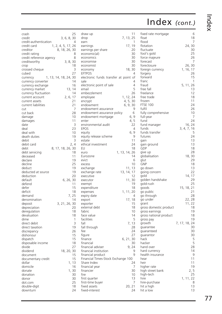| crash                   |                       | 25       | draw up       |
|-------------------------|-----------------------|----------|---------------|
| credit                  | 3, 6, 8, 30           |          | drop          |
| credit-authentication   |                       | 4        | earn          |
| credit card             | 1, 2, 4, 5, 17, 26    |          | earnings      |
| creditor                | 8, 18, 26, 30         |          | earnings      |
|                         |                       |          |               |
| credit rating           |                       | 8        | econom        |
| credit reference agency |                       | 8        | econom        |
| creditworthy            |                       | 3, 8, 30 | econom        |
| crop                    |                       | 18       | econom        |
| crossed cheque          |                       | 3        | econom        |
|                         |                       |          |               |
| cubed                   |                       | 27       | <b>EFTPOS</b> |
| currency                | 1, 13, 14, 18, 24, 30 |          | electron      |
| currency converter      |                       | 14       | sale          |
| currency exchange       |                       | 16       | electron      |
| currency market         |                       | 13, 14   | email         |
|                         |                       |          |               |
| currency fluctuation    |                       | 14       | embezzl       |
| current account         | 2, 6,                 | 17       | employe       |
| current assets          |                       | 21       | encrypt       |
| current liabilities     |                       | 21       | endown        |
| cut                     |                       | 7        | endown        |
|                         |                       |          |               |
| cut back                |                       | 28       | endown        |
| damage                  |                       | 10       | endown        |
| damages                 |                       | 11       | enter         |
| date                    |                       | 3        | environr      |
| deal                    |                       | 23       | <b>EPOS</b>   |
|                         |                       |          |               |
| deal with               |                       | 10       | equity        |
| death duties            |                       | 19       | equity re     |
| debit                   |                       | 3        | estate        |
| debit card              |                       | 2, 4     | ethical ii    |
| debt                    |                       |          | EU            |
|                         | 8, 17, 18, 26, 30     |          |               |
| debt servicing          |                       | 18       | euro          |
| deceased                |                       | 11       | Eurozon       |
| declare                 |                       | 19       | evict         |
| decline                 |                       | 25       | excess        |
| deduct                  |                       | 19       | exchang       |
|                         |                       |          |               |
| deducted at source      |                       | 19       | exchang       |
| deduction               |                       | 20       | executiv      |
| default                 | 6, 26, 30             |          | executo       |
| defend                  |                       | 11       | exempt        |
| defer                   |                       | 15       |               |
|                         |                       |          | expendi       |
| deficit                 |                       | 18       | expense       |
| demand                  | 7,                    | 25       | expiry d      |
| denomination            |                       | 14       | export        |
| deposit                 | 3, 21, 26, 30         |          | exporter      |
|                         |                       | 20       |               |
| depreciation            |                       |          | external      |
| deregulation            |                       | 18       | fabric        |
| devaluation             |                       | 18       | face valu     |
| dime                    |                       | 1        | facilities    |
| direct debit            |                       | 3        | fall          |
| direct taxation         |                       | 19       | fall thro     |
|                         |                       |          |               |
| discrepancy             |                       | 26       | fee           |
| dishonour               |                       | 15       | figure        |
| dispatch                |                       | 15       | finance       |
| disposable income       |                       | 18       | financia      |
| divide                  |                       | 27       | financia      |
|                         |                       |          |               |
| dividend                | 18, 20, 30            |          | financia      |
| document                |                       | 15       | financia      |
| documentary credit      |                       | 15       | Financia      |
| dollar                  | 1,                    | 13       | Share In      |
| domicile                |                       | 16       | financia      |
|                         |                       |          |               |
| donate                  |                       | 1,30     | financie      |
| donation                |                       | 30       | fire          |
| donor                   |                       | 30       | first qua     |
| dot.com                 |                       | 25       | first-tim     |
| double-digit            |                       | 18       | fixed ass     |
|                         |                       |          |               |
| downturn                |                       | 24       | fixed-int     |

| 11<br>draw up                              | fi             |
|--------------------------------------------|----------------|
| 7, 13, 25<br>drop                          | fl             |
| 1<br>earn                                  | f              |
| 17, 19<br>earnings                         | fl             |
| 20<br>earnings per share                   | fl             |
| 30<br>economic(al)                         | f١             |
| 30<br>economics                            | f١             |
| 30<br>economise                            | f              |
| 30<br>economist                            | f              |
| 18, 30<br>economy                          | f              |
| <b>EFTPOS</b><br>4                         | f              |
| electronic funds transfer at point<br>of   | f              |
| 4<br>sale                                  | fı             |
| $\overline{4}$<br>electronic point of sale | fı             |
| 5<br>email                                 | fı             |
| embezzlement<br>26                         | fı             |
| 1, 12, 24<br>employee                      | fı             |
| 4, 5, 30<br>encrypt                        | fı             |
| 6, 9, 30<br>endowment                      | F              |
| 9<br>endowment assurance                   | f <sub>1</sub> |
| 6<br>endowment assurance policy            | fı             |
| 6, 9<br>endowment mortgage                 | fı             |
| 4,5<br>enter                               | fı             |
| 22<br>environmental audit                  | fı             |
| 4<br><b>EPOS</b>                           | fı             |
| 6, 9<br>equity                             | fı             |
| 9<br>equity release scheme                 | fı             |
| 11<br>estate                               | g              |
| 24<br>ethical investment                   | g              |
| EU<br>18                                   | C              |
| 1, 13, 14, 26<br>euro                      | g              |
| 14<br>Eurozone                             | g              |
| 6<br>evict                                 | g              |
| 10<br>excess                               | C              |
| 13<br>11,<br>exchange                      | g              |
| 13, 14, 17<br>exchange rate                | g              |
| 12<br>executive                            | g              |
| 30<br>executor<br>11,                      | g              |
| 19<br>exempt<br>18                         | g              |
| expenditure                                | g              |
| 1, 11, 20<br>expenses<br>4                 | g              |
| expiry date<br>17, 18                      | g              |
| export<br>15                               | g              |
| exporter<br>18<br>external debt            | g              |
| fabric<br>10                               | g              |
| 14<br>face value                           | g<br>g         |
| 5<br>facilities                            | g              |
| fall<br>13<br>7,                           | g              |
| fall through<br>28                         | g              |
| 24<br>fee                                  | g              |
| 27<br>figure                               | g              |
| 6, 21, 30<br>finance                       | h              |
| financial<br>30                            | h              |
| financial adviser<br>9, 24                 | h              |
| financial institution<br>9                 | h              |
| 9<br>financial product                     | h              |
| Financial Times-Stock Exchange 100         | h              |
| Share Index<br>24                          | h              |
| financial year<br>7                        | h              |
| financier<br>30                            | h              |
| fire<br>10                                 | h              |
| 13<br>first quarter                        | h              |
| 7<br>first-time buyer                      | h              |
| fixed assets<br>20, 21                     | h              |
| fixed-interest<br>24                       | h              |
|                                            |                |

| 5                                | fixed rate mortgage<br>float<br>flood                                                 |  |                       | 6<br>18<br>7                     |
|----------------------------------|---------------------------------------------------------------------------------------|--|-----------------------|----------------------------------|
| )                                | flotation<br>fluctuate<br>fool's gold                                                 |  | 24,30                 | 30<br>25                         |
| )<br>)<br>)<br>$\mathcal{E}$     | force majeure<br>forecast<br>foreclosure<br>foreign currency                          |  | 26, 30<br>1, 16, 17   | 26<br>7                          |
| ļ<br>f<br>ļ                      | forgery<br>forward<br>franc                                                           |  |                       | 26<br>15<br>1                    |
| $\frac{1}{2}$ is a $\frac{1}{2}$ | fraud<br>free fall<br>freelance<br>free trade                                         |  | 5, 11, 26             | 13<br>12<br>18                   |
| $\mathcal{E}$<br>)<br>}          | frozen<br><b>FTSE 100</b><br>fulfil<br>fully comprehensive                            |  |                       | 11<br>24<br>26<br>10             |
| )<br>)<br>)<br>)<br>             | full-year<br>fund<br>fund manager<br>funds                                            |  | 16, 24<br>3, 4, 7, 16 | 7<br>24                          |
| )<br>)                           | funds transfer<br>futures<br>gain<br>gain ground<br>GDP                               |  |                       | 5<br>24<br>13<br>13<br>18        |
| → B 5 4 5 2 2 2 2 2 2 3 0        | give up<br>globalisation<br>glut<br><b>GNP</b>                                        |  | 18,                   | 28<br>30<br>29<br>18             |
|                                  | go down<br>going concern<br>gold<br>golden handshake                                  |  | 14,                   | 13<br>22<br>17<br>29             |
|                                  | gold-rush<br>goods<br>go public<br>go through                                         |  | 15, 18, 21            | 25<br>21<br>28                   |
|                                  | go under<br>grant<br>gross domestic product<br>gross earnings                         |  | 22, 28<br>11, 22      | 18<br>19                         |
| 3.5 ^ 3.0 ^ 3.0 ^ 3.0 ^ 3.1<br>7 | gross national product<br>gross pay<br>growth<br>guarantee<br>guaranteed<br>quarantor |  | 7, 17, 18,            | 18<br>19<br>24<br>30<br>30<br>30 |
| )<br>)<br>ļ<br>)<br>J            | hack<br>hacker<br>hand over<br>hard currency<br>health insurance                      |  |                       | 5<br>5<br>28<br>14<br>9          |
| ļ<br>7<br>)                      | hear<br>heir<br>higher rate<br>high street bank                                       |  |                       | 11<br>11<br>19<br>2, 5           |
| )<br>$\frac{2}{7}$<br>ļ          | high-tech<br>hire<br>hire-purchase<br>hit a high<br>hit a low                         |  | 1, 11, 22             | 25<br>8<br>13<br>13              |
|                                  |                                                                                       |  |                       |                                  |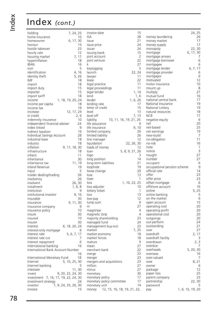| holding                              |                      | 7, 24, 25   |     |
|--------------------------------------|----------------------|-------------|-----|
| home insurance                       |                      |             | 10  |
| homeowner                            |                      | 6, 17, 30   |     |
| honour                               |                      |             | 15  |
| hostile takeover                     |                      |             | 23  |
| hourly rate                          |                      |             | 12  |
| housing market                       |                      | 7, 17       |     |
| hyperinflation                       |                      |             | 18  |
| <b>IBAN</b>                          |                      |             | 16  |
| icon                                 |                      |             | 5   |
| identification                       |                      | 4, 16       |     |
| identity theft                       |                      | 5, 26       |     |
| IMF                                  |                      |             | 18  |
| import                               |                      |             | 18  |
| import duty                          |                      |             | 15  |
| importer                             |                      |             | 15  |
| import tariff                        |                      |             | 18  |
| income                               | 1, 18, 19, 20, 24    |             |     |
| income per capita                    |                      |             | 18  |
| income tax                           |                      |             | 19  |
| increase                             |                      | 12, 17, 24  |     |
| in credit                            |                      |             | 2,6 |
| indemnity insurance                  |                      |             | 10  |
| independent financial adviser        |                      |             | 24  |
| index linked                         |                      |             | 9   |
| indirect taxation                    |                      |             | 19  |
| <b>Individual Savings Account</b>    |                      |             | 28  |
| industrial base                      |                      |             | 18  |
| industry                             |                      |             | 18  |
| inflation                            | 9, 17, 18, 30        |             |     |
| infrastructure                       |                      |             | 18  |
| inherit                              |                      |             | 11  |
| inheritance                          |                      |             | 30  |
| inheritance tax                      |                      | 11, 19      |     |
| Inland Revenue                       |                      |             | 19  |
| input                                |                      |             | 5   |
| insider dealing/trading              |                      |             | 26  |
| insolvency                           |                      |             | 26  |
| insolvent                            |                      | 26, 30      |     |
| instalment                           |                      | 1, 6, 8     |     |
| institution                          |                      |             | 9   |
| institutional investor               |                      | 9, 16       |     |
| insurable                            |                      |             | 30  |
| <i><b>Insurance</b></i>              |                      | 9, 11, 30   |     |
| insurance company                    |                      |             | 9   |
| insurance policy                     |                      |             | 10  |
| <b>Insure</b>                        |                      |             | 30  |
| insured                              |                      |             | 10  |
| insurer                              |                      |             | 30  |
| interest                             | 6, 18, 20, 24        |             |     |
| interest-only mortgage               |                      |             | 6   |
| interest rate                        |                      | 5, 6, 7, 17 |     |
| interest rate cut                    |                      |             | 7   |
| interest repayment                   |                      |             | 6   |
| international banking                |                      |             | 16  |
| International Bank Account Number    |                      |             |     |
|                                      |                      |             | 16  |
| International Monetary Fund          |                      |             | 18  |
| Internet                             | 5, 10, 25, 30        |             |     |
| Internet banking                     |                      |             | 5   |
| intestate                            |                      | 11, 30      |     |
| invest                               | 9, 20, 22, 24, 30    |             |     |
| investment 7, 16, 17, 19, 22, 24, 30 |                      |             |     |
| investment strategy                  |                      |             | 24  |
| investor                             | 7, 9, 24, 25, 26, 30 |             |     |
| invoice                              |                      |             | 15  |

| invoice date                                 | 15                     |
|----------------------------------------------|------------------------|
| <b>ISA</b>                                   | 28                     |
| issue                                        | 21                     |
| issue price                                  | 24                     |
| issuer                                       | 24                     |
| issuing bank                                 | 15                     |
| joint account                                | 2                      |
| joint venture                                | 22                     |
| k                                            | 27                     |
|                                              | 5                      |
| keylogging                                   |                        |
| launch                                       | 22, 24<br>11           |
| lawyer                                       |                        |
| lease                                        | 22                     |
| legal practice                               | 11                     |
| legal proceedings                            | 11                     |
| legal tender                                 | 1, 14                  |
| lend                                         | 1, 6                   |
| lender                                       | 1, 6, 26               |
| lending rate                                 | 17                     |
| letter of credit                             | 15                     |
| level                                        | 13                     |
| level off                                    | 7, 13                  |
| liability                                    | 10, 11, 16, 19, 21, 26 |
| life assurance                               | 9                      |
| life insurance                               | 9, 10                  |
| limited company                              | 26                     |
| limited liability                            | 26                     |
| line manager                                 | 12                     |
| liquidation                                  | 22, 26, 30             |
| loads of money                               | 12                     |
| loan                                         | 5, 8, 9, 21, 26        |
| logo                                         | 3                      |
| long position                                | 14                     |
| long-term liabilities                        | 21                     |
| loophole                                     | 19                     |
| loose change                                 | 29                     |
| lose                                         | 13                     |
| loser                                        | 1                      |
| loss                                         | 1, 10, 22, 25          |
| loss adjuster                                | 10                     |
| lottery ticket                               | 1                      |
| low                                          | 13                     |
| low-pay                                      | 12                     |
| lump sum                                     | 9                      |
| m                                            | 27                     |
| magstripe                                    | $\overline{4}$         |
| magnetic strip                               | $\overline{4}$         |
| majority shareholding                        | 23                     |
| managed fund                                 | 24                     |
| management buy-out                           | 23                     |
| market                                       | 7,25                   |
| market economy                               | 18                     |
| market forces                                | 18                     |
| mature                                       | 9                      |
| mean                                         | 27                     |
| merchant bank                                | 22                     |
| merge                                        | 23                     |
| merger                                       | 23                     |
| mergers and acquisitions                     | 23                     |
| million                                      | 27                     |
| minus                                        | 27                     |
| monetary                                     | 30                     |
|                                              | 17                     |
| monetary policy<br>monetary policy committee | 17                     |
|                                              |                        |
| monetary unit                                | 14                     |
| 12, 15, 16, 18, 19, 21, 22,<br>money         |                        |

| 15             |                             |                  | 24, 25    |         |
|----------------|-----------------------------|------------------|-----------|---------|
| 28             | money laundering            |                  |           | 26      |
| 21             | money market                |                  |           | 17      |
| 24             | money supply                |                  |           | 17      |
| 24             | monopoly                    |                  | 22,30     |         |
| 15             | mortgage                    |                  | 6, 17, 30 |         |
| $\overline{2}$ | mortgage arrears            |                  |           | 7       |
| 22             | mortgage borrower           |                  |           | 6       |
| 27             | mortgagee                   |                  |           | 6       |
| 5              | mortgage lender             |                  | 6, 7, 17  |         |
| 24             | mortgage provider           |                  |           | 6       |
| 11             | mortgagor                   |                  |           | 6       |
| 22             | motivated                   |                  |           | 12      |
| 11             | motor insurance             |                  |           | 10      |
| 11             | mount up                    |                  |           | 8       |
| 14             | multiply                    |                  |           | 27      |
| , 6            | mutual fund                 |                  |           | 16      |
| 26             | national central bank       |                  |           | 17      |
| 17             | National Insurance          |                  |           | 19      |
| 15             | National Lottery            |                  |           | 19      |
| 13             | natural resources           |                  |           | 18      |
| 13             | <b>NCB</b>                  |                  |           | 17      |
| 26             | negative equity             |                  |           | 6       |
| 9              | net                         |                  |           | 20      |
| 10             | net-based                   |                  |           | 25      |
| 26<br>26       | net earnings                |                  |           | 19      |
| 12             | new-build                   |                  |           | 7<br>11 |
| 30             | no-obligation<br>no-risk    |                  |           | 16      |
| 12             |                             |                  |           | 1       |
| 26             | note<br>notice              |                  |           | 3       |
| 3              | nought                      |                  |           | 27      |
| 14             | number                      |                  |           | 27      |
| 21             | occupant                    |                  |           | 6       |
| 19             | occupational pension scheme |                  |           | 9       |
| 29             | official rate               |                  |           | 14      |
| 13             | offer                       |                  |           | 23      |
| 1              | offer price                 |                  |           | 23      |
| 25             | offset mortgage             |                  |           | 6       |
| 10             | offshore account            |                  |           | 16      |
| 1              | online                      |                  |           | 5, 25   |
| 13             | online banking              |                  |           | ל       |
| 12             | on the market               |                  |           | 6       |
| 9              | open account                |                  |           | 15      |
| 27             | operating cost              |                  |           | 20      |
| 4              | operating profit            |                  |           | 20      |
| $\overline{4}$ | operational cost            |                  |           | 20      |
| 23             | outgoings                   |                  |           | 20      |
| 24             | out-perform                 |                  |           | 24      |
| 23             | outstanding                 |                  |           | 21      |
| 25             | over                        |                  |           | 27      |
| 18             | overdraft                   |                  |           | 2, 17   |
| 18             | overdraft facility          |                  |           | 3       |
| 9              | overdrawn                   |                  |           | 2, 3    |
| 27             | overdue                     |                  |           |         |
| 22             | overheads                   |                  | 5, 20, 30 |         |
| 23             | overseas                    |                  |           | 16      |
| 23             | over-valued                 |                  |           | 7       |
| 23             | owe                         |                  |           | 8, 21   |
| 27             | owner                       |                  |           | 6       |
| 27             | package                     |                  |           | 12      |
| 30             | paper loss                  |                  |           | 25      |
| 17             | parent company              |                  |           | 23      |
| 17             | partnership                 |                  | 22,       | 30      |
| 14             | password                    |                  |           | 5       |
| 2,             | pay                         | 1, 6, 10, 19, 20 |           |         |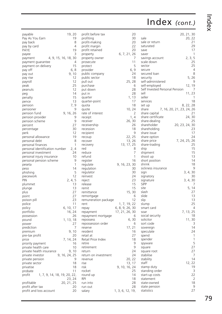| payable                                | 19, 20        | profit before            |
|----------------------------------------|---------------|--------------------------|
| Pay As You Earn                        | 19            | profiting                |
| pay back                               | 8             | profit-makin             |
| pay by card                            | 4             | profit margir            |
| PAYE                                   | 19            | profit retaine           |
|                                        | 3             |                          |
| payee<br>4, 9, 15, 16, 18, 30          |               | property<br>property owi |
| payment                                | 4             | prosecute                |
| payment guarantee                      | 15            | protect                  |
| payment on delivery<br>pay off         | 6,8           | provider                 |
|                                        | 9,10          | public compa             |
| pay out                                | 12            |                          |
| pay rise                               | 12            | public sector            |
| payroll                                |               | pull out                 |
| peak                                   | 25<br>12      | purchase                 |
| peanuts                                |               | put down                 |
| peg                                    | 14            | put in                   |
| penalty                                | 15            | quarter                  |
| pence                                  | 13            | quarter-poin             |
| pension                                | 7, 9          | quota                    |
| pensioner                              | 9             | quote                    |
| pension fund                           | 9, 16, 26     | rate of intere           |
| pension provider                       | 9             | receipt                  |
| pension scheme                         | 9             | receiver                 |
| percent                                | 27            | receivership             |
| percentage                             | 30            | recession                |
| perk                                   | 12            | recipient                |
| personal allowance                     | 19            | recoup                   |
| personal debt                          | 8             | recover                  |
| personal finances                      | 1             | recovery                 |
| personal identification number         | 2, 4          | red                      |
| personal investment                    | 24            | reduce                   |
| personal injury insurance              | 10            | refund                   |
| personal pension scheme                | 9             | register                 |
| peseta                                 | 1             | regulate                 |
| peso                                   | 14            | regulation               |
| phishing                               | 5             | regulator                |
| piecework                              | 12            | reinvest                 |
| PIN                                    | 2, 4, 5       | reject                   |
| plummet                                | 13            | release                  |
| plunge                                 | 13            | remit                    |
| plus                                   | 27            | remittance               |
| point                                  | 27            | remortgage               |
| poison pill                            | 23            | remuneratior             |
| police                                 | 11            | rent                     |
| policy                                 | 6, 10, 17     | repay                    |
| portfolio                              | 16, 24        | repayment                |
| possession                             | 26            | repayment m              |
| pound                                  | 1, 13, 18     | repossess                |
| power                                  | 27            | repossession             |
| prediction                             | 7             | reserve                  |
| premium                                | 9, 10         | resident                 |
| pre-tax profit                         | 20            | retail at                |
| price                                  | 7, 14, 24     | Retail Price In          |
| priority payment                       | 16            | retire                   |
| private health care                    | 10            | retirement               |
| private health insurance               | 9,10          | return                   |
| private investor                       | 9, 16, 24, 25 | return on inv            |
| private pension                        | 9             | revenue                  |
| private sector                         | 18            | rise                     |
| privatise                              | 18            | risk                     |
| probate                                | 11            | rocket                   |
| profit<br>1, 7, 9, 14, 18, 19, 20, 22, |               | round up                 |
|                                        | 23, 24        | RPI                      |
| profitable                             | 20, 21, 25    | run into                 |
| profit after tax                       | 20            | run out                  |
| profit and loss account                | 20            | salary                   |
|                                        |               |                          |

| profit before tax    |                  |            | 20             |
|----------------------|------------------|------------|----------------|
| profiting            |                  |            | 30             |
| profit-making        |                  |            | 20             |
| profit margin        |                  |            | 22             |
| profit retained      |                  |            | 20             |
| property             | 6, 7, 21, 26     |            |                |
| property owner       |                  |            | 7              |
| prosecute            |                  |            | 11             |
| protect              |                  |            | 5              |
| provider             |                  |            | 6, 9           |
| public company       |                  |            | 24             |
| public sector        |                  |            | 18             |
| pull out             |                  | 25, 28     |                |
| purchase             |                  |            | 6              |
| put down             |                  |            | 28             |
| put in               |                  |            | 28             |
| quarter              |                  | 1,         | 13             |
| quarter-point        |                  |            | 17             |
| quota                |                  |            | 18             |
| quote                |                  | 10, 24     |                |
| rate of interest     |                  |            | 2              |
| receipt              |                  |            | 1, 4           |
| receiver             |                  | 26, 30     |                |
| receivership         |                  |            | 26             |
| recession            |                  |            | 18             |
| recipient            |                  |            | 9              |
| recoup               |                  | 22, 25     |                |
| recover              |                  | 13, 26     |                |
| recovery             |                  | 13, 17, 25 |                |
| red                  |                  |            | 8              |
| reduce               |                  |            | 7              |
| refund               |                  |            | $\overline{1}$ |
| register             |                  |            | 16             |
| regulate             | 9, 16, 23, 30    |            |                |
| regulation           |                  |            | 30             |
| regulator            |                  |            | 30             |
| reinvest             |                  |            | 24             |
| reject               |                  |            | 23             |
| release              |                  |            | 15             |
| remit                |                  |            | 15             |
| remittance           |                  | 15, 30     |                |
| remortgage           |                  |            | 6              |
| remuneration package |                  |            | 12             |
| rent                 | 1, 7, 19, 22     |            |                |
| repay                | 6, 8, 9, 26, 30  |            |                |
| repayment            | 17, 21, 26, 30   |            |                |
| repayment mortgage   |                  |            | 6              |
| repossess            |                  | 6,         | 30             |
| repossession order   |                  |            | 6              |
| reserve              |                  | 17.21      |                |
| resident             |                  |            | 16             |
| retail at            |                  |            | 27             |
| Retail Price Index   |                  |            | 18             |
| retire               |                  |            | 9              |
| retirement           |                  |            | 9              |
| return               |                  |            | 24             |
| return on investment |                  |            | 24             |
| revenue              |                  | 20, 22     |                |
| rise                 |                  | 13,        | 17             |
| risk                 | 9, 10, 16, 24    |            |                |
| rocket               |                  |            | 25             |
| round up             |                  |            | 14             |
| RPI                  |                  |            | 18             |
| run into             |                  |            | 28             |
| run out              |                  |            | 28             |
| salary               | 1, 3, 6, 12, 19, |            |                |
|                      |                  |            |                |

| 20             |                                    |  |     | 20, 21, 30        |
|----------------|------------------------------------|--|-----|-------------------|
| 30             | sale                               |  |     | 20, 22            |
| 20             | sale or return                     |  |     | 21                |
| 22             | saturated                          |  |     | 29                |
| 20             | save                               |  |     | 17                |
| 1, 26          | saver                              |  |     | 1                 |
| 7              | savings account                    |  |     | 2, 3, 5           |
| 11             | scale down                         |  |     | 25                |
| 5              | sector                             |  |     | 25                |
| 6, 9           | secure                             |  |     | 4                 |
| 24             | secured loan                       |  |     | 8                 |
| 18             | security                           |  |     | 5, 26             |
| 5, 28          | self-administered                  |  |     | 9                 |
| 6              | self-employed                      |  | 12, | 19<br>7           |
| 28             | Self Invested Personal Pension     |  |     |                   |
| 28<br>1, 13    | sell<br>seller                     |  |     | 11, 23<br>1       |
| 17             | services                           |  |     | 18                |
| 18             | set up                             |  |     | 8, 22, 28         |
| 24<br>Э,       | 7, 16, 20, 21, 23, 24, 26<br>share |  |     |                   |
| 2              | share capital                      |  |     | 21                |
| 1, 4           | share certificate                  |  |     | 24, 30            |
| 6, 30          | share-dealing                      |  |     | 25                |
| 26             | 20, 23, 24, 30<br>shareholder      |  |     |                   |
| 18             | shareholding                       |  |     | 23                |
| 9              | share issue                        |  |     | 17                |
| 2, 25          | share option                       |  |     | 24                |
| 3, 26          | share price                        |  |     | 7, 24, 25, 26     |
| 7, 25          | share-trading                      |  |     | 25                |
| 8              | ship                               |  |     | 15                |
| $\overline{7}$ | shipment                           |  |     | 15                |
| 1              | shoot up                           |  |     | 13                |
| 16             | short position                     |  |     | 14                |
| 3, 30<br>30    | shrink                             |  |     | 18<br>9           |
| 30             | sickness insurance<br>sign         |  |     | 3, 4, 30          |
| 24             | signatory                          |  |     | 30                |
| 23             | signature                          |  |     | 3, 4, 30          |
| 15             | <b>SIPP</b>                        |  |     | 7                 |
| 15             | site                               |  |     | 5, 14             |
| 5, 30          | slash                              |  |     | 27                |
| 6              | slide                              |  |     | 13                |
| 12             | slip                               |  |     | 13                |
| 9, 22          | slump                              |  |     | 25                |
| 6, 30          | smart card                         |  |     | 4                 |
| 5,30           | soar                               |  |     | 7, 13, 25         |
| 6              | social security                    |  |     | 18                |
| 6, 30          | solicitor                          |  |     | 11,30             |
| 6              | sort code                          |  |     | 3                 |
| 7, 21          | sovereign                          |  |     | 14                |
| 16             | speculate                          |  |     | 24                |
| 27             | spend                              |  |     | 1                 |
| 18<br>9        | spender                            |  |     | $\mathbf{1}$<br>5 |
| 9              | spyware                            |  |     | 27                |
| 24             | square<br>square root              |  |     | 27                |
| 24             | stabilise                          |  |     | 7                 |
| 22<br>Э,       | stability                          |  |     | 14                |
| 3,<br>17       | staff                              |  |     | 12, 22            |
| 5, 24          | stamp duty                         |  |     | 19                |
| 25             | standing order                     |  |     | 3                 |
| 14             | start-up costs                     |  |     | 22                |
| 18             | statement                          |  |     | $\overline{2}$    |
| 28             | state-owned                        |  |     | 18                |
| 28             | state pension                      |  |     | 9                 |
| 19,            | statistics                         |  |     | 27                |